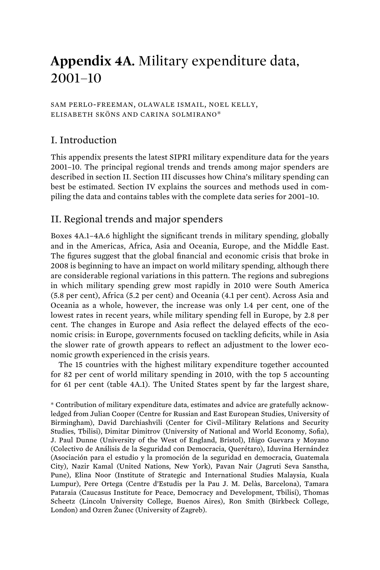# **Appendix 4A.** Military expenditure data, 2001–10

SAM PERLO-FREEMAN, OLAWALE ISMAIL, NOEL KELLY, ELISABETH SKÖNS AND CARINA SOLMIRANO\*

# I. Introduction

This appendix presents the latest SIPRI military expenditure data for the years 2001–10. The principal regional trends and trends among major spenders are described in section II. Section III discusses how China's military spending can best be estimated. Section IV explains the sources and methods used in compiling the data and contains tables with the complete data series for 2001–10.

# II. Regional trends and major spenders

Boxes 4A.1–4A.6 highlight the significant trends in military spending, globally and in the Americas, Africa, Asia and Oceania, Europe, and the Middle East. The figures suggest that the global financial and economic crisis that broke in 2008 is beginning to have an impact on world military spending, although there are considerable regional variations in this pattern. The regions and subregions in which military spending grew most rapidly in 2010 were South America (5.8 per cent), Africa (5.2 per cent) and Oceania (4.1 per cent). Across Asia and Oceania as a whole, however, the increase was only 1.4 per cent, one of the lowest rates in recent years, while military spending fell in Europe, by 2.8 per cent. The changes in Europe and Asia reflect the delayed effects of the economic crisis: in Europe, governments focused on tackling deficits, while in Asia the slower rate of growth appears to reflect an adjustment to the lower economic growth experienced in the crisis years.

The 15 countries with the highest military expenditure together accounted for 82 per cent of world military spending in 2010, with the top 5 accounting for 61 per cent (table 4A.1). The United States spent by far the largest share,

\* Contribution of military expenditure data, estimates and advice are gratefully acknowledged from Julian Cooper (Centre for Russian and East European Studies, University of Birmingham), David Darchiashvili (Center for Civil–Military Relations and Security Studies, Tbilisi), Dimitar Dimitrov (University of National and World Economy, Sofia), J. Paul Dunne (University of the West of England, Bristol), Iñigo Guevara y Moyano (Colectivo de Análisis de la Seguridad con Democracia, Querétaro), Iduvina Hernández (Asociación para el estudio y la promoción de la seguridad en democracia, Guatemala City), Nazir Kamal (United Nations, New York), Pavan Nair (Jagruti Seva Sanstha, Pune), Elina Noor (Institute of Strategic and International Studies Malaysia, Kuala Lumpur), Pere Ortega (Centre d'Estudis per la Pau J. M. Delàs, Barcelona), Tamara Pataraia (Caucasus Institute for Peace, Democracy and Development, Tbilisi), Thomas Scheetz (Lincoln University College, Buenos Aires), Ron Smith (Birkbeck College, London) and Ozren Žunec (University of Zagreb).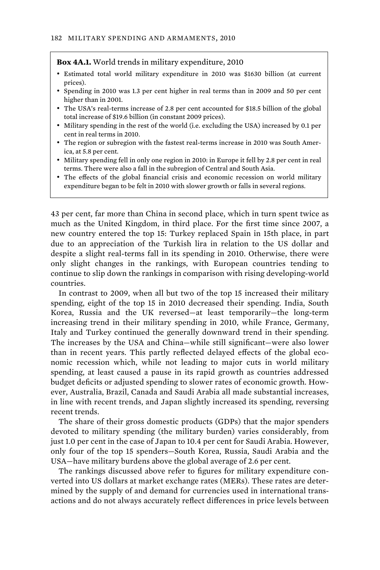#### **Box 4A.1.** World trends in military expenditure, 2010

- Estimated total world military expenditure in 2010 was \$1630 billion (at current prices).
- Spending in 2010 was 1.3 per cent higher in real terms than in 2009 and 50 per cent higher than in 2001.
- The USA's real-terms increase of 2.8 per cent accounted for \$18.5 billion of the global total increase of \$19.6 billion (in constant 2009 prices).
- Military spending in the rest of the world (i.e. excluding the USA) increased by 0.1 per cent in real terms in 2010.
- The region or subregion with the fastest real-terms increase in 2010 was South America, at 5.8 per cent.
- Military spending fell in only one region in 2010: in Europe it fell by 2.8 per cent in real terms. There were also a fall in the subregion of Central and South Asia.
- The effects of the global financial crisis and economic recession on world military expenditure began to be felt in 2010 with slower growth or falls in several regions.

43 per cent, far more than China in second place, which in turn spent twice as much as the United Kingdom, in third place. For the first time since 2007, a new country entered the top 15: Turkey replaced Spain in 15th place, in part due to an appreciation of the Turkish lira in relation to the US dollar and despite a slight real-terms fall in its spending in 2010. Otherwise, there were only slight changes in the rankings, with European countries tending to continue to slip down the rankings in comparison with rising developing-world countries.

In contrast to 2009, when all but two of the top 15 increased their military spending, eight of the top 15 in 2010 decreased their spending. India, South Korea, Russia and the UK reversed—at least temporarily—the long-term increasing trend in their military spending in 2010, while France, Germany, Italy and Turkey continued the generally downward trend in their spending. The increases by the USA and China—while still significant—were also lower than in recent years. This partly reflected delayed effects of the global economic recession which, while not leading to major cuts in world military spending, at least caused a pause in its rapid growth as countries addressed budget deficits or adjusted spending to slower rates of economic growth. However, Australia, Brazil, Canada and Saudi Arabia all made substantial increases, in line with recent trends, and Japan slightly increased its spending, reversing recent trends.

The share of their gross domestic products (GDPs) that the major spenders devoted to military spending (the military burden) varies considerably, from just 1.0 per cent in the case of Japan to 10.4 per cent for Saudi Arabia. However, only four of the top 15 spenders—South Korea, Russia, Saudi Arabia and the USA—have military burdens above the global average of 2.6 per cent.

The rankings discussed above refer to figures for military expenditure converted into US dollars at market exchange rates (MERs). These rates are determined by the supply of and demand for currencies used in international transactions and do not always accurately reflect differences in price levels between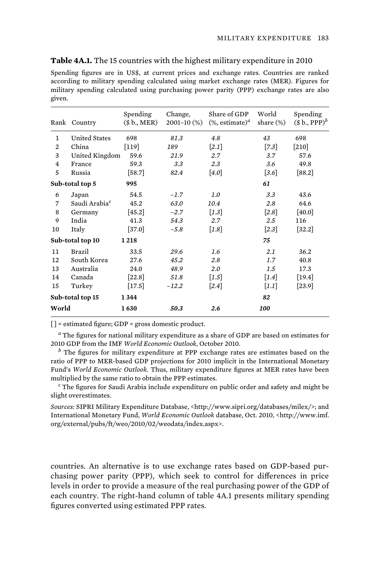| Spending figures are in US\$, at current prices and exchange rates. Countries are ranked |
|------------------------------------------------------------------------------------------|
| according to military spending calculated using market exchange rates (MER). Figures for |
| military spending calculated using purchasing power parity (PPP) exchange rates are also |
| given.                                                                                   |

|                | Rank Country              | Spending<br>(\$b., MER) | Change,<br>$2001 - 10$ (%) | Share of GDP<br>$(\%$ , estimate) <sup><i>a</i></sup> | World<br>share $(\%)$ | Spending<br>$($b., PPP)^b$ |
|----------------|---------------------------|-------------------------|----------------------------|-------------------------------------------------------|-----------------------|----------------------------|
| 1              | <b>United States</b>      | 698                     | 81.3                       | 4.8                                                   | 43                    | 698                        |
| $\overline{2}$ | China                     | $[119]$                 | 189                        | $\left[2.1\right]$                                    | $[7.3]$               | $[210]$                    |
| 3              | United Kingdom            | 59.6                    | 21.9                       | 2.7                                                   | 3.7                   | 57.6                       |
| $\overline{4}$ | France                    | 59.3                    | 3.3                        | 2.3                                                   | 3.6                   | 49.8                       |
| 5              | Russia                    | $[58.7]$                | 82.4                       | [4.0]                                                 | $\left[3.6\right]$    | $[88.2]$                   |
|                | Sub-total top 5           | 995                     |                            |                                                       | 61                    |                            |
| 6              | Japan                     | 54.5                    | $-1.7$                     | 1.0                                                   | 3.3                   | 43.6                       |
| 7              | Saudi Arabia <sup>c</sup> | 45.2                    | 63.0                       | 10.4                                                  | 2.8                   | 64.6                       |
| 8              | Germany                   | $[45.2]$                | $-2.7$                     | $\lceil 1.3 \rceil$                                   | $[2.8]$               | $[40.0]$                   |
| 9              | India                     | 41.3                    | 54.3                       | 2.7                                                   | 2.5                   | 116                        |
| 10             | Italy                     | $[37.0]$                | $-5.8$                     | $\lceil 1.8 \rceil$                                   | [2.3]                 | $[32.2]$                   |
|                | Sub-total top 10          | 1218                    |                            |                                                       | 75                    |                            |
| 11             | Brazil                    | 33.5                    | 29.6                       | 1.6                                                   | 2.1                   | 36.2                       |
| 12             | South Korea               | 27.6                    | 45.2                       | 2.8                                                   | 1.7                   | 40.8                       |
| 13             | Australia                 | 24.0                    | 48.9                       | 2.0                                                   | 1.5                   | 17.3                       |
| 14             | Canada                    | [22.8]                  | 51.8                       | $\left[1.5\right]$                                    | $\left[1.4\right]$    | $\left[19.4\right]$        |
| 15             | Turkey                    | $[17.5]$                | $-12.2$                    | $\left[2.4\right]$                                    | $\left[1.1\right]$    | $\left[23.9\right]$        |
|                | Sub-total top 15          | 1344                    |                            |                                                       | 82                    |                            |
| World          |                           | 1630                    | 50.3                       | 2.6                                                   | 100                   |                            |

**Table 4A.1.** The 15 countries with the highest military expenditure in 2010

 $[$ ] = estimated figure; GDP = gross domestic product.

*a* The figures for national military expenditure as a share of GDP are based on estimates for 2010 GDP from the IMF *World Economic Outlook*, October 2010.

*b* The figures for military expenditure at PPP exchange rates are estimates based on the ratio of PPP to MER-based GDP projections for 2010 implicit in the International Monetary Fund's *World Economic Outlook*. Thus, military expenditure figures at MER rates have been multiplied by the same ratio to obtain the PPP estimates.

*c* The figures for Saudi Arabia include expenditure on public order and safety and might be slight overestimates.

*Sources*: SIPRI Military Expenditure Database, <http://www.sipri.org/databases/milex/>; and International Monetary Fund, *World Economic Outlook* database, Oct. 2010, <http://www.imf. org/external/pubs/ft/weo/2010/02/weodata/index.aspx>.

countries. An alternative is to use exchange rates based on GDP-based purchasing power parity (PPP), which seek to control for differences in price levels in order to provide a measure of the real purchasing power of the GDP of each country. The right-hand column of table 4A.1 presents military spending figures converted using estimated PPP rates.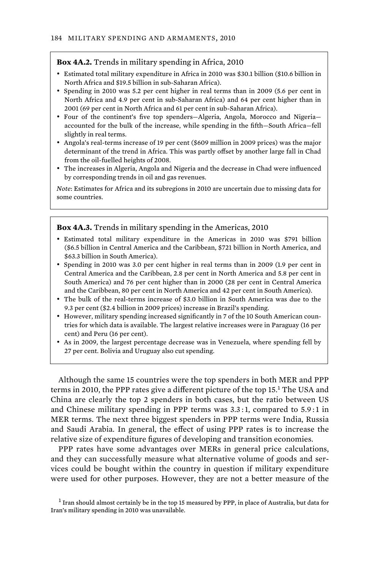#### **Box 4A.2.** Trends in military spending in Africa, 2010

- Estimated total military expenditure in Africa in 2010 was \$30.1 billion (\$10.6 billion in North Africa and \$19.5 billion in sub-Saharan Africa).
- Spending in 2010 was 5.2 per cent higher in real terms than in 2009 (5.6 per cent in North Africa and 4.9 per cent in sub-Saharan Africa) and 64 per cent higher than in 2001 (69 per cent in North Africa and 61 per cent in sub-Saharan Africa).
- Four of the continent's five top spenders—Algeria, Angola, Morocco and Nigeria accounted for the bulk of the increase, while spending in the fifth—South Africa—fell slightly in real terms.
- Angola's real-terms increase of 19 per cent (\$609 million in 2009 prices) was the major determinant of the trend in Africa. This was partly offset by another large fall in Chad from the oil-fuelled heights of 2008.
- The increases in Algeria, Angola and Nigeria and the decrease in Chad were influenced by corresponding trends in oil and gas revenues.

*Note*: Estimates for Africa and its subregions in 2010 are uncertain due to missing data for some countries.

## **Box 4A.3.** Trends in military spending in the Americas, 2010

- Estimated total military expenditure in the Americas in 2010 was \$791 billion (\$6.5 billion in Central America and the Caribbean, \$721 billion in North America, and \$63.3 billion in South America).
- Spending in 2010 was 3.0 per cent higher in real terms than in 2009 (1.9 per cent in Central America and the Caribbean, 2.8 per cent in North America and 5.8 per cent in South America) and 76 per cent higher than in 2000 (28 per cent in Central America and the Caribbean, 80 per cent in North America and 42 per cent in South America).
- The bulk of the real-terms increase of \$3.0 billion in South America was due to the 9.3 per cent (\$2.4 billion in 2009 prices) increase in Brazil's spending.
- However, military spending increased significantly in 7 of the 10 South American countries for which data is available. The largest relative increases were in Paraguay (16 per cent) and Peru (16 per cent).
- As in 2009, the largest percentage decrease was in Venezuela, where spending fell by 27 per cent. Bolivia and Uruguay also cut spending.

Although the same 15 countries were the top spenders in both MER and PPP terms in 2010, the PPP rates give a different picture of the top 15.<sup>1</sup> The USA and China are clearly the top 2 spenders in both cases, but the ratio between US and Chinese military spending in PPP terms was 3.3 :1, compared to 5.9 :1 in MER terms. The next three biggest spenders in PPP terms were India, Russia and Saudi Arabia. In general, the effect of using PPP rates is to increase the relative size of expenditure figures of developing and transition economies.

PPP rates have some advantages over MERs in general price calculations, and they can successfully measure what alternative volume of goods and services could be bought within the country in question if military expenditure were used for other purposes. However, they are not a better measure of the

 $<sup>1</sup>$  Iran should almost certainly be in the top 15 measured by PPP, in place of Australia, but data for</sup> Iran's military spending in 2010 was unavailable.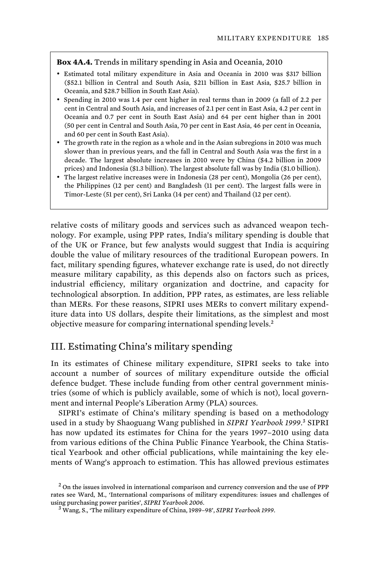# **Box 4A.4.** Trends in military spending in Asia and Oceania, 2010

- Estimated total military expenditure in Asia and Oceania in 2010 was \$317 billion (\$52.1 billion in Central and South Asia, \$211 billion in East Asia, \$25.7 billion in Oceania, and \$28.7 billion in South East Asia).
- Spending in 2010 was 1.4 per cent higher in real terms than in 2009 (a fall of 2.2 per cent in Central and South Asia, and increases of 2.1 per cent in East Asia, 4.2 per cent in Oceania and 0.7 per cent in South East Asia) and 64 per cent higher than in 2001 (50 per cent in Central and South Asia, 70 per cent in East Asia, 46 per cent in Oceania, and 60 per cent in South East Asia).
- The growth rate in the region as a whole and in the Asian subregions in 2010 was much slower than in previous years, and the fall in Central and South Asia was the first in a decade. The largest absolute increases in 2010 were by China (\$4.2 billion in 2009 prices) and Indonesia (\$1.3 billion). The largest absolute fall was by India (\$1.0 billion).
- The largest relative increases were in Indonesia (28 per cent), Mongolia (26 per cent), the Philippines (12 per cent) and Bangladesh (11 per cent). The largest falls were in Timor-Leste (51 per cent), Sri Lanka (14 per cent) and Thailand (12 per cent).

relative costs of military goods and services such as advanced weapon technology. For example, using PPP rates, India's military spending is double that of the UK or France, but few analysts would suggest that India is acquiring double the value of military resources of the traditional European powers. In fact, military spending figures, whatever exchange rate is used, do not directly measure military capability, as this depends also on factors such as prices, industrial efficiency, military organization and doctrine, and capacity for technological absorption. In addition, PPP rates, as estimates, are less reliable than MERs. For these reasons, SIPRI uses MERs to convert military expenditure data into US dollars, despite their limitations, as the simplest and most objective measure for comparing international spending levels.<sup>2</sup>

# III. Estimating China's military spending

In its estimates of Chinese military expenditure, SIPRI seeks to take into account a number of sources of military expenditure outside the official defence budget. These include funding from other central government ministries (some of which is publicly available, some of which is not), local government and internal People's Liberation Army (PLA) sources.

SIPRI's estimate of China's military spending is based on a methodology used in a study by Shaoguang Wang published in SIPRI Yearbook 1999.<sup>3</sup> SIPRI has now updated its estimates for China for the years 1997–2010 using data from various editions of the China Public Finance Yearbook, the China Statistical Yearbook and other official publications, while maintaining the key elements of Wang's approach to estimation. This has allowed previous estimates

 $2$  On the issues involved in international comparison and currency conversion and the use of PPP rates see Ward, M., 'International comparisons of military expenditures: issues and challenges of using purchasing power parities', *SIPRI Yearbook 2006*. <sup>3</sup>

Wang, S., 'The military expenditure of China, 1989–98', *SIPRI Yearbook 1999*.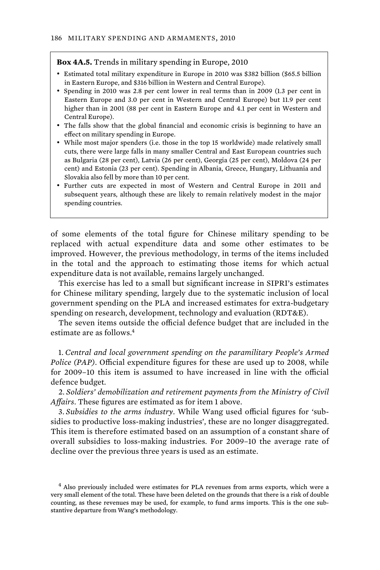#### **Box 4A.5.** Trends in military spending in Europe, 2010

- Estimated total military expenditure in Europe in 2010 was \$382 billion (\$65.5 billion in Eastern Europe, and \$316 billion in Western and Central Europe).
- Spending in 2010 was 2.8 per cent lower in real terms than in 2009 (1.3 per cent in Eastern Europe and 3.0 per cent in Western and Central Europe) but 11.9 per cent higher than in 2001 (88 per cent in Eastern Europe and 4.1 per cent in Western and Central Europe).
- The falls show that the global financial and economic crisis is beginning to have an effect on military spending in Europe.
- While most major spenders (i.e. those in the top 15 worldwide) made relatively small cuts, there were large falls in many smaller Central and East European countries such as Bulgaria (28 per cent), Latvia (26 per cent), Georgia (25 per cent), Moldova (24 per cent) and Estonia (23 per cent). Spending in Albania, Greece, Hungary, Lithuania and Slovakia also fell by more than 10 per cent.
- Further cuts are expected in most of Western and Central Europe in 2011 and subsequent years, although these are likely to remain relatively modest in the major spending countries.

of some elements of the total figure for Chinese military spending to be replaced with actual expenditure data and some other estimates to be improved. However, the previous methodology, in terms of the items included in the total and the approach to estimating those items for which actual expenditure data is not available, remains largely unchanged.

This exercise has led to a small but significant increase in SIPRI's estimates for Chinese military spending, largely due to the systematic inclusion of local government spending on the PLA and increased estimates for extra-budgetary spending on research, development, technology and evaluation (RDT&E).

The seven items outside the official defence budget that are included in the estimate are as follows.<sup>4</sup>

1. *Central and local government spending on the paramilitary People's Armed Police (PAP)*. Official expenditure figures for these are used up to 2008, while for 2009–10 this item is assumed to have increased in line with the official defence budget.

2. *Soldiers' demobilization and retirement payments from the Ministry of Civil Affairs*. These figures are estimated as for item 1 above.

3. *Subsidies to the arms industry*. While Wang used official figures for 'subsidies to productive loss-making industries', these are no longer disaggregated. This item is therefore estimated based on an assumption of a constant share of overall subsidies to loss-making industries. For 2009–10 the average rate of decline over the previous three years is used as an estimate.

<sup>&</sup>lt;sup>4</sup> Also previously included were estimates for PLA revenues from arms exports, which were a very small element of the total. These have been deleted on the grounds that there is a risk of double counting, as these revenues may be used, for example, to fund arms imports. This is the one substantive departure from Wang's methodology.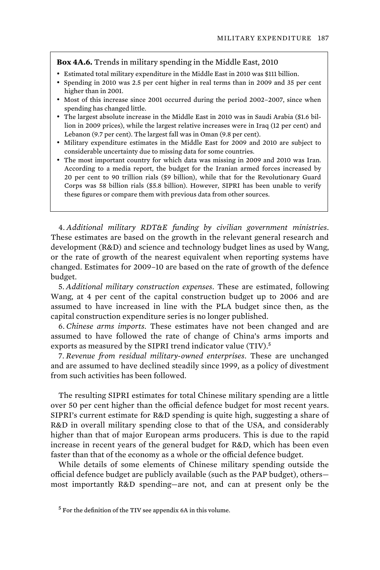## **Box 4A.6.** Trends in military spending in the Middle East, 2010

- Estimated total military expenditure in the Middle East in 2010 was \$111 billion.
- Spending in 2010 was 2.5 per cent higher in real terms than in 2009 and 35 per cent higher than in 2001.
- Most of this increase since 2001 occurred during the period 2002–2007, since when spending has changed little.
- The largest absolute increase in the Middle East in 2010 was in Saudi Arabia (\$1.6 billion in 2009 prices), while the largest relative increases were in Iraq (12 per cent) and Lebanon (9.7 per cent). The largest fall was in Oman (9.8 per cent).
- Military expenditure estimates in the Middle East for 2009 and 2010 are subject to considerable uncertainty due to missing data for some countries.
- The most important country for which data was missing in 2009 and 2010 was Iran. According to a media report, the budget for the Iranian armed forces increased by 20 per cent to 90 trillion rials (\$9 billion), while that for the Revolutionary Guard Corps was 58 billion rials (\$5.8 billion). However, SIPRI has been unable to verify these figures or compare them with previous data from other sources.

4. *Additional military RDT&E funding by civilian government ministries*. These estimates are based on the growth in the relevant general research and development (R&D) and science and technology budget lines as used by Wang, or the rate of growth of the nearest equivalent when reporting systems have changed. Estimates for 2009–10 are based on the rate of growth of the defence budget.

5. *Additional military construction expenses*. These are estimated, following Wang, at 4 per cent of the capital construction budget up to 2006 and are assumed to have increased in line with the PLA budget since then, as the capital construction expenditure series is no longer published.

6. *Chinese arms imports*. These estimates have not been changed and are assumed to have followed the rate of change of China's arms imports and exports as measured by the SIPRI trend indicator value (TIV).<sup>5</sup>

7. *Revenue from residual military-owned enterprises*. These are unchanged and are assumed to have declined steadily since 1999, as a policy of divestment from such activities has been followed.

The resulting SIPRI estimates for total Chinese military spending are a little over 50 per cent higher than the official defence budget for most recent years. SIPRI's current estimate for R&D spending is quite high, suggesting a share of R&D in overall military spending close to that of the USA, and considerably higher than that of major European arms producers. This is due to the rapid increase in recent years of the general budget for R&D, which has been even faster than that of the economy as a whole or the official defence budget.

While details of some elements of Chinese military spending outside the official defence budget are publicly available (such as the PAP budget), others most importantly R&D spending—are not, and can at present only be the

<sup>&</sup>lt;sup>5</sup> For the definition of the TIV see appendix 6A in this volume.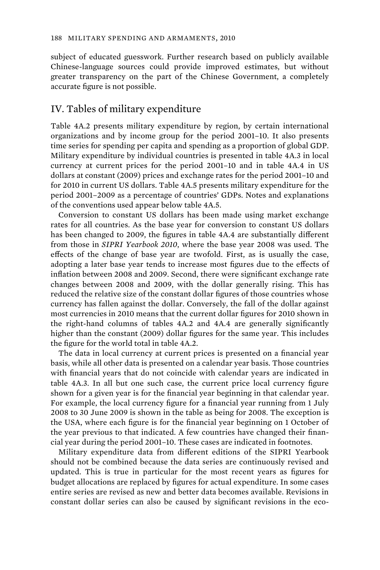subject of educated guesswork. Further research based on publicly available Chinese-language sources could provide improved estimates, but without greater transparency on the part of the Chinese Government, a completely accurate figure is not possible.

# IV. Tables of military expenditure

Table 4A.2 presents military expenditure by region, by certain international organizations and by income group for the period 2001–10. It also presents time series for spending per capita and spending as a proportion of global GDP. Military expenditure by individual countries is presented in table 4A.3 in local currency at current prices for the period 2001–10 and in table 4A.4 in US dollars at constant (2009) prices and exchange rates for the period 2001–10 and for 2010 in current US dollars. Table 4A.5 presents military expenditure for the period 2001–2009 as a percentage of countries' GDPs. Notes and explanations of the conventions used appear below table 4A.5.

Conversion to constant US dollars has been made using market exchange rates for all countries. As the base year for conversion to constant US dollars has been changed to 2009, the figures in table 4A.4 are substantially different from those in *SIPRI Yearbook 2010*, where the base year 2008 was used. The effects of the change of base year are twofold. First, as is usually the case, adopting a later base year tends to increase most figures due to the effects of inflation between 2008 and 2009. Second, there were significant exchange rate changes between 2008 and 2009, with the dollar generally rising. This has reduced the relative size of the constant dollar figures of those countries whose currency has fallen against the dollar. Conversely, the fall of the dollar against most currencies in 2010 means that the current dollar figures for 2010 shown in the right-hand columns of tables 4A.2 and 4A.4 are generally significantly higher than the constant (2009) dollar figures for the same year. This includes the figure for the world total in table 4A.2.

The data in local currency at current prices is presented on a financial year basis, while all other data is presented on a calendar year basis. Those countries with financial years that do not coincide with calendar years are indicated in table 4A.3. In all but one such case, the current price local currency figure shown for a given year is for the financial year beginning in that calendar year. For example, the local currency figure for a financial year running from 1 July 2008 to 30 June 2009 is shown in the table as being for 2008. The exception is the USA, where each figure is for the financial year beginning on 1 October of the year previous to that indicated. A few countries have changed their financial year during the period 2001–10. These cases are indicated in footnotes.

Military expenditure data from different editions of the SIPRI Yearbook should not be combined because the data series are continuously revised and updated. This is true in particular for the most recent years as figures for budget allocations are replaced by figures for actual expenditure. In some cases entire series are revised as new and better data becomes available. Revisions in constant dollar series can also be caused by significant revisions in the eco-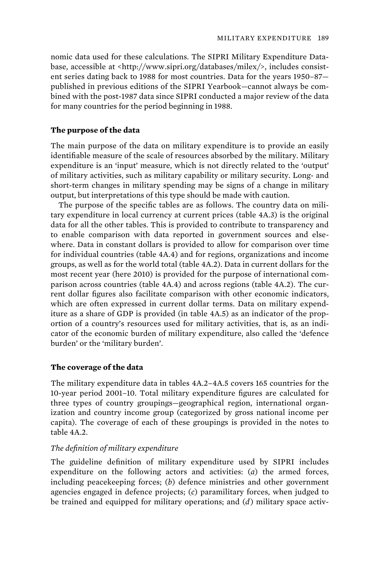nomic data used for these calculations. The SIPRI Military Expenditure Database, accessible at <http://www.sipri.org/databases/milex/>, includes consistent series dating back to 1988 for most countries. Data for the years 1950–87 published in previous editions of the SIPRI Yearbook—cannot always be combined with the post-1987 data since SIPRI conducted a major review of the data for many countries for the period beginning in 1988.

# **The purpose of the data**

The main purpose of the data on military expenditure is to provide an easily identifiable measure of the scale of resources absorbed by the military. Military expenditure is an 'input' measure, which is not directly related to the 'output' of military activities, such as military capability or military security. Long- and short-term changes in military spending may be signs of a change in military output, but interpretations of this type should be made with caution.

The purpose of the specific tables are as follows. The country data on military expenditure in local currency at current prices (table 4A.3) is the original data for all the other tables. This is provided to contribute to transparency and to enable comparison with data reported in government sources and elsewhere. Data in constant dollars is provided to allow for comparison over time for individual countries (table 4A.4) and for regions, organizations and income groups, as well as for the world total (table 4A.2). Data in current dollars for the most recent year (here 2010) is provided for the purpose of international comparison across countries (table 4A.4) and across regions (table 4A.2). The current dollar figures also facilitate comparison with other economic indicators, which are often expressed in current dollar terms. Data on military expenditure as a share of GDP is provided (in table 4A.5) as an indicator of the proportion of a country's resources used for military activities, that is, as an indicator of the economic burden of military expenditure, also called the 'defence burden' or the 'military burden'.

# **The coverage of the data**

The military expenditure data in tables 4A.2–4A.5 covers 165 countries for the 10-year period 2001–10. Total military expenditure figures are calculated for three types of country groupings—geographical region, international organization and country income group (categorized by gross national income per capita). The coverage of each of these groupings is provided in the notes to table 4A.2.

## *The definition of military expenditure*

The guideline definition of military expenditure used by SIPRI includes expenditure on the following actors and activities: (*a*) the armed forces, including peacekeeping forces; (*b*) defence ministries and other government agencies engaged in defence projects; (*c*) paramilitary forces, when judged to be trained and equipped for military operations; and (*d*) military space activ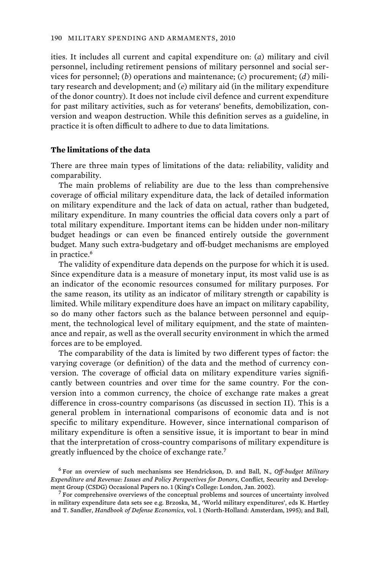ities. It includes all current and capital expenditure on: (*a*) military and civil personnel, including retirement pensions of military personnel and social services for personnel; (*b*) operations and maintenance; (*c*) procurement; (*d*) military research and development; and (*e*) military aid (in the military expenditure of the donor country). It does not include civil defence and current expenditure for past military activities, such as for veterans' benefits, demobilization, conversion and weapon destruction. While this definition serves as a guideline, in practice it is often difficult to adhere to due to data limitations.

# **The limitations of the data**

There are three main types of limitations of the data: reliability, validity and comparability.

The main problems of reliability are due to the less than comprehensive coverage of official military expenditure data, the lack of detailed information on military expenditure and the lack of data on actual, rather than budgeted, military expenditure. In many countries the official data covers only a part of total military expenditure. Important items can be hidden under non-military budget headings or can even be financed entirely outside the government budget. Many such extra-budgetary and off-budget mechanisms are employed in practice.<sup>6</sup>

The validity of expenditure data depends on the purpose for which it is used. Since expenditure data is a measure of monetary input, its most valid use is as an indicator of the economic resources consumed for military purposes. For the same reason, its utility as an indicator of military strength or capability is limited. While military expenditure does have an impact on military capability, so do many other factors such as the balance between personnel and equipment, the technological level of military equipment, and the state of maintenance and repair, as well as the overall security environment in which the armed forces are to be employed.

The comparability of the data is limited by two different types of factor: the varying coverage (or definition) of the data and the method of currency conversion. The coverage of official data on military expenditure varies significantly between countries and over time for the same country. For the conversion into a common currency, the choice of exchange rate makes a great difference in cross-country comparisons (as discussed in section II). This is a general problem in international comparisons of economic data and is not specific to military expenditure. However, since international comparison of military expenditure is often a sensitive issue, it is important to bear in mind that the interpretation of cross-country comparisons of military expenditure is greatly influenced by the choice of exchange rate.<sup>7</sup>

<sup>6</sup> For an overview of such mechanisms see Hendrickson, D. and Ball, N., *Off-budget Military Expenditure and Revenue: Issues and Policy Perspectives for Donors*, Conflict, Security and Development Group (CSDG) Occasional Papers no. 1 (King's College: London, Jan. 2002). <sup>7</sup>

 $\sigma$  For comprehensive overviews of the conceptual problems and sources of uncertainty involved in military expenditure data sets see e.g. Brzoska, M., 'World military expenditures', eds K. Hartley and T. Sandler, *Handbook of Defense Economics*, vol. 1 (North-Holland: Amsterdam, 1995); and Ball,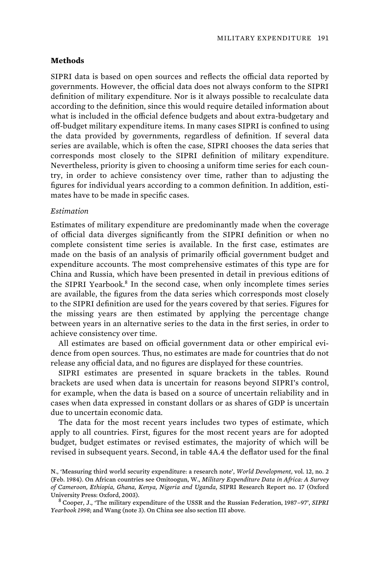## **Methods**

SIPRI data is based on open sources and reflects the official data reported by governments. However, the official data does not always conform to the SIPRI definition of military expenditure. Nor is it always possible to recalculate data according to the definition, since this would require detailed information about what is included in the official defence budgets and about extra-budgetary and off-budget military expenditure items. In many cases SIPRI is confined to using the data provided by governments, regardless of definition. If several data series are available, which is often the case, SIPRI chooses the data series that corresponds most closely to the SIPRI definition of military expenditure. Nevertheless, priority is given to choosing a uniform time series for each country, in order to achieve consistency over time, rather than to adjusting the figures for individual years according to a common definition. In addition, estimates have to be made in specific cases.

## *Estimation*

Estimates of military expenditure are predominantly made when the coverage of official data diverges significantly from the SIPRI definition or when no complete consistent time series is available. In the first case, estimates are made on the basis of an analysis of primarily official government budget and expenditure accounts. The most comprehensive estimates of this type are for China and Russia, which have been presented in detail in previous editions of the SIPRI Yearbook.<sup>8</sup> In the second case, when only incomplete times series are available, the figures from the data series which corresponds most closely to the SIPRI definition are used for the years covered by that series. Figures for the missing years are then estimated by applying the percentage change between years in an alternative series to the data in the first series, in order to achieve consistency over time.

All estimates are based on official government data or other empirical evidence from open sources. Thus, no estimates are made for countries that do not release any official data, and no figures are displayed for these countries.

SIPRI estimates are presented in square brackets in the tables. Round brackets are used when data is uncertain for reasons beyond SIPRI's control, for example, when the data is based on a source of uncertain reliability and in cases when data expressed in constant dollars or as shares of GDP is uncertain due to uncertain economic data.

The data for the most recent years includes two types of estimate, which apply to all countries. First, figures for the most recent years are for adopted budget, budget estimates or revised estimates, the majority of which will be revised in subsequent years. Second, in table 4A.4 the deflator used for the final

N., 'Measuring third world security expenditure: a research note', *World Development*, vol. 12, no. 2 (Feb. 1984). On African countries see Omitoogun, W., *Military Expenditure Data in Africa: A Survey of Cameroon, Ethiopia, Ghana, Kenya, Nigeria and Uganda*, SIPRI Research Report no. 17 (Oxford University Press: Oxford, 2003). <sup>8</sup>

Cooper, J., 'The military expenditure of the USSR and the Russian Federation, 1987–97', *SIPRI Yearbook 1998*; and Wang (note 3). On China see also section III above.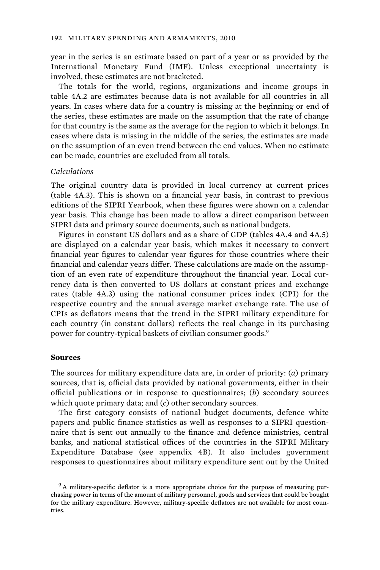year in the series is an estimate based on part of a year or as provided by the International Monetary Fund (IMF). Unless exceptional uncertainty is involved, these estimates are not bracketed.

The totals for the world, regions, organizations and income groups in table 4A.2 are estimates because data is not available for all countries in all years. In cases where data for a country is missing at the beginning or end of the series, these estimates are made on the assumption that the rate of change for that country is the same as the average for the region to which it belongs. In cases where data is missing in the middle of the series, the estimates are made on the assumption of an even trend between the end values. When no estimate can be made, countries are excluded from all totals.

## *Calculations*

The original country data is provided in local currency at current prices (table 4A.3). This is shown on a financial year basis, in contrast to previous editions of the SIPRI Yearbook, when these figures were shown on a calendar year basis. This change has been made to allow a direct comparison between SIPRI data and primary source documents, such as national budgets.

Figures in constant US dollars and as a share of GDP (tables 4A.4 and 4A.5) are displayed on a calendar year basis, which makes it necessary to convert financial year figures to calendar year figures for those countries where their financial and calendar years differ. These calculations are made on the assumption of an even rate of expenditure throughout the financial year. Local currency data is then converted to US dollars at constant prices and exchange rates (table 4A.3) using the national consumer prices index (CPI) for the respective country and the annual average market exchange rate. The use of CPIs as deflators means that the trend in the SIPRI military expenditure for each country (in constant dollars) reflects the real change in its purchasing power for country-typical baskets of civilian consumer goods.<sup>9</sup>

#### **Sources**

The sources for military expenditure data are, in order of priority: (*a*) primary sources, that is, official data provided by national governments, either in their official publications or in response to questionnaires; (*b*) secondary sources which quote primary data; and (*c*) other secondary sources.

The first category consists of national budget documents, defence white papers and public finance statistics as well as responses to a SIPRI questionnaire that is sent out annually to the finance and defence ministries, central banks, and national statistical offices of the countries in the SIPRI Military Expenditure Database (see appendix 4B). It also includes government responses to questionnaires about military expenditure sent out by the United

<sup>&</sup>lt;sup>9</sup> A military-specific deflator is a more appropriate choice for the purpose of measuring purchasing power in terms of the amount of military personnel, goods and services that could be bought for the military expenditure. However, military-specific deflators are not available for most countries.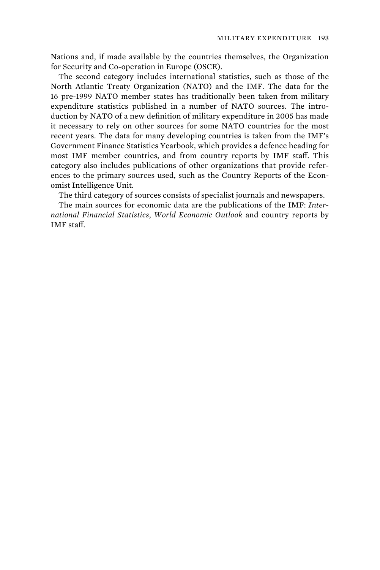Nations and, if made available by the countries themselves, the Organization for Security and Co-operation in Europe (OSCE).

The second category includes international statistics, such as those of the North Atlantic Treaty Organization (NATO) and the IMF. The data for the 16 pre-1999 NATO member states has traditionally been taken from military expenditure statistics published in a number of NATO sources. The introduction by NATO of a new definition of military expenditure in 2005 has made it necessary to rely on other sources for some NATO countries for the most recent years. The data for many developing countries is taken from the IMF's Government Finance Statistics Yearbook, which provides a defence heading for most IMF member countries, and from country reports by IMF staff. This category also includes publications of other organizations that provide references to the primary sources used, such as the Country Reports of the Economist Intelligence Unit.

The third category of sources consists of specialist journals and newspapers.

The main sources for economic data are the publications of the IMF: *International Financial Statistics*, *World Economic Outlook* and country reports by IMF staff.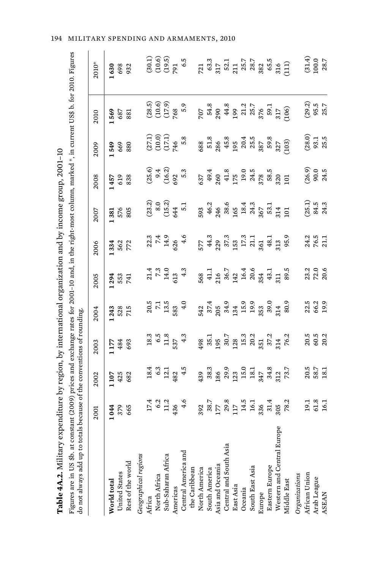| $-2$<br>I<br>$\frac{1}{2}$<br>j<br>$-26 + 0.0$<br>$\ddotsc$<br>$\ddot{\phantom{0}}$ | .<br>ז<br>י<br> <br> <br> <br>$100 \text{ m}$ in $\Omega$<br>֖֖֚֚֚֘֝֬֝<br>֧֚֝<br>֧֚֚֚֚֝<br>tor 2001-10 and, in the righ-<br>$\ddot{ }$<br>b. at constant | יי הודה הי<br>r not alurare add un to total e because of the conventions of r |
|-------------------------------------------------------------------------------------|----------------------------------------------------------------------------------------------------------------------------------------------------------|-------------------------------------------------------------------------------|
| $1 - 4 - 7$<br>able.                                                                | gures are                                                                                                                                                |                                                                               |

| Table 4A.2. Military expenditure by region, by international organization and by income group, 2001-10                                                                                                                                 |                                                                                       |                                                                                                              |                                                                                       |                                                            |                                                         |                                                         |                                                                  |                                                                                                          |                                                  |                                                                                                                                          |                                                                                                                                                                                                                                                                                                                |
|----------------------------------------------------------------------------------------------------------------------------------------------------------------------------------------------------------------------------------------|---------------------------------------------------------------------------------------|--------------------------------------------------------------------------------------------------------------|---------------------------------------------------------------------------------------|------------------------------------------------------------|---------------------------------------------------------|---------------------------------------------------------|------------------------------------------------------------------|----------------------------------------------------------------------------------------------------------|--------------------------------------------------|------------------------------------------------------------------------------------------------------------------------------------------|----------------------------------------------------------------------------------------------------------------------------------------------------------------------------------------------------------------------------------------------------------------------------------------------------------------|
| Figures are in US \$b. at constant (2009) prices and exchange rates for 2001-10 and, in the right-most column, marked *, in current US\$ b. for 2010. Figures<br>do not always add up to totals because of the conventions of rounding |                                                                                       |                                                                                                              |                                                                                       |                                                            |                                                         |                                                         |                                                                  |                                                                                                          |                                                  |                                                                                                                                          |                                                                                                                                                                                                                                                                                                                |
|                                                                                                                                                                                                                                        | 2001                                                                                  | 2002                                                                                                         | 2003                                                                                  | 2004                                                       | 2005                                                    | 2006                                                    | 2007                                                             | 2008                                                                                                     | 2009                                             | 2010                                                                                                                                     | 2010*                                                                                                                                                                                                                                                                                                          |
| World total                                                                                                                                                                                                                            | 1044                                                                                  | 1107                                                                                                         | 1177                                                                                  | 1243                                                       |                                                         |                                                         |                                                                  | 1457                                                                                                     | 1549                                             | 1569                                                                                                                                     | 1630                                                                                                                                                                                                                                                                                                           |
|                                                                                                                                                                                                                                        |                                                                                       | 425<br>682                                                                                                   |                                                                                       |                                                            | 294<br>553<br>741                                       | 1334<br>562<br>772                                      | $381$<br>$576$<br>$805$                                          |                                                                                                          |                                                  | 687                                                                                                                                      |                                                                                                                                                                                                                                                                                                                |
| United States<br>Rest of the world                                                                                                                                                                                                     | 379<br>665                                                                            |                                                                                                              | 484<br>693                                                                            | 528<br>715                                                 |                                                         |                                                         |                                                                  | 619<br>838                                                                                               | 669<br>880                                       | 881                                                                                                                                      | 698<br>932                                                                                                                                                                                                                                                                                                     |
| Geographical regions                                                                                                                                                                                                                   |                                                                                       |                                                                                                              |                                                                                       |                                                            |                                                         |                                                         |                                                                  |                                                                                                          |                                                  |                                                                                                                                          |                                                                                                                                                                                                                                                                                                                |
| Africa                                                                                                                                                                                                                                 |                                                                                       |                                                                                                              |                                                                                       |                                                            |                                                         |                                                         |                                                                  |                                                                                                          |                                                  |                                                                                                                                          |                                                                                                                                                                                                                                                                                                                |
| North Africa<br>Sub-Saharan Africa                                                                                                                                                                                                     |                                                                                       |                                                                                                              |                                                                                       |                                                            |                                                         |                                                         |                                                                  |                                                                                                          |                                                  |                                                                                                                                          |                                                                                                                                                                                                                                                                                                                |
|                                                                                                                                                                                                                                        | $17.4$<br>$6.2$<br>$11.2$<br>$436$<br>$4.6$                                           | $\begin{array}{r} 18.4 \\ 6.3 \\ 12.1 \\ 482 \\ 4.5 \end{array}$                                             | $\begin{array}{c} 18.3 \\ 6.5 \\ 1.1.8 \\ 537 \\ 4.3 \end{array}$                     | $20.5$<br>7.1 $3.5$<br>583 $4.0$                           | $21.4$<br>$7.3$<br>$14.0$<br>$4.3$<br>$4.3$             | $22.3$<br>$7.4$<br>$14.9$<br>$4.6$<br>$4.6$             | $(23.2)$<br>$8.0$<br>$(15.2)$<br>$644$<br>$5.1$                  | $(25.6)$<br>$9.4$<br>$(16.2)$<br>$5.3$<br>$5.3$                                                          | $(27.1)$<br>$(10.0)$<br>$(17.1)$<br>$746$<br>5.8 | (28.5)<br>(10.6)<br>(17.69<br>768<br>5                                                                                                   | 30.9<br>(30.5)<br>(30.5)                                                                                                                                                                                                                                                                                       |
| Americas<br>Central America and                                                                                                                                                                                                        |                                                                                       |                                                                                                              |                                                                                       |                                                            |                                                         |                                                         |                                                                  |                                                                                                          |                                                  |                                                                                                                                          |                                                                                                                                                                                                                                                                                                                |
|                                                                                                                                                                                                                                        |                                                                                       |                                                                                                              |                                                                                       |                                                            |                                                         |                                                         |                                                                  |                                                                                                          |                                                  |                                                                                                                                          | 6.5                                                                                                                                                                                                                                                                                                            |
| the Caribbean                                                                                                                                                                                                                          |                                                                                       |                                                                                                              |                                                                                       |                                                            |                                                         |                                                         |                                                                  |                                                                                                          |                                                  |                                                                                                                                          |                                                                                                                                                                                                                                                                                                                |
| North America<br>South America                                                                                                                                                                                                         |                                                                                       | 439                                                                                                          |                                                                                       |                                                            |                                                         |                                                         |                                                                  |                                                                                                          |                                                  |                                                                                                                                          |                                                                                                                                                                                                                                                                                                                |
|                                                                                                                                                                                                                                        |                                                                                       |                                                                                                              |                                                                                       |                                                            |                                                         |                                                         |                                                                  |                                                                                                          |                                                  |                                                                                                                                          |                                                                                                                                                                                                                                                                                                                |
| Asia and Oceania                                                                                                                                                                                                                       |                                                                                       |                                                                                                              |                                                                                       |                                                            |                                                         |                                                         |                                                                  |                                                                                                          |                                                  |                                                                                                                                          |                                                                                                                                                                                                                                                                                                                |
| Central and South Asia                                                                                                                                                                                                                 |                                                                                       |                                                                                                              |                                                                                       |                                                            |                                                         |                                                         |                                                                  |                                                                                                          |                                                  |                                                                                                                                          |                                                                                                                                                                                                                                                                                                                |
| East Asia                                                                                                                                                                                                                              | $392$ $179.8$ $179.8$ $179.7$ $179.7$ $179.7$ $179.7$ $179.7$ $179.7$ $179.2$ $179.2$ | $\begin{array}{c} 38.3 \\ 186 \\ 29.9 \\ 121 \\ 15.0 \\ 18.1 \\ 18.3 \\ 34.8 \\ 73.7 \\ 73.7 \\ \end{array}$ | $498$<br>$35.7$<br>$36.7$<br>$36.3$<br>$36.3$<br>$36.2$<br>$36.2$<br>$36.2$<br>$76.2$ | 542<br>37.4<br>305 34.9<br>11 5.9<br>12 5.9<br>30.9<br>314 | 568<br>41.1<br>41.3 6.7<br>14.4<br>16.4<br>51.1<br>51.1 | 577<br>44.3<br>42.3 57.3<br>57.3 54.3 59.9<br>57.3 59.9 | 593<br>46.2<br>48.3 36.4<br>59.3 4<br>59.3 4<br>59.5 4<br>59.3 4 | $637$<br>$49.4$<br>$40.8$<br>$40.8$<br>$175$<br>$19.4$<br>$78.5$<br>$78.5$<br>$78.5$<br>$78.5$<br>$78.5$ |                                                  | 707<br>54.8<br>59 44.8<br>59 5 7 7 8 7 7 8 9 7 7 7 9 9 7 7 9 7 7 9 7 7 9 7 7 8 9 7 7 9 7 7 9 7 7 9 9 7 7 9 9 9 7 7 9 9 9 7 9 9 9 9 9 7 9 | $\begin{array}{cccc}\n721 & 0.33 & 0.33 \\ 723 & 0.33 & 0.33 \\ 724 & 0.33 & 0.33 \\ 725 & 0.33 & 0.33 \\ 725 & 0.33 & 0.33 \\ 725 & 0.33 & 0.33 \\ 725 & 0.33 & 0.33 \\ 725 & 0.33 & 0.33 \\ 725 & 0.33 & 0.33 \\ 85 & 0.33 & 0.33 \\ 85 & 0.33 & 0.33 \\ 9 & 0.33 & 0.33 \\ 1 & 0.33 & 0.33 \\ 1 & 0.33 & 0$ |
| Oceania                                                                                                                                                                                                                                |                                                                                       |                                                                                                              |                                                                                       |                                                            |                                                         |                                                         |                                                                  |                                                                                                          |                                                  |                                                                                                                                          |                                                                                                                                                                                                                                                                                                                |
| South East Asia                                                                                                                                                                                                                        |                                                                                       |                                                                                                              |                                                                                       |                                                            |                                                         |                                                         |                                                                  |                                                                                                          |                                                  |                                                                                                                                          |                                                                                                                                                                                                                                                                                                                |
| Europe                                                                                                                                                                                                                                 |                                                                                       |                                                                                                              |                                                                                       |                                                            |                                                         |                                                         |                                                                  |                                                                                                          |                                                  |                                                                                                                                          |                                                                                                                                                                                                                                                                                                                |
| Eastern Europe                                                                                                                                                                                                                         |                                                                                       |                                                                                                              |                                                                                       |                                                            |                                                         |                                                         |                                                                  |                                                                                                          |                                                  |                                                                                                                                          |                                                                                                                                                                                                                                                                                                                |
| оре<br>Western and Central Eur                                                                                                                                                                                                         |                                                                                       |                                                                                                              |                                                                                       |                                                            |                                                         |                                                         |                                                                  |                                                                                                          |                                                  |                                                                                                                                          |                                                                                                                                                                                                                                                                                                                |
| Middle East                                                                                                                                                                                                                            |                                                                                       |                                                                                                              |                                                                                       | 80.9                                                       | 89.5                                                    |                                                         | $\Xi$                                                            | 101                                                                                                      |                                                  |                                                                                                                                          |                                                                                                                                                                                                                                                                                                                |
| Organizations                                                                                                                                                                                                                          |                                                                                       |                                                                                                              |                                                                                       |                                                            |                                                         |                                                         |                                                                  |                                                                                                          |                                                  |                                                                                                                                          |                                                                                                                                                                                                                                                                                                                |
| African Union                                                                                                                                                                                                                          |                                                                                       |                                                                                                              |                                                                                       |                                                            |                                                         |                                                         |                                                                  |                                                                                                          |                                                  |                                                                                                                                          |                                                                                                                                                                                                                                                                                                                |
| Arab League                                                                                                                                                                                                                            | 19.1<br>61.8<br>16.1                                                                  | 20.5<br>58.7<br>18.1                                                                                         | $20.5$<br>$60.3$<br>$20.2$                                                            | $22.5$<br>$6.2$<br>$19.9$                                  | 23.2<br>20.6<br>20.6                                    | 24.2<br>76.5<br>21.1                                    | $(25.1)$<br>84.5<br>24.3                                         | $(26.9)$<br>90.0<br>24.5                                                                                 | $(28.0)$<br>93.1<br>25.5                         | $(29.3)$<br>95.5<br>25.7                                                                                                                 | $\begin{array}{c} (31.4) \\ 100.0 \\ 28.7 \end{array}$                                                                                                                                                                                                                                                         |
| <b>ASEAN</b>                                                                                                                                                                                                                           |                                                                                       |                                                                                                              |                                                                                       |                                                            |                                                         |                                                         |                                                                  |                                                                                                          |                                                  |                                                                                                                                          |                                                                                                                                                                                                                                                                                                                |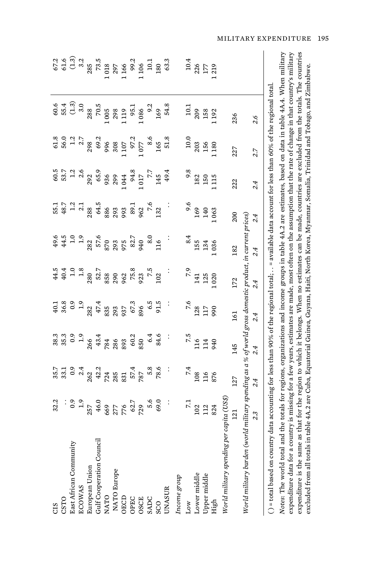| CIS                                                                                                                                                                                                                                                                                                                                                                                                                                                                                      | 32.2                                                |                                                         |                                                                                                                                                                                                                                           | 40.1                                                                                                                                                                                                                                                                                                     | 44.5                                                        | 49.6                                                                                                                                                                     | 55.1                                                       |                                                                                                                                                                                                                                                                               |                                                                                                       |                                                                                                                           | 67.2       |
|------------------------------------------------------------------------------------------------------------------------------------------------------------------------------------------------------------------------------------------------------------------------------------------------------------------------------------------------------------------------------------------------------------------------------------------------------------------------------------------|-----------------------------------------------------|---------------------------------------------------------|-------------------------------------------------------------------------------------------------------------------------------------------------------------------------------------------------------------------------------------------|----------------------------------------------------------------------------------------------------------------------------------------------------------------------------------------------------------------------------------------------------------------------------------------------------------|-------------------------------------------------------------|--------------------------------------------------------------------------------------------------------------------------------------------------------------------------|------------------------------------------------------------|-------------------------------------------------------------------------------------------------------------------------------------------------------------------------------------------------------------------------------------------------------------------------------|-------------------------------------------------------------------------------------------------------|---------------------------------------------------------------------------------------------------------------------------|------------|
| CSTO                                                                                                                                                                                                                                                                                                                                                                                                                                                                                     | $\vdots$                                            | 35.7<br>33.1                                            | 38.3<br>35.3                                                                                                                                                                                                                              |                                                                                                                                                                                                                                                                                                          | 40.4                                                        |                                                                                                                                                                          |                                                            |                                                                                                                                                                                                                                                                               |                                                                                                       | 55.4                                                                                                                      |            |
| East African Community                                                                                                                                                                                                                                                                                                                                                                                                                                                                   |                                                     | $0.9$<br>$2.62$<br>$42.3$                               | $0.9$<br>$-1.9$<br>$26$<br>$-4.3$<br>$-7.8$<br>$-7.8$<br>$-7.8$<br>$-7.8$<br>$-7.8$<br>$-7.8$<br>$-7.8$<br>$-7.8$<br>$-7.8$<br>$-7.8$<br>$-7.8$<br>$-7.8$<br>$-7.8$<br>$-7.8$<br>$-7.8$<br>$-7.8$<br>$-7.8$<br>$-7.8$<br>$-7.8$<br>$-7.8$ | 86.8<br>80.9<br>80.9<br>80.9<br>80.9<br>80.9<br>80.9<br>80.9<br>80.9<br>80.9<br>80.9<br>80.9<br>80.9<br>80.9<br>80.9<br>80.9<br>80.9<br>80.9<br>80.9<br>80.9<br>80.9<br>80.9<br>80.9<br>80.9<br>80.9<br>80.9<br>80.9<br>80.9<br>80.9<br>80.9<br>80.9<br>80.9<br>80.9<br>80.9<br>80.9<br>80.9<br>80.9<br> | 1.8                                                         | $44.5$<br>$1.3$<br>$2.8$<br>$3.5$<br>$3.5$<br>$3.5$<br>$3.5$<br>$3.5$<br>$3.5$<br>$3.5$<br>$3.5$<br>$3.5$<br>$3.5$<br>$3.5$<br>$3.5$<br>$3.5$<br>$3.5$<br>$3.5$<br>$3.5$ | $\frac{48.7}{1.2}$<br>288                                  | $\begin{array}{cccc} 66.95\\ 66.7\\ 35.7\\ 26.9\\ 26.9\\ 36.9\\ 26.9\\ 26.9\\ 26.9\\ 26.9\\ 26.9\\ 26.9\\ 26.9\\ 26.9\\ 26.9\\ 26.9\\ 26.9\\ 26.9\\ 27.7\\ 27.7\\ 28.5\\ 29.1\\ 29.1\\ 20.1\\ 27.7\\ 28.5\\ 29.2\\ 20.2\\ 20.3\\ 21.4\\ 25.7\\ 26.9\\ 27.7\\ 28.9\\ 29.2\\ 2$ | $\begin{array}{cccc}\n61.8\\ 56.0\\ 56.1\\ 12.7\\ 298\\ 709\\ 69.8\\ 709\\ 71\\ 72\\ 8\\ \end{array}$ | (1.3)                                                                                                                     |            |
| <b>ECOWAS</b>                                                                                                                                                                                                                                                                                                                                                                                                                                                                            | $0.9$<br>1.9                                        |                                                         |                                                                                                                                                                                                                                           |                                                                                                                                                                                                                                                                                                          |                                                             |                                                                                                                                                                          |                                                            |                                                                                                                                                                                                                                                                               |                                                                                                       | 3.0                                                                                                                       |            |
| European Union                                                                                                                                                                                                                                                                                                                                                                                                                                                                           | 257                                                 |                                                         |                                                                                                                                                                                                                                           |                                                                                                                                                                                                                                                                                                          | 280                                                         |                                                                                                                                                                          |                                                            |                                                                                                                                                                                                                                                                               |                                                                                                       | 288                                                                                                                       |            |
| Gulf Cooperation Council                                                                                                                                                                                                                                                                                                                                                                                                                                                                 | 46.0                                                |                                                         |                                                                                                                                                                                                                                           |                                                                                                                                                                                                                                                                                                          | 52.7                                                        |                                                                                                                                                                          |                                                            |                                                                                                                                                                                                                                                                               |                                                                                                       |                                                                                                                           |            |
| NATO                                                                                                                                                                                                                                                                                                                                                                                                                                                                                     | 669                                                 | 724                                                     |                                                                                                                                                                                                                                           |                                                                                                                                                                                                                                                                                                          | 858                                                         |                                                                                                                                                                          |                                                            |                                                                                                                                                                                                                                                                               |                                                                                                       |                                                                                                                           |            |
| NATO Europe                                                                                                                                                                                                                                                                                                                                                                                                                                                                              | $277$<br>$776$<br>$729$<br>$5.6$<br>$5.6$<br>$69.0$ | <b>285</b><br>831                                       |                                                                                                                                                                                                                                           |                                                                                                                                                                                                                                                                                                          | $290$<br>$962$<br>$75.8$<br>$923$<br>$7.5$<br>$102$         |                                                                                                                                                                          | $64.5$ $886$ $893$ $893$ $893$ $893$ $893$ $893$ $76$ $76$ |                                                                                                                                                                                                                                                                               |                                                                                                       | $\begin{array}{r} 70.5 \\ 1\,005 \\ 298 \\ 1\,119 \\ 95.1 \\ 108 \\ 96. \\ 169 \\ 108 \\ 109 \\ \end{array}$              |            |
| OECD                                                                                                                                                                                                                                                                                                                                                                                                                                                                                     |                                                     |                                                         |                                                                                                                                                                                                                                           |                                                                                                                                                                                                                                                                                                          |                                                             |                                                                                                                                                                          |                                                            |                                                                                                                                                                                                                                                                               |                                                                                                       |                                                                                                                           |            |
| OPEC                                                                                                                                                                                                                                                                                                                                                                                                                                                                                     |                                                     | $7874$<br>$787$<br>$586$<br>$78.6$                      |                                                                                                                                                                                                                                           |                                                                                                                                                                                                                                                                                                          |                                                             |                                                                                                                                                                          |                                                            |                                                                                                                                                                                                                                                                               |                                                                                                       |                                                                                                                           |            |
|                                                                                                                                                                                                                                                                                                                                                                                                                                                                                          |                                                     |                                                         |                                                                                                                                                                                                                                           |                                                                                                                                                                                                                                                                                                          |                                                             |                                                                                                                                                                          |                                                            |                                                                                                                                                                                                                                                                               |                                                                                                       |                                                                                                                           |            |
| OSCE<br>SADC                                                                                                                                                                                                                                                                                                                                                                                                                                                                             |                                                     |                                                         |                                                                                                                                                                                                                                           |                                                                                                                                                                                                                                                                                                          |                                                             |                                                                                                                                                                          |                                                            |                                                                                                                                                                                                                                                                               |                                                                                                       |                                                                                                                           |            |
| SCO                                                                                                                                                                                                                                                                                                                                                                                                                                                                                      |                                                     |                                                         |                                                                                                                                                                                                                                           |                                                                                                                                                                                                                                                                                                          |                                                             |                                                                                                                                                                          |                                                            |                                                                                                                                                                                                                                                                               |                                                                                                       |                                                                                                                           |            |
| UNASUR                                                                                                                                                                                                                                                                                                                                                                                                                                                                                   |                                                     | $\ddot{\cdot}$                                          |                                                                                                                                                                                                                                           |                                                                                                                                                                                                                                                                                                          |                                                             |                                                                                                                                                                          |                                                            | 49.4                                                                                                                                                                                                                                                                          | 51.8                                                                                                  | 54.8                                                                                                                      | 63.3       |
| Income group                                                                                                                                                                                                                                                                                                                                                                                                                                                                             |                                                     |                                                         |                                                                                                                                                                                                                                           |                                                                                                                                                                                                                                                                                                          |                                                             |                                                                                                                                                                          |                                                            |                                                                                                                                                                                                                                                                               |                                                                                                       |                                                                                                                           |            |
| $_{\text{Low}}$                                                                                                                                                                                                                                                                                                                                                                                                                                                                          | $\overline{z}$                                      |                                                         |                                                                                                                                                                                                                                           |                                                                                                                                                                                                                                                                                                          |                                                             |                                                                                                                                                                          |                                                            |                                                                                                                                                                                                                                                                               |                                                                                                       |                                                                                                                           | 10.4       |
| Lower middle                                                                                                                                                                                                                                                                                                                                                                                                                                                                             |                                                     | $\begin{array}{r} 7.4 \\ 108 \\ 116 \\ 876 \end{array}$ | $\begin{array}{c} 7.5 \\ 116 \\ 114 \end{array}$                                                                                                                                                                                          | 7.6<br>128<br>117<br>990                                                                                                                                                                                                                                                                                 | $\begin{array}{r} 7.9 \\ 141 \\ 125 \\ 1 \ 020 \end{array}$ | $\begin{array}{c} 8.4 \\ 155 \\ 134 \end{array}$                                                                                                                         | $\begin{array}{c} 9.6 \\ 169 \\ 140 \end{array}$           | $\begin{array}{r} 9.8 \\ 182 \\ 150 \\ 1115 \end{array}$                                                                                                                                                                                                                      | $\begin{array}{c} 10.0 \\ 203 \\ 156 \end{array}$                                                     | $\begin{array}{c} 10.1 \\ 209 \\ 158 \end{array}$                                                                         | 226<br>177 |
| Upper middle                                                                                                                                                                                                                                                                                                                                                                                                                                                                             | $\begin{array}{c} 102 \\ 112 \end{array}$           |                                                         |                                                                                                                                                                                                                                           |                                                                                                                                                                                                                                                                                                          |                                                             |                                                                                                                                                                          |                                                            |                                                                                                                                                                                                                                                                               |                                                                                                       |                                                                                                                           |            |
| High                                                                                                                                                                                                                                                                                                                                                                                                                                                                                     | 824                                                 |                                                         | 940                                                                                                                                                                                                                                       |                                                                                                                                                                                                                                                                                                          |                                                             | 1036                                                                                                                                                                     | 1063                                                       |                                                                                                                                                                                                                                                                               | 1180                                                                                                  | 1192                                                                                                                      | 219        |
| World military spending pe                                                                                                                                                                                                                                                                                                                                                                                                                                                               | r capita (US\$)                                     |                                                         |                                                                                                                                                                                                                                           |                                                                                                                                                                                                                                                                                                          |                                                             |                                                                                                                                                                          |                                                            |                                                                                                                                                                                                                                                                               |                                                                                                       |                                                                                                                           |            |
|                                                                                                                                                                                                                                                                                                                                                                                                                                                                                          | 121                                                 | 127                                                     | 145                                                                                                                                                                                                                                       | 161                                                                                                                                                                                                                                                                                                      | 172                                                         | 182                                                                                                                                                                      | 200                                                        | 222                                                                                                                                                                                                                                                                           | 227                                                                                                   | 236                                                                                                                       |            |
| World military burden (world military spending as a % of world gross domestic product, in current prices)                                                                                                                                                                                                                                                                                                                                                                                |                                                     |                                                         |                                                                                                                                                                                                                                           |                                                                                                                                                                                                                                                                                                          |                                                             |                                                                                                                                                                          |                                                            |                                                                                                                                                                                                                                                                               |                                                                                                       |                                                                                                                           |            |
|                                                                                                                                                                                                                                                                                                                                                                                                                                                                                          | 2.3                                                 | 2.4                                                     | 2.4                                                                                                                                                                                                                                       | 2.4                                                                                                                                                                                                                                                                                                      | 2.4                                                         | 2.4                                                                                                                                                                      | 2.4                                                        | 2.4                                                                                                                                                                                                                                                                           | 2.7                                                                                                   | 2.6                                                                                                                       |            |
| $( ) =$ total based on country                                                                                                                                                                                                                                                                                                                                                                                                                                                           |                                                     |                                                         |                                                                                                                                                                                                                                           |                                                                                                                                                                                                                                                                                                          |                                                             |                                                                                                                                                                          |                                                            |                                                                                                                                                                                                                                                                               |                                                                                                       | data accounting for less than 90% of the regional total; = available data account for less than 60% of the regional total |            |
| Notes: The world total and the totals for regions, organizations and income groups in table 4A.2 are estimates, based on data in table 4A.4. When military<br>expenditure is the same as that for the region to which it belongs. When no estimates can be made, countries are excluded from the totals. The countries<br>expenditure data for a country is missing for a few years, estimates are made, most often on the assumption that the rate of change in that country's military |                                                     |                                                         |                                                                                                                                                                                                                                           |                                                                                                                                                                                                                                                                                                          |                                                             |                                                                                                                                                                          |                                                            |                                                                                                                                                                                                                                                                               |                                                                                                       |                                                                                                                           |            |
| excluded from all totals in                                                                                                                                                                                                                                                                                                                                                                                                                                                              |                                                     |                                                         |                                                                                                                                                                                                                                           |                                                                                                                                                                                                                                                                                                          |                                                             |                                                                                                                                                                          |                                                            |                                                                                                                                                                                                                                                                               |                                                                                                       | table 4A.2 are Cuba, Equatorial Guinea, Guyana, Haiti, North Korea, Myanmar, Somalia, Trinidad and Tobago, and Zimbabwe.  |            |

MILITARY EXPENDITURE 195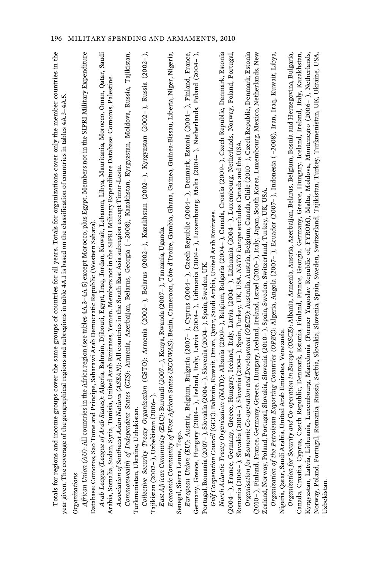| Totals for regions and income groups cover the same groups of countries for all years. Totals for organizations cover only the member countries in the<br>year given. The coverage of the geographical regions and subregions in table 4A.1 is based on the classification of countries in tables 4A.3-4A.5. |
|--------------------------------------------------------------------------------------------------------------------------------------------------------------------------------------------------------------------------------------------------------------------------------------------------------------|
| Organizations                                                                                                                                                                                                                                                                                                |
| countries in the Africa region (see tables 4.A.3–4.A.5) except Morocco, plus Egypt. Members not in the SIPRI Military Expenditure<br>Database: Comoros, Sao Tome and Principe, Saharawi Arab Democratic Republic (Western Sahara)<br>African Union (AU): All                                                 |
| <i>Arab League (League of Arab States): A</i> lgeria, Bahrain, Djibouti, Egypt, Iraq, Jordan, Kuwait, Lebanon, Libya, Mauritania, Morocco, Oman, Qatar, Saudi                                                                                                                                                |
| Arabia, Somalia, Sudan, Syria, Tunisia, United Arab Emirates, Yemen. Members not in the SIPRI Military Expenditure Database: Comoros, Palestine.                                                                                                                                                             |
| C <i>ommonwealth of Independent States</i> (CIS): Armenia, Azerbaijan, Belarus, Georgia ( –2008), Kazakhstan, Kyrgyzstan, Moldova, Russia, Tajikistan,<br>Asian Nations (ASEAN): All countries in the South East Asia subregion except Timor-Leste.<br>Association of Southeast                              |
| Turkmenistan, Ukraine, Uzbekistan                                                                                                                                                                                                                                                                            |
| Collective Security Treaty Organization (CSTO): Armenia (2002-), Belarus (2002-), Kazakhstan (2002-), Kyrgyzstan (2002-), Russia (2002-),                                                                                                                                                                    |
| Tajikistan (2002-), Uzbekistan (2006-                                                                                                                                                                                                                                                                        |
| East African Community (EAC): Burundi (2007-), Kenya, Rwanda (2007-), Tanzania, Uganda.                                                                                                                                                                                                                      |
| Economic Community of West African States (ECOWAS): Benin, Cameroon, Côte d'Ivoire, Gambia, Ghana, Guinea, Guinea-Bissau, Liberia, Nigeria,                                                                                                                                                                  |
| Senegal, Sierra Leone, Tog                                                                                                                                                                                                                                                                                   |
| Austria, Belgium, Bulgaria (2007– ), Cyprus (2004– ), Czech Republic (2004– ), Denmark, Estonia (2004– ), Finland, France,<br>European Union (EU):                                                                                                                                                           |
| Germany, Greece, Hungary (2004– ), Ireland, Italy, Latvia (2004– ), Lithuania (2004– ), Luxembourg, Malta (2004– ), Netherlands, Poland (2004– ),                                                                                                                                                            |
| ), Slovakia (2004– ), Slovenia (2004– ), Spain, Sweden, UK<br>Portugal, Romania (2007–                                                                                                                                                                                                                       |
| Gulf Cooperation Council (GCC): Bahrain, Kuwait, Oman, Qatar, Saudi Arabia, United Arab Emirates                                                                                                                                                                                                             |
| North Atlantic Treaty Organization (NATO): Albania (2009–), Belgium, Bulgaria (2004–), Canada, Croatia (2009–), Czech Republic, Denmark, Estonia                                                                                                                                                             |
| (2004– ), France, Germany, Greece, Hungary, Iceland, Italy, Latvia (2004– ), Lithuania (2004– ), Luxembourg, Netherlands, Norway, Poland, Portugal,                                                                                                                                                          |
| ia (2004– ), Slovenia (2004– ), Spain, Turkey, UK, USA. NATO Europe excludes Canada and the USA<br>Romania (2004-), Slovaki                                                                                                                                                                                  |
| Organisation for Economic Co-operation and Development (OECD): Australia, Austria, Belgium, Canada, Chile (2010– ), Czech Republic, Denmark, Estonia                                                                                                                                                         |
| Germany, Greece, Hungary, Iceland, Ireland, Israel (2010– ), Italy, Japan, South Korea, Luxembourg, Mexico, Netherlands, New<br>(2010-), Finland, France,                                                                                                                                                    |
| Portugal, Slovakia, Slovenia (2010–), Spain, Sweden, Switzerland, Turkey, UK, USA<br>Zealand, Norway, Poland,                                                                                                                                                                                                |
| Organization of the Petroleum Exporting Countries (OPEC): Algeria, Angola (2007– ), Ecuador (2007– ), Indonesia (-2008), Iran, Iraq, Kuwait, Libya,                                                                                                                                                          |
| Nigeria, Qatar, Saudi Arabia, United Arab Emirates, Venezuela                                                                                                                                                                                                                                                |
| <i>Organization for Security and Co-operation in Europe (OSCE): A</i> lbania, Armenia, Austria, Azerbaijan, Belarus, Belgium, Bosnia and Herzegovina, Bulgaria,                                                                                                                                              |
| Czech Republic, Denmark, Estonia, Finland, France, Georgia, Germany, Greece, Hungary, Iceland, Ireland, Italy, Kazakhstan,<br>Canada, Croatia, Cyprus,                                                                                                                                                       |
| Kyrgyzstan, Latvia, Lithuania, Luxembourg, Macedonia (Former Yugoslav Republic of, FYROM), Malta, Moldova, Montenegro (2006– ), Netherlands,                                                                                                                                                                 |
| Romania, Russia, Serbia, Slovakia, Slovenia, Spain, Sweden, Switzerland, Tajikistan, Turkey, Turkmenistan, UK, Ukraine, USA.<br>Norway, Poland, Portugal,                                                                                                                                                    |
| Uzbekistan.                                                                                                                                                                                                                                                                                                  |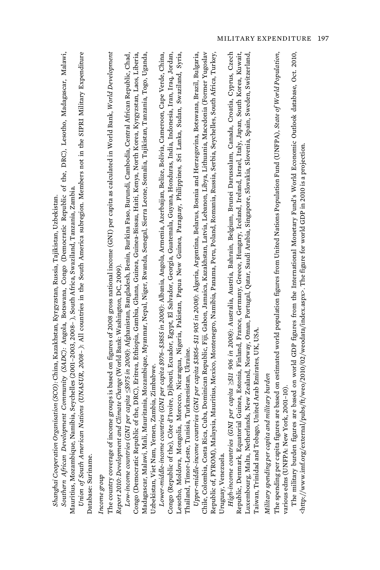| The country coverage of income groups is based on figures of 2008 gross national income (GNI) per capita as calculated in World Bank, World Development<br>Southern African Development Community (SADC): Angola, Botswana, Congo (Democratic Republic of the, DRC), Lesotho, Madagascar, Malawi,<br>Union of South American Nations (UNASUR, 2008-): All countries in the South America subregion. Members not in the SIPRI Military Expenditure<br>ic of the, DRC), Eritrea, Ethiopia, Gambia, Ghana, Guinea, Guinea-Bissau, Haiti, Kenya, North Korea, Kyrgyzstan, Laos, Liberia,<br>Mauritania, Mozambique, Myanmar, Nepal, Niger, Rwanda, Senegal, Sierra Leone, Somalia, Tajikistan, Tanzania, Togo, Uganda,<br>Low-income countries (GNI per capita <\$975 in 2008): Afghanistan, Bangladesh, Benin, Burkina Faso, Burundi, Cambodia, Central African Republic, Chad,<br>Mauritius, Mozambique, Namibia, Seychelles (2001–2003, 2008– ), South Africa, Swaziland, Tanzania, Zambia.<br>Report 2010: Development and Climate Change (World Bank: Washington, DC, 2009).<br>Uzbekistan, Viet Nam, Yemen, Zambia, Zimbabwe.<br>Congo (Democratic Republ<br>Madagascar, Malawi, Mali,<br>Database: Suriname.<br>Income group | Congo (Republic of the), Côte d'Ivoire, Djibouti, Ecuador, Egypt, El Salvador, Georgia, Guatemala, Guyana, Honduras, India, Indonesia, Iran, Iraq, Jordan,<br>Lesotho, Moldova, Mongolia, Morocco, Nicaragua, Nigeria, Pakistan, Papua New Guinea, Paraguay, Philippines, Sri Lanka, Sudan, Swaziland, Syria,<br><i>Lower-middle-income countries (GNI per capita \$976–\$3855 in 2008):</i> Albania, Angola, Armenia, Azerbaijan, Belize, Bolivia, Cameroon, Cape Verde, China,<br>Thailand, Timor-Leste, Tunisia, Turkmenistan, Ukraine. | Upper-middle-income countries (GNI per capita \$3856-\$11 905 in 2008): Algeria, Argentina, Belarus, Bosnia and Herzegovina, Botswana, Brazil, Bulgaria,<br>Republic of, FYROM), Malaysia, Mauritius, Mexico, Montenegro, Namibia, Panama, Peru, Poland, Romania, Russia, Serbia, Seychelles, South Africa, Turkey,<br>Chile, Colombia, Costa Rica, Cuba, Dominican Republic, Fiji, Gabon, Jamaica, Kazakhstan, Latvia, Lebanon, Libya, Lithuania, Macedonia (Former Yugoslav<br>Uruguay, Venezuela. | <i>High-income countries (GNI per capita ≥\$11 906 in 2008):</i> Australia, Austria, Bahrain, Belgium, Brunei Darussalam, Canada, Croatia, Cyprus, Czech<br>Republic, Denmark, Equatorial Guinea, Estonia, Finland, France, Germany, G<br>Luxembourg, Malta, Netherlands, New Zealand, Norway, Oman, Portugal, Qatar, Saudi Arabia, Singapore, Slovakia, Slovenia, Spain, Sweden, Switzerland,<br>Taiwan, Trinidad and Tobago, United Arab Emirates, UK, USA.<br>Military spending per capita and military burden | The spending per capita figures are based on estimated world population figures from United Nations Population Fund (UNFPA), State of World Population,<br>The military burden figures are based on world GDP figures from the International Monetary Fund's World Economic Outlook database, Oct. 2010,<br><http: 02="" 2010="" external="" ft="" index.aspx="" pubs="" weo="" weodata="" www.imf.org="">. The figure for world GDP in 2010 is a projection.<br/>various edns (UNFPA: New York, 2001-10)</http:> |
|---------------------------------------------------------------------------------------------------------------------------------------------------------------------------------------------------------------------------------------------------------------------------------------------------------------------------------------------------------------------------------------------------------------------------------------------------------------------------------------------------------------------------------------------------------------------------------------------------------------------------------------------------------------------------------------------------------------------------------------------------------------------------------------------------------------------------------------------------------------------------------------------------------------------------------------------------------------------------------------------------------------------------------------------------------------------------------------------------------------------------------------------------------------------------------------------------------------------------------|--------------------------------------------------------------------------------------------------------------------------------------------------------------------------------------------------------------------------------------------------------------------------------------------------------------------------------------------------------------------------------------------------------------------------------------------------------------------------------------------------------------------------------------------|------------------------------------------------------------------------------------------------------------------------------------------------------------------------------------------------------------------------------------------------------------------------------------------------------------------------------------------------------------------------------------------------------------------------------------------------------------------------------------------------------|-------------------------------------------------------------------------------------------------------------------------------------------------------------------------------------------------------------------------------------------------------------------------------------------------------------------------------------------------------------------------------------------------------------------------------------------------------------------------------------------------------------------|-------------------------------------------------------------------------------------------------------------------------------------------------------------------------------------------------------------------------------------------------------------------------------------------------------------------------------------------------------------------------------------------------------------------------------------------------------------------------------------------------------------------|
|---------------------------------------------------------------------------------------------------------------------------------------------------------------------------------------------------------------------------------------------------------------------------------------------------------------------------------------------------------------------------------------------------------------------------------------------------------------------------------------------------------------------------------------------------------------------------------------------------------------------------------------------------------------------------------------------------------------------------------------------------------------------------------------------------------------------------------------------------------------------------------------------------------------------------------------------------------------------------------------------------------------------------------------------------------------------------------------------------------------------------------------------------------------------------------------------------------------------------------|--------------------------------------------------------------------------------------------------------------------------------------------------------------------------------------------------------------------------------------------------------------------------------------------------------------------------------------------------------------------------------------------------------------------------------------------------------------------------------------------------------------------------------------------|------------------------------------------------------------------------------------------------------------------------------------------------------------------------------------------------------------------------------------------------------------------------------------------------------------------------------------------------------------------------------------------------------------------------------------------------------------------------------------------------------|-------------------------------------------------------------------------------------------------------------------------------------------------------------------------------------------------------------------------------------------------------------------------------------------------------------------------------------------------------------------------------------------------------------------------------------------------------------------------------------------------------------------|-------------------------------------------------------------------------------------------------------------------------------------------------------------------------------------------------------------------------------------------------------------------------------------------------------------------------------------------------------------------------------------------------------------------------------------------------------------------------------------------------------------------|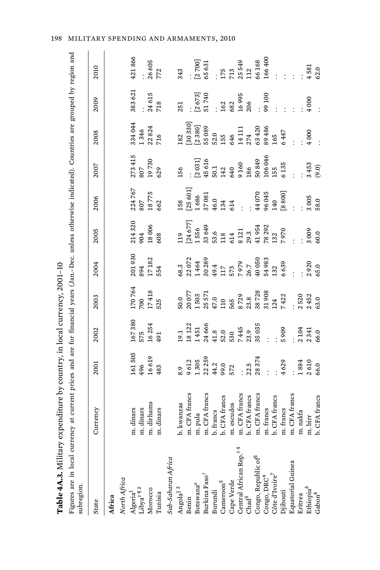| Table 4A.3. Military expenditure by country, in local currency, 2001-10                                                                                                                                                                                                         |               |                        |                                      |                                |                                                           |                          |                                                                 |                                                                   |                                                                 |                   |                      |
|---------------------------------------------------------------------------------------------------------------------------------------------------------------------------------------------------------------------------------------------------------------------------------|---------------|------------------------|--------------------------------------|--------------------------------|-----------------------------------------------------------|--------------------------|-----------------------------------------------------------------|-------------------------------------------------------------------|-----------------------------------------------------------------|-------------------|----------------------|
| Figures are in local currency at current prices and are for financial years (Jan.-Dec. unless otherwise indicated). Countries are grouped by region and<br>subregion.                                                                                                           |               |                        |                                      |                                |                                                           |                          |                                                                 |                                                                   |                                                                 |                   |                      |
| State                                                                                                                                                                                                                                                                           | Currency      | 2001                   | 2002                                 | 2003                           | 2004                                                      | 2005                     | 2006                                                            | 2007                                                              | 2008                                                            | 2009              | 2010                 |
| Africa                                                                                                                                                                                                                                                                          |               |                        |                                      |                                |                                                           |                          |                                                                 |                                                                   |                                                                 |                   |                      |
| North Africa                                                                                                                                                                                                                                                                    |               |                        |                                      |                                |                                                           |                          |                                                                 |                                                                   |                                                                 |                   |                      |
|                                                                                                                                                                                                                                                                                 | m. dinars     |                        |                                      |                                |                                                           |                          |                                                                 |                                                                   | 334 044                                                         | 383621            | 421866               |
|                                                                                                                                                                                                                                                                                 | m. dinars     | 161505<br>496          | 167380<br>575                        | 170 764<br>700                 |                                                           | 214320<br>904            | 224767<br>807                                                   |                                                                   | 1346                                                            |                   |                      |
|                                                                                                                                                                                                                                                                                 | m. dirhams    | 16619                  | 16254                                | 17418                          | $\begin{array}{c} 201\,930 \\ 894 \\ 17\,182 \end{array}$ | 18006                    |                                                                 | $\begin{array}{l} 273\ 415 \\ 807 \\ 19\ 730 \\ 629 \end{array}$  | 22824                                                           | 24615             | $\frac{26605}{772}$  |
| Algeria <sup>1</sup><br>Libya <sup>‡ ¶ 2</sup><br>Morocco<br>Tunisia                                                                                                                                                                                                            | dinars<br>g   | 483                    | 491                                  | 525                            | 554                                                       | 608                      | 18775<br>662                                                    |                                                                   | 716                                                             | 718               |                      |
| Sub-Saharan Africa                                                                                                                                                                                                                                                              |               |                        |                                      |                                |                                                           |                          |                                                                 |                                                                   |                                                                 |                   |                      |
| Angola $\parallel$ <sup>3</sup>                                                                                                                                                                                                                                                 | b. kwanzas    |                        | 19.1                                 | 50.0                           |                                                           |                          | 158                                                             | 156                                                               | 182                                                             | 251               | 343                  |
|                                                                                                                                                                                                                                                                                 | m. CFA francs |                        |                                      |                                | 68.3<br>22 072                                            |                          |                                                                 |                                                                   |                                                                 |                   |                      |
| Benin<br>Botswana <sup>a</sup><br>Burkina Faso <sup>†</sup>                                                                                                                                                                                                                     | m. pula       | 9612<br>1305           | 18 122<br>1451                       | 20 077<br>1 503                | 1464                                                      | 119<br>[24 677]<br>1 556 | $\begin{bmatrix} 25 & 601 \\ 1 & 686 \\ 37 & 081 \end{bmatrix}$ |                                                                   | $\begin{bmatrix} 30 & 330 \\ 2 & 380 \\ 55 & 089 \end{bmatrix}$ |                   |                      |
|                                                                                                                                                                                                                                                                                 | m. CFA francs |                        | 24 666                               |                                | 30289                                                     | 33649                    |                                                                 | $\begin{array}{l} [2\ 031] \\ 45\ 616 \\ 50.1 \\ 142 \end{array}$ |                                                                 | $[2673]$<br>51740 | $[2700]$<br>65631    |
|                                                                                                                                                                                                                                                                                 | b. francs     |                        |                                      | 25 571<br>47.0<br>110          |                                                           |                          |                                                                 |                                                                   |                                                                 |                   |                      |
| $\begin{array}{ll} {\rm Burundi} & \\ {\rm Cancer von}^{\S} \end{array}$                                                                                                                                                                                                        | b. CFA francs | 22 259<br>44.2<br>99.0 | $41.8$<br>52.0                       |                                |                                                           | 53.6<br>118<br>614       | 46.0<br>134                                                     |                                                                   | $52.0$<br>155                                                   | 162               | 175<br>713<br>25 549 |
|                                                                                                                                                                                                                                                                                 | m. escudos    | 572                    |                                      |                                |                                                           |                          | 614                                                             | 640                                                               | 646                                                             | 682               |                      |
|                                                                                                                                                                                                                                                                                 | m. CFA francs |                        | $530$<br>$7445$<br>$23.9$<br>$35035$ |                                |                                                           | 8 1 2 1                  |                                                                 | 9160                                                              | 14 1 11                                                         | 16995             |                      |
|                                                                                                                                                                                                                                                                                 | b. CFA francs | 22.5                   |                                      |                                |                                                           |                          |                                                                 |                                                                   | 274                                                             | 206               |                      |
| $\begin{array}{l} \text{Cap Verde} \\ \text{Central African Rep.}^{\ddag}, \\ \text{Chad}^{\text{S}} \\ \text{Congo, Republic of}^{\text{S}} \\ \text{Congo, DRC}^{\text{S}} \\ \text{Coage, DRC}^{\text{S}} \\ \text{Cote d'Ivoire}^{\text{S}} \\ \text{Djibouti} \end{array}$ | m. CFA francs | 28374                  |                                      | 565<br>8 729<br>23.8<br>38 728 | 49.4<br>117<br>573<br>7 979<br>40 050<br>40 050           | 29.3<br>41 954<br>78 292 | 44 070<br>96 045                                                | 186<br>50 849<br>106 046                                          | 63 420<br>89 486<br>165                                         |                   | 112<br>66168         |
|                                                                                                                                                                                                                                                                                 | m. francs     |                        |                                      | 31908                          | 54983                                                     |                          |                                                                 |                                                                   |                                                                 | 90100             | 166400               |
|                                                                                                                                                                                                                                                                                 | b. CFA francs |                        |                                      | 124<br>7422                    | 132                                                       | 132                      | 140                                                             | 155                                                               |                                                                 |                   |                      |
|                                                                                                                                                                                                                                                                                 | m. francs     | 4629                   | 5909                                 |                                | 6639                                                      | 7970                     | $\left[ 8\,800\right]$                                          | 6135                                                              | 6447                                                            |                   |                      |
| Equatorial Guinea<br>Eritrea                                                                                                                                                                                                                                                    | m. CFA francs |                        |                                      |                                |                                                           |                          |                                                                 |                                                                   |                                                                 |                   |                      |
|                                                                                                                                                                                                                                                                                 | m. nakfa      | 1884                   | 2104                                 | 2520                           |                                                           |                          |                                                                 |                                                                   |                                                                 |                   |                      |
| $\frac{\text{Ethiopia}^b}{\text{Gabon}^8}$                                                                                                                                                                                                                                      | m. birr       | 2610<br>66.0           | 2341                                 | 2452<br>63.0                   | 2920                                                      | 3009                     | 3 005<br>58.0                                                   | 3453<br>(9.0)                                                     | 4000                                                            | 4000              | 4581                 |
|                                                                                                                                                                                                                                                                                 | b. CFA francs |                        | 66.0                                 |                                | 65.0                                                      | 60.0                     |                                                                 |                                                                   |                                                                 |                   | 62.0                 |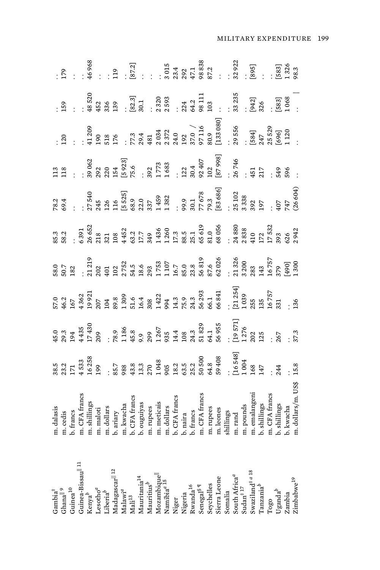| $\begin{array}{c} \text{Gambia}^{\ddagger}\\ \text{Ghana}^{\parallel\,9} \end{array}$                                                                                                                                                                                                                                                                   | m. dalasis<br>m. cedis                                                                                                                                                                                                                                        | $\begin{array}{cccccccccccc} 35.3 & 38.8 & 38.8 & 37.8 & 38.8 & 37.8 & 37.8 & 38.8 & 37.8 & 37.8 & 38.8 & 37.8 & 37.8 & 38.8 & 37.8 & 37.8 & 38.8 & 37.8 & 37.8 & 38.8 & 37.8 & 38.8 & 37.8 & 38.8 & 37.8 & 38.8 & 37.8 & 38.8 & 39.8 & 39.8 & 39.8 & 39.8 & 39.8 & 39.8 & 39.8 & $ |  |  | $\begin{array}{lllllllllllllllllll} \mathcal{R} & \mathcal{R} & \mathcal{R} & \mathcal{R} & \mathcal{R} & \mathcal{R} & \mathcal{R} & \mathcal{R} & \mathcal{R} & \mathcal{R} & \mathcal{R} & \mathcal{R} & \mathcal{R} & \mathcal{R} & \mathcal{R} & \mathcal{R} & \mathcal{R} & \mathcal{R} & \mathcal{R} & \mathcal{R} & \mathcal{R} & \mathcal{R} & \mathcal{R} & \mathcal{R} & \mathcal{R} & \mathcal{R} & \mathcal{R} & \mathcal{R} & \mathcal{R} & \$ | $\begin{array}{lllllllllllllllll} \texttt{11} & \texttt{12} & \texttt{13} & \texttt{14} & \texttt{15} & \texttt{16} & \texttt{17} \\ \texttt{11} & \texttt{12} & \texttt{13} & \texttt{16} & \texttt{17} & \texttt{18} & \texttt{18} & \texttt{18} \\ \texttt{15} & \texttt{16} & \texttt{17} & \texttt{18} & \texttt{18} & \texttt{18} & \texttt{18} & \texttt{18} & \texttt{18} \\ \texttt{17} & \texttt{1$ | $\begin{array}{lllllllllllll} \texttt{.3}\ & 0 & 0 & 0 & 0 \\ \texttt{.4}\ & 0 & 0 & 0 & 0 \\ \texttt{.5}\ & 0 & 0 & 0 & 0 \\ \texttt{.6}\ & 0 & 0 & 0 & 0 \\ \texttt{.7}\ & 0 & 0 & 0 & 0 \\ \texttt{.8}\ & 0 & 0 & 0 & 0 \\ \texttt{.9}\ & 0 & 0 & 0 & 0 \\ \texttt{.1}\ & 0 & 0 & 0 & 0 \\ \texttt{.1}\ & 0 & 0 & 0 & 0 \\ \texttt{.1}\ & 0 & 0 & 0 & 0 \\ \texttt{.2}\$ | $\begin{array}{cccccccccc} .5 & .8 & .8 & .7 & .7 & .7 & .8 & .8 & .7 & .7 & .8 & .7 & .8 & .7 & .7 & .8 & .7 & .8 & .7 & .7 & .8 & .7 & .8 & .7 & .7 & .8 & .7 & .8 & .7 & .8 & .7 & .8 & .7 & .8 & .7 & .8 & .7 & .8 & .7 & .8 & .7 & .8 & .7 & .8 & .7 & .8 & .7 & .8 & .7 & .8 & .7 & .8 & .7 & .8 & .7 & .8 & .7 & .8 & .7 & .8 & .7 & .8 & .7 & .8 & .7 & .8 & .7 & .8 & .7 & .8 & .$ |
|---------------------------------------------------------------------------------------------------------------------------------------------------------------------------------------------------------------------------------------------------------------------------------------------------------------------------------------------------------|---------------------------------------------------------------------------------------------------------------------------------------------------------------------------------------------------------------------------------------------------------------|-------------------------------------------------------------------------------------------------------------------------------------------------------------------------------------------------------------------------------------------------------------------------------------|--|--|--------------------------------------------------------------------------------------------------------------------------------------------------------------------------------------------------------------------------------------------------------------------------------------------------------------------------------------------------------------------------------------------------------------------------------------------------------------|---------------------------------------------------------------------------------------------------------------------------------------------------------------------------------------------------------------------------------------------------------------------------------------------------------------------------------------------------------------------------------------------------------------|-----------------------------------------------------------------------------------------------------------------------------------------------------------------------------------------------------------------------------------------------------------------------------------------------------------------------------------------------------------------------------|---------------------------------------------------------------------------------------------------------------------------------------------------------------------------------------------------------------------------------------------------------------------------------------------------------------------------------------------------------------------------------------------|
| Guinea $^{10}$                                                                                                                                                                                                                                                                                                                                          | b. francs                                                                                                                                                                                                                                                     |                                                                                                                                                                                                                                                                                     |  |  |                                                                                                                                                                                                                                                                                                                                                                                                                                                              |                                                                                                                                                                                                                                                                                                                                                                                                               |                                                                                                                                                                                                                                                                                                                                                                             |                                                                                                                                                                                                                                                                                                                                                                                             |
|                                                                                                                                                                                                                                                                                                                                                         |                                                                                                                                                                                                                                                               |                                                                                                                                                                                                                                                                                     |  |  |                                                                                                                                                                                                                                                                                                                                                                                                                                                              |                                                                                                                                                                                                                                                                                                                                                                                                               |                                                                                                                                                                                                                                                                                                                                                                             |                                                                                                                                                                                                                                                                                                                                                                                             |
|                                                                                                                                                                                                                                                                                                                                                         |                                                                                                                                                                                                                                                               |                                                                                                                                                                                                                                                                                     |  |  |                                                                                                                                                                                                                                                                                                                                                                                                                                                              |                                                                                                                                                                                                                                                                                                                                                                                                               |                                                                                                                                                                                                                                                                                                                                                                             |                                                                                                                                                                                                                                                                                                                                                                                             |
| $\begin{array}{l} \mbox{Guinea-Bissaul}{}^{  \ \ 11} \\ \mbox{Kenya}^b \\ \mbox{Lesotho}^a \end{array}$                                                                                                                                                                                                                                                 |                                                                                                                                                                                                                                                               |                                                                                                                                                                                                                                                                                     |  |  |                                                                                                                                                                                                                                                                                                                                                                                                                                                              |                                                                                                                                                                                                                                                                                                                                                                                                               |                                                                                                                                                                                                                                                                                                                                                                             |                                                                                                                                                                                                                                                                                                                                                                                             |
|                                                                                                                                                                                                                                                                                                                                                         |                                                                                                                                                                                                                                                               |                                                                                                                                                                                                                                                                                     |  |  |                                                                                                                                                                                                                                                                                                                                                                                                                                                              |                                                                                                                                                                                                                                                                                                                                                                                                               |                                                                                                                                                                                                                                                                                                                                                                             |                                                                                                                                                                                                                                                                                                                                                                                             |
|                                                                                                                                                                                                                                                                                                                                                         |                                                                                                                                                                                                                                                               |                                                                                                                                                                                                                                                                                     |  |  |                                                                                                                                                                                                                                                                                                                                                                                                                                                              |                                                                                                                                                                                                                                                                                                                                                                                                               |                                                                                                                                                                                                                                                                                                                                                                             |                                                                                                                                                                                                                                                                                                                                                                                             |
| $\begin{array}{l} \text{Liberia}^b \\ \text{Madaggacar}^{\parallel 12} \\ \text{Malawa}^q \\ \text{Mali}^{13} \\ \end{array}$                                                                                                                                                                                                                           |                                                                                                                                                                                                                                                               |                                                                                                                                                                                                                                                                                     |  |  |                                                                                                                                                                                                                                                                                                                                                                                                                                                              |                                                                                                                                                                                                                                                                                                                                                                                                               |                                                                                                                                                                                                                                                                                                                                                                             |                                                                                                                                                                                                                                                                                                                                                                                             |
|                                                                                                                                                                                                                                                                                                                                                         |                                                                                                                                                                                                                                                               |                                                                                                                                                                                                                                                                                     |  |  |                                                                                                                                                                                                                                                                                                                                                                                                                                                              |                                                                                                                                                                                                                                                                                                                                                                                                               |                                                                                                                                                                                                                                                                                                                                                                             |                                                                                                                                                                                                                                                                                                                                                                                             |
| Mauritania <sup>14</sup>                                                                                                                                                                                                                                                                                                                                |                                                                                                                                                                                                                                                               |                                                                                                                                                                                                                                                                                     |  |  |                                                                                                                                                                                                                                                                                                                                                                                                                                                              |                                                                                                                                                                                                                                                                                                                                                                                                               |                                                                                                                                                                                                                                                                                                                                                                             |                                                                                                                                                                                                                                                                                                                                                                                             |
|                                                                                                                                                                                                                                                                                                                                                         |                                                                                                                                                                                                                                                               |                                                                                                                                                                                                                                                                                     |  |  |                                                                                                                                                                                                                                                                                                                                                                                                                                                              |                                                                                                                                                                                                                                                                                                                                                                                                               |                                                                                                                                                                                                                                                                                                                                                                             |                                                                                                                                                                                                                                                                                                                                                                                             |
|                                                                                                                                                                                                                                                                                                                                                         |                                                                                                                                                                                                                                                               |                                                                                                                                                                                                                                                                                     |  |  |                                                                                                                                                                                                                                                                                                                                                                                                                                                              |                                                                                                                                                                                                                                                                                                                                                                                                               |                                                                                                                                                                                                                                                                                                                                                                             |                                                                                                                                                                                                                                                                                                                                                                                             |
|                                                                                                                                                                                                                                                                                                                                                         |                                                                                                                                                                                                                                                               |                                                                                                                                                                                                                                                                                     |  |  |                                                                                                                                                                                                                                                                                                                                                                                                                                                              |                                                                                                                                                                                                                                                                                                                                                                                                               |                                                                                                                                                                                                                                                                                                                                                                             |                                                                                                                                                                                                                                                                                                                                                                                             |
|                                                                                                                                                                                                                                                                                                                                                         |                                                                                                                                                                                                                                                               |                                                                                                                                                                                                                                                                                     |  |  |                                                                                                                                                                                                                                                                                                                                                                                                                                                              |                                                                                                                                                                                                                                                                                                                                                                                                               |                                                                                                                                                                                                                                                                                                                                                                             |                                                                                                                                                                                                                                                                                                                                                                                             |
|                                                                                                                                                                                                                                                                                                                                                         |                                                                                                                                                                                                                                                               |                                                                                                                                                                                                                                                                                     |  |  |                                                                                                                                                                                                                                                                                                                                                                                                                                                              |                                                                                                                                                                                                                                                                                                                                                                                                               |                                                                                                                                                                                                                                                                                                                                                                             |                                                                                                                                                                                                                                                                                                                                                                                             |
|                                                                                                                                                                                                                                                                                                                                                         |                                                                                                                                                                                                                                                               |                                                                                                                                                                                                                                                                                     |  |  |                                                                                                                                                                                                                                                                                                                                                                                                                                                              |                                                                                                                                                                                                                                                                                                                                                                                                               |                                                                                                                                                                                                                                                                                                                                                                             |                                                                                                                                                                                                                                                                                                                                                                                             |
| $\begin{array}{l} \text{Mauritius}^b \\ \text{Mozambiquell} \\ \text{Numibia}^{d} \\ \text{Nigerr} \\ \text{Wigerra} \\ \text{Rwand}^{\text{16}} \\ \text{Swand}^{\text{16}} \\ \text{Senegal}^{\text{S}} \\ \text{Seregall} \\ \text{Sierra Leone} \\ \text{Somalia} \\ \text{Somalia} \\ \text{Somalia} \\ \text{Sudan}^{\text{1 } J} \\ \end{array}$ | m. CFA francs<br>m. shillings<br>m. andolars<br>m. andolars<br>b. ariary<br>b. CFA francs<br>b. CFA francs<br>m. rupees<br>m. andolars<br>m. dollars<br>b. CFA francs<br>b. CFA francs<br>b. CFA francs<br>b. CFA francs<br>m. dollars<br>b. CFA francs<br>m. |                                                                                                                                                                                                                                                                                     |  |  |                                                                                                                                                                                                                                                                                                                                                                                                                                                              |                                                                                                                                                                                                                                                                                                                                                                                                               |                                                                                                                                                                                                                                                                                                                                                                             |                                                                                                                                                                                                                                                                                                                                                                                             |
|                                                                                                                                                                                                                                                                                                                                                         |                                                                                                                                                                                                                                                               |                                                                                                                                                                                                                                                                                     |  |  |                                                                                                                                                                                                                                                                                                                                                                                                                                                              |                                                                                                                                                                                                                                                                                                                                                                                                               |                                                                                                                                                                                                                                                                                                                                                                             |                                                                                                                                                                                                                                                                                                                                                                                             |
|                                                                                                                                                                                                                                                                                                                                                         |                                                                                                                                                                                                                                                               |                                                                                                                                                                                                                                                                                     |  |  |                                                                                                                                                                                                                                                                                                                                                                                                                                                              |                                                                                                                                                                                                                                                                                                                                                                                                               |                                                                                                                                                                                                                                                                                                                                                                             |                                                                                                                                                                                                                                                                                                                                                                                             |
|                                                                                                                                                                                                                                                                                                                                                         |                                                                                                                                                                                                                                                               |                                                                                                                                                                                                                                                                                     |  |  |                                                                                                                                                                                                                                                                                                                                                                                                                                                              |                                                                                                                                                                                                                                                                                                                                                                                                               |                                                                                                                                                                                                                                                                                                                                                                             |                                                                                                                                                                                                                                                                                                                                                                                             |
|                                                                                                                                                                                                                                                                                                                                                         |                                                                                                                                                                                                                                                               |                                                                                                                                                                                                                                                                                     |  |  |                                                                                                                                                                                                                                                                                                                                                                                                                                                              |                                                                                                                                                                                                                                                                                                                                                                                                               |                                                                                                                                                                                                                                                                                                                                                                             |                                                                                                                                                                                                                                                                                                                                                                                             |
|                                                                                                                                                                                                                                                                                                                                                         |                                                                                                                                                                                                                                                               |                                                                                                                                                                                                                                                                                     |  |  |                                                                                                                                                                                                                                                                                                                                                                                                                                                              |                                                                                                                                                                                                                                                                                                                                                                                                               |                                                                                                                                                                                                                                                                                                                                                                             |                                                                                                                                                                                                                                                                                                                                                                                             |
| Swaziland <sup>‡ a 18</sup><br>Tanzania <sup>b</sup>                                                                                                                                                                                                                                                                                                    | m. emalangeni<br>b. shillings<br>m. CFA francs<br>b. shillings                                                                                                                                                                                                |                                                                                                                                                                                                                                                                                     |  |  |                                                                                                                                                                                                                                                                                                                                                                                                                                                              |                                                                                                                                                                                                                                                                                                                                                                                                               |                                                                                                                                                                                                                                                                                                                                                                             |                                                                                                                                                                                                                                                                                                                                                                                             |
|                                                                                                                                                                                                                                                                                                                                                         |                                                                                                                                                                                                                                                               |                                                                                                                                                                                                                                                                                     |  |  |                                                                                                                                                                                                                                                                                                                                                                                                                                                              |                                                                                                                                                                                                                                                                                                                                                                                                               |                                                                                                                                                                                                                                                                                                                                                                             |                                                                                                                                                                                                                                                                                                                                                                                             |
|                                                                                                                                                                                                                                                                                                                                                         |                                                                                                                                                                                                                                                               |                                                                                                                                                                                                                                                                                     |  |  |                                                                                                                                                                                                                                                                                                                                                                                                                                                              |                                                                                                                                                                                                                                                                                                                                                                                                               |                                                                                                                                                                                                                                                                                                                                                                             |                                                                                                                                                                                                                                                                                                                                                                                             |
| Togo $_{\rm Uganda}^b$                                                                                                                                                                                                                                                                                                                                  |                                                                                                                                                                                                                                                               |                                                                                                                                                                                                                                                                                     |  |  |                                                                                                                                                                                                                                                                                                                                                                                                                                                              |                                                                                                                                                                                                                                                                                                                                                                                                               |                                                                                                                                                                                                                                                                                                                                                                             |                                                                                                                                                                                                                                                                                                                                                                                             |
| Zambia                                                                                                                                                                                                                                                                                                                                                  | b. kwacha                                                                                                                                                                                                                                                     |                                                                                                                                                                                                                                                                                     |  |  |                                                                                                                                                                                                                                                                                                                                                                                                                                                              |                                                                                                                                                                                                                                                                                                                                                                                                               |                                                                                                                                                                                                                                                                                                                                                                             |                                                                                                                                                                                                                                                                                                                                                                                             |
| Zimbabwe <sup>19</sup>                                                                                                                                                                                                                                                                                                                                  | m. dollars/m. US\$                                                                                                                                                                                                                                            |                                                                                                                                                                                                                                                                                     |  |  |                                                                                                                                                                                                                                                                                                                                                                                                                                                              |                                                                                                                                                                                                                                                                                                                                                                                                               |                                                                                                                                                                                                                                                                                                                                                                             |                                                                                                                                                                                                                                                                                                                                                                                             |
|                                                                                                                                                                                                                                                                                                                                                         |                                                                                                                                                                                                                                                               |                                                                                                                                                                                                                                                                                     |  |  |                                                                                                                                                                                                                                                                                                                                                                                                                                                              |                                                                                                                                                                                                                                                                                                                                                                                                               |                                                                                                                                                                                                                                                                                                                                                                             |                                                                                                                                                                                                                                                                                                                                                                                             |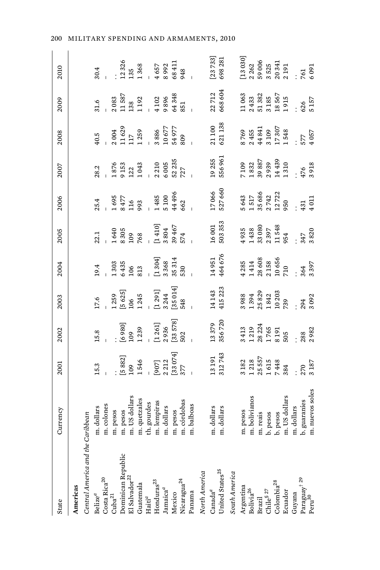| State                                                                              | Currency        | 2001                                                                                            | 2002                                                          | 2003                                                                                                                           | 2004                                                                                             | 2005                                                      | 2006                                              | 2007                                                       | 2008                                                | 2009                                                                                                  | 2010                                                                                                                         |
|------------------------------------------------------------------------------------|-----------------|-------------------------------------------------------------------------------------------------|---------------------------------------------------------------|--------------------------------------------------------------------------------------------------------------------------------|--------------------------------------------------------------------------------------------------|-----------------------------------------------------------|---------------------------------------------------|------------------------------------------------------------|-----------------------------------------------------|-------------------------------------------------------------------------------------------------------|------------------------------------------------------------------------------------------------------------------------------|
| Americas                                                                           |                 |                                                                                                 |                                                               |                                                                                                                                |                                                                                                  |                                                           |                                                   |                                                            |                                                     |                                                                                                       |                                                                                                                              |
| Central America and the Caribbean                                                  |                 |                                                                                                 |                                                               |                                                                                                                                |                                                                                                  |                                                           |                                                   |                                                            |                                                     |                                                                                                       |                                                                                                                              |
| Belize <sup><math>a</math></sup>                                                   | m. dollars      | 5.3                                                                                             | 15.8                                                          | 17.6                                                                                                                           | 19.4                                                                                             | 22.1                                                      | 25.4                                              | 28.2                                                       | 40.5                                                | $-1.6$                                                                                                | 30.4                                                                                                                         |
| $\frac{\text{Costa Rica}^{20}}{\text{Cuba}^{21}}$                                  | m. colones      |                                                                                                 |                                                               |                                                                                                                                |                                                                                                  |                                                           |                                                   |                                                            |                                                     |                                                                                                       |                                                                                                                              |
|                                                                                    | m. pesos        |                                                                                                 |                                                               | 1259                                                                                                                           |                                                                                                  |                                                           |                                                   |                                                            | 2004                                                |                                                                                                       |                                                                                                                              |
|                                                                                    | m. pesos        |                                                                                                 |                                                               |                                                                                                                                |                                                                                                  |                                                           |                                                   |                                                            |                                                     |                                                                                                       |                                                                                                                              |
| Dominican Republic<br>El Salvador <sup>22</sup><br>Guatemala<br>Haiti <sup>a</sup> | m. US dollars   | [5 882]<br>109<br>1 546                                                                         |                                                               | $\begin{bmatrix} 5 & 625 \ 106 & 1245 \ 1 & 291 \end{bmatrix}$<br>$\begin{bmatrix} 1 & 291 \ 3 & 244 \ 55 & 014 \end{bmatrix}$ | $1303$<br>$6435$<br>$106$<br>$813$                                                               | 1640<br>8305<br>768<br>768                                | 1695<br>8477<br>993<br>993                        | $\begin{array}{c} 1876 \\ 9153 \\ 122 \\ 1043 \end{array}$ | $\begin{array}{c} 11629 \\ 117 \\ 1259 \end{array}$ | $\begin{array}{r} 2\,083\\ 11\,587\\ 138\\ 1\,192\\ -\,4\,102\\ 9\,896\\ 64\,348\\ 651\\ \end{array}$ | $\begin{array}{r} 12\,326 \\ 135 \\ 1\,368 \\ -\,4\,8\,992 \\ \times\,8\,411 \\ \times\,8\,993 \\ \times\,48 \\ \end{array}$ |
|                                                                                    | m. quetzales    |                                                                                                 |                                                               |                                                                                                                                |                                                                                                  |                                                           |                                                   |                                                            |                                                     |                                                                                                       |                                                                                                                              |
|                                                                                    | th. gourdes     |                                                                                                 |                                                               |                                                                                                                                |                                                                                                  |                                                           |                                                   |                                                            |                                                     |                                                                                                       |                                                                                                                              |
| Honduras <sup>23</sup>                                                             | m. lempiras     | <br> 907]<br>2 212<br> 33 074]<br>377                                                           |                                                               |                                                                                                                                | $\frac{1}{[1\ 304]} \ \frac{3368}{35\ 314}$                                                      | -<br>[1 410]<br>3 9 467<br>574                            |                                                   | $\frac{1}{2}$ 2 210<br>6 005<br>52 235                     | 3886<br>10677<br>54977                              |                                                                                                       |                                                                                                                              |
| $Jamaica^{\mathcal{a}}$ Mexico                                                     | m. dollars      |                                                                                                 |                                                               |                                                                                                                                |                                                                                                  |                                                           | 1485<br>5100<br>44496                             |                                                            |                                                     |                                                                                                       |                                                                                                                              |
|                                                                                    | m. pesos        |                                                                                                 |                                                               |                                                                                                                                |                                                                                                  |                                                           |                                                   |                                                            |                                                     |                                                                                                       |                                                                                                                              |
|                                                                                    | m. córdobas     |                                                                                                 | $[6980]$<br>109<br>1239<br>- 1235<br>- 1261<br>[33578]<br>502 |                                                                                                                                |                                                                                                  |                                                           | 662                                               | 727                                                        | 809                                                 |                                                                                                       |                                                                                                                              |
| Nicaragua <sup>24</sup><br>Panama                                                  | m. balboas      |                                                                                                 |                                                               |                                                                                                                                |                                                                                                  |                                                           |                                                   |                                                            |                                                     |                                                                                                       |                                                                                                                              |
| North America                                                                      |                 |                                                                                                 |                                                               |                                                                                                                                |                                                                                                  |                                                           |                                                   |                                                            |                                                     |                                                                                                       |                                                                                                                              |
|                                                                                    | m. dollars      |                                                                                                 |                                                               |                                                                                                                                |                                                                                                  |                                                           |                                                   |                                                            |                                                     |                                                                                                       | $[23 733]$<br>698 281                                                                                                        |
|                                                                                    | m. dollars      | 13 191<br>312 743                                                                               | 13379<br>356720                                               | 14 143<br>415 223                                                                                                              | 14951<br>464676                                                                                  | $16001$<br>$503353$                                       | 17066<br>527660                                   | 19255<br>556961                                            | 21 100<br>621 138                                   | 22712<br>668604                                                                                       |                                                                                                                              |
| Canada <sup>a</sup><br>United States <sup>25</sup><br>South America                |                 |                                                                                                 |                                                               |                                                                                                                                |                                                                                                  |                                                           |                                                   |                                                            |                                                     |                                                                                                       |                                                                                                                              |
|                                                                                    | m. pesos        |                                                                                                 |                                                               |                                                                                                                                |                                                                                                  |                                                           |                                                   |                                                            |                                                     |                                                                                                       | $\left[ 13~030 \right]$                                                                                                      |
|                                                                                    | m. bolivianos   | $\begin{array}{c} 3\ 182 \\ 1\ 218 \\ 25\ 557 \\ 1\ 615 \\ 7\ 448 \\ 7\ 448 \\ 384 \end{array}$ | 3 413<br>1 219<br>28 224<br>1 765<br>8 191<br>505             | 3988<br>1394<br>25829                                                                                                          |                                                                                                  | $4935$<br>$1438$<br>$33080$<br>$2397$<br>$11548$<br>$954$ | 5 643<br>1 517<br>35 686<br>2 742<br>2 722<br>950 |                                                            | 8 769<br>2 455<br>44 841                            | $\begin{array}{c} 11\,063 \\ 2\,433 \\ 51\,382 \\ 3\,185 \\ 18\,567 \\ 19\,15 \end{array}$            |                                                                                                                              |
|                                                                                    | m. reais        |                                                                                                 |                                                               |                                                                                                                                |                                                                                                  |                                                           |                                                   |                                                            |                                                     |                                                                                                       |                                                                                                                              |
|                                                                                    | b. pesos        |                                                                                                 |                                                               |                                                                                                                                |                                                                                                  |                                                           |                                                   |                                                            |                                                     |                                                                                                       |                                                                                                                              |
|                                                                                    | b. pesos        |                                                                                                 |                                                               |                                                                                                                                |                                                                                                  |                                                           |                                                   |                                                            |                                                     |                                                                                                       |                                                                                                                              |
| Ecuador                                                                            | m. US dollars   |                                                                                                 |                                                               | $\frac{1842}{10203}$                                                                                                           | $\begin{array}{l} 4\,285 \\ 1\,414 \\ 28\,608 \\ 2\,158 \\ 10\,656 \\ 710 \\ 710 \\ \end{array}$ |                                                           |                                                   | 7109<br>1832<br>39 887<br>2939<br>14439<br>14439           | $\frac{3109}{17307}$<br>1548                        |                                                                                                       | 2 262<br>59 006<br>5 5 25<br>20 341<br>2 1 9 1                                                                               |
| Guyana                                                                             | m. dollars      |                                                                                                 |                                                               |                                                                                                                                |                                                                                                  |                                                           |                                                   |                                                            |                                                     |                                                                                                       |                                                                                                                              |
| $\mathrm{Paraguay}^{\dagger\ 29} \ \mathrm{Peru}^{30}$                             | b. guaranies    | 270                                                                                             | 288                                                           | 294<br>3 092                                                                                                                   | 364<br>3 397                                                                                     | 347                                                       | 431                                               | 476                                                        | 577                                                 | 626<br>5 157                                                                                          | 761                                                                                                                          |
|                                                                                    | m. nuevos soles | 3187                                                                                            | 2982                                                          |                                                                                                                                |                                                                                                  | 8820                                                      | 1011                                              | 3918                                                       | 4057                                                |                                                                                                       | 5091                                                                                                                         |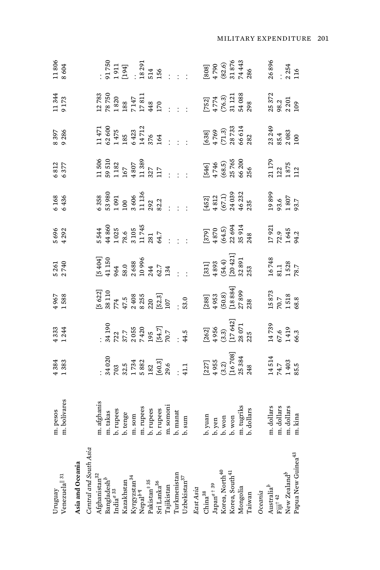| Venezuela <sup>   31</sup><br>Uruguay                                             | m. pesos<br>m. bolívares                                                                                                                                                                                                                                                                                                                                                                                                                                     | 4384<br>1383                                                                                                          | 4333<br>1244                                                                           | 1967<br>1588                                                                                                                                                                                                                                                                                                           | 5 261<br>2 740                                                                                                                                                                                                                                                                                                         | 5 696<br>4 292                                                                                 | 5168                                                                                                                                                                                                     | 6812<br>6377                                                                                                                                                   | 8397<br>9286                                                                                                                                                                                                                                                                                                  | 11344<br>9 173                                                                                                                           | 11806<br>8604                                                                                                               |
|-----------------------------------------------------------------------------------|--------------------------------------------------------------------------------------------------------------------------------------------------------------------------------------------------------------------------------------------------------------------------------------------------------------------------------------------------------------------------------------------------------------------------------------------------------------|-----------------------------------------------------------------------------------------------------------------------|----------------------------------------------------------------------------------------|------------------------------------------------------------------------------------------------------------------------------------------------------------------------------------------------------------------------------------------------------------------------------------------------------------------------|------------------------------------------------------------------------------------------------------------------------------------------------------------------------------------------------------------------------------------------------------------------------------------------------------------------------|------------------------------------------------------------------------------------------------|----------------------------------------------------------------------------------------------------------------------------------------------------------------------------------------------------------|----------------------------------------------------------------------------------------------------------------------------------------------------------------|---------------------------------------------------------------------------------------------------------------------------------------------------------------------------------------------------------------------------------------------------------------------------------------------------------------|------------------------------------------------------------------------------------------------------------------------------------------|-----------------------------------------------------------------------------------------------------------------------------|
| Asia and Oceania                                                                  |                                                                                                                                                                                                                                                                                                                                                                                                                                                              |                                                                                                                       |                                                                                        |                                                                                                                                                                                                                                                                                                                        |                                                                                                                                                                                                                                                                                                                        |                                                                                                |                                                                                                                                                                                                          |                                                                                                                                                                |                                                                                                                                                                                                                                                                                                               |                                                                                                                                          |                                                                                                                             |
| Central and South Asia                                                            |                                                                                                                                                                                                                                                                                                                                                                                                                                                              |                                                                                                                       |                                                                                        |                                                                                                                                                                                                                                                                                                                        |                                                                                                                                                                                                                                                                                                                        |                                                                                                |                                                                                                                                                                                                          |                                                                                                                                                                |                                                                                                                                                                                                                                                                                                               |                                                                                                                                          |                                                                                                                             |
|                                                                                   |                                                                                                                                                                                                                                                                                                                                                                                                                                                              |                                                                                                                       |                                                                                        |                                                                                                                                                                                                                                                                                                                        | $\begin{bmatrix} 5 & 404 \\ 5 & 150 \\ 41 & 150 \\ 50 & 0 \\ 50 & 0 \\ 50 & 0 \\ 50 & 0 \\ 20 & 34 \\ 10 & 24 \\ 20 & 24 \\ 36 & 36 \\ 10 & 24 \\ 11 & 34 \\ 12 & 34 \\ 13 & 35 \\ 14 & 15 \\ 15 & 16 \\ 16 & 13 \\ 17 & 18 \\ 18 & 19 \\ 19 & 10 \\ 11 & 13 \\ 12 & 14 & 10 \\ 13 & 15 & 10 \\ 14 & 10 & 10 \\ 15 & $ |                                                                                                |                                                                                                                                                                                                          |                                                                                                                                                                |                                                                                                                                                                                                                                                                                                               |                                                                                                                                          |                                                                                                                             |
|                                                                                   |                                                                                                                                                                                                                                                                                                                                                                                                                                                              |                                                                                                                       |                                                                                        |                                                                                                                                                                                                                                                                                                                        |                                                                                                                                                                                                                                                                                                                        |                                                                                                |                                                                                                                                                                                                          |                                                                                                                                                                |                                                                                                                                                                                                                                                                                                               |                                                                                                                                          |                                                                                                                             |
| Afghanistan $^{32}$ Bangladesh $^b$ India $^{a}$ $^{33}$                          |                                                                                                                                                                                                                                                                                                                                                                                                                                                              |                                                                                                                       |                                                                                        |                                                                                                                                                                                                                                                                                                                        |                                                                                                                                                                                                                                                                                                                        |                                                                                                |                                                                                                                                                                                                          |                                                                                                                                                                |                                                                                                                                                                                                                                                                                                               |                                                                                                                                          |                                                                                                                             |
| Kazakhstan                                                                        |                                                                                                                                                                                                                                                                                                                                                                                                                                                              |                                                                                                                       |                                                                                        |                                                                                                                                                                                                                                                                                                                        |                                                                                                                                                                                                                                                                                                                        |                                                                                                |                                                                                                                                                                                                          |                                                                                                                                                                |                                                                                                                                                                                                                                                                                                               |                                                                                                                                          |                                                                                                                             |
|                                                                                   |                                                                                                                                                                                                                                                                                                                                                                                                                                                              |                                                                                                                       |                                                                                        |                                                                                                                                                                                                                                                                                                                        |                                                                                                                                                                                                                                                                                                                        |                                                                                                |                                                                                                                                                                                                          |                                                                                                                                                                |                                                                                                                                                                                                                                                                                                               |                                                                                                                                          |                                                                                                                             |
| Kyrgyzstan <sup>34</sup><br>Nepal <sup>b ¶</sup><br>Pakistan <sup>‡ 35</sup>      |                                                                                                                                                                                                                                                                                                                                                                                                                                                              |                                                                                                                       |                                                                                        |                                                                                                                                                                                                                                                                                                                        |                                                                                                                                                                                                                                                                                                                        |                                                                                                |                                                                                                                                                                                                          |                                                                                                                                                                |                                                                                                                                                                                                                                                                                                               |                                                                                                                                          |                                                                                                                             |
|                                                                                   |                                                                                                                                                                                                                                                                                                                                                                                                                                                              |                                                                                                                       |                                                                                        |                                                                                                                                                                                                                                                                                                                        |                                                                                                                                                                                                                                                                                                                        |                                                                                                |                                                                                                                                                                                                          |                                                                                                                                                                |                                                                                                                                                                                                                                                                                                               |                                                                                                                                          |                                                                                                                             |
| Sri Lanka <sup>36</sup><br>Tajikistan                                             | $\begin{tabular}{ll} $m$ {\bf a} {\bf f} {\bf g} {\bf h} {\bf a} {\bf i} {\bf g} \\ \hline $n$ {\bf h} {\bf r} {\bf u} {\bf g} {\bf e} {\bf g} \\ \hline $b$ {\bf h} {\bf r} {\bf e} {\bf g} {\bf g} \\ \hline $n$ {\bf h} {\bf r} {\bf u} {\bf g} {\bf e} {\bf g} \\ \hline $n$ {\bf h} {\bf r} {\bf u} {\bf g} {\bf e} {\bf g} \\ \hline $n$ {\bf h} {\bf r} {\bf u} {\bf g} {\bf e} {\bf g} \\ \hline $n$ {\bf h} {\bf r} {\bf u} {\bf g} {\bf e} {\bf g$ |                                                                                                                       |                                                                                        |                                                                                                                                                                                                                                                                                                                        |                                                                                                                                                                                                                                                                                                                        | 5544<br>44860<br>44860<br>78.6<br>78.745<br>745<br>745<br>30.745<br>54.745<br>54.745<br>54.745 | $6\frac{38}{35}$<br>$63\frac{36}{35}$<br>$65\frac{36}{35}$<br>$65\frac{36}{35}$<br>$13\frac{36}{35}$<br>$13\frac{3}{35}$<br>$13\frac{3}{35}$<br>$13\frac{3}{35}$<br>$13\frac{3}{35}$<br>$13\frac{3}{35}$ | $\begin{array}{cccc}\n1506 \\ 1303 \\ 132 \\ 167 \\ 168 \\ 171 \\ 181 \\ 1381 \\ 171 \\ 181 \\ 11 \\ 11 \\ 121 \\ 122 \\ 132 \\ 133 \\ 143 \\ 15\n\end{array}$ |                                                                                                                                                                                                                                                                                                               |                                                                                                                                          | $: 500$<br>$: 501$<br>$: 194$<br>$: 194$<br>$: 194$<br>$: 194$<br>$: 194$<br>$: 194$<br>$: 194$<br>$: 194$                  |
|                                                                                   |                                                                                                                                                                                                                                                                                                                                                                                                                                                              |                                                                                                                       |                                                                                        |                                                                                                                                                                                                                                                                                                                        |                                                                                                                                                                                                                                                                                                                        |                                                                                                |                                                                                                                                                                                                          |                                                                                                                                                                |                                                                                                                                                                                                                                                                                                               |                                                                                                                                          |                                                                                                                             |
|                                                                                   |                                                                                                                                                                                                                                                                                                                                                                                                                                                              |                                                                                                                       |                                                                                        |                                                                                                                                                                                                                                                                                                                        |                                                                                                                                                                                                                                                                                                                        |                                                                                                |                                                                                                                                                                                                          |                                                                                                                                                                |                                                                                                                                                                                                                                                                                                               |                                                                                                                                          |                                                                                                                             |
| ${\rm Turkmenistan} \\ {\rm Uzbekistan}^{\rm 37}$                                 | $b$ . manat<br>$b$ . $sum$                                                                                                                                                                                                                                                                                                                                                                                                                                   | $\begin{array}{l} \tt{:}34\,020\,\\ 703\,\\ 703\,\\ 1734\,\\ 1882\,\\ 160.3\,\\ 160.3\,\\ 29.6\,\\ 1.1\, \end{array}$ | $: 34.190\n37.7\n37.7\n37.7\n74.20\n74.5\n19.6\n19.7\n19.7\n14.5\n14.5$                | $\begin{bmatrix} 5 & 622 \\ 38 & 110 \\ 38 & 110 \\ 774 & 5 \\ 2 & 408 \\ 2 & 28 & 5 \\ 520 & 31 \\ 52 & 10 \\ 10 & 10 \\ 10 & 10 \\ 10 & 10 \\ 10 & 10 \\ 10 & 10 \\ 10 & 10 \\ 10 & 10 \\ 10 & 10 \\ 10 & 10 \\ 10 & 10 \\ 10 & 10 \\ 10 & 10 \\ 10 & 10 \\ 10 & 10 \\ 10 & 10 \\ 10 & 10 \\ 10 & 10 \\ 10 & 10 \\ $ |                                                                                                                                                                                                                                                                                                                        |                                                                                                |                                                                                                                                                                                                          |                                                                                                                                                                | $\begin{array}{l} 11\,471\\ 13\,60\\ 03\,60\\ 1\,475\\ 8\,5\\ 0\,42\,71\\ 8\,6\,42\\ 7\,12\,6\\ 8\,7\,12\\ 1\,6\,4\,7\,1\\ 1\,7\,6\,4\,9\\ 1\,7\,1\,2\,6\\ 1\,7\,1\,2\,6\\ 1\,7\,1\,2\,6\\ 1\,7\,1\,2\,6\\ 1\,7\,1\,2\,6\\ 1\,7\,1\,2\,6\\ 1\,7\,1\,2\,$                                                      |                                                                                                                                          |                                                                                                                             |
| East Asia                                                                         |                                                                                                                                                                                                                                                                                                                                                                                                                                                              |                                                                                                                       |                                                                                        |                                                                                                                                                                                                                                                                                                                        |                                                                                                                                                                                                                                                                                                                        |                                                                                                |                                                                                                                                                                                                          |                                                                                                                                                                |                                                                                                                                                                                                                                                                                                               |                                                                                                                                          |                                                                                                                             |
| $China^{38}$                                                                      |                                                                                                                                                                                                                                                                                                                                                                                                                                                              |                                                                                                                       |                                                                                        |                                                                                                                                                                                                                                                                                                                        |                                                                                                                                                                                                                                                                                                                        |                                                                                                |                                                                                                                                                                                                          |                                                                                                                                                                |                                                                                                                                                                                                                                                                                                               |                                                                                                                                          |                                                                                                                             |
| $\mathrm{Japan}^{a+39}$                                                           |                                                                                                                                                                                                                                                                                                                                                                                                                                                              |                                                                                                                       |                                                                                        |                                                                                                                                                                                                                                                                                                                        |                                                                                                                                                                                                                                                                                                                        |                                                                                                |                                                                                                                                                                                                          |                                                                                                                                                                |                                                                                                                                                                                                                                                                                                               |                                                                                                                                          |                                                                                                                             |
| Korea, North <sup>40</sup>                                                        |                                                                                                                                                                                                                                                                                                                                                                                                                                                              |                                                                                                                       |                                                                                        |                                                                                                                                                                                                                                                                                                                        |                                                                                                                                                                                                                                                                                                                        |                                                                                                |                                                                                                                                                                                                          |                                                                                                                                                                |                                                                                                                                                                                                                                                                                                               |                                                                                                                                          |                                                                                                                             |
|                                                                                   |                                                                                                                                                                                                                                                                                                                                                                                                                                                              |                                                                                                                       |                                                                                        |                                                                                                                                                                                                                                                                                                                        |                                                                                                                                                                                                                                                                                                                        |                                                                                                |                                                                                                                                                                                                          |                                                                                                                                                                |                                                                                                                                                                                                                                                                                                               |                                                                                                                                          |                                                                                                                             |
| Korea, South <sup>41</sup><br>Mongolia                                            |                                                                                                                                                                                                                                                                                                                                                                                                                                                              |                                                                                                                       |                                                                                        |                                                                                                                                                                                                                                                                                                                        |                                                                                                                                                                                                                                                                                                                        |                                                                                                |                                                                                                                                                                                                          |                                                                                                                                                                |                                                                                                                                                                                                                                                                                                               |                                                                                                                                          |                                                                                                                             |
| Taiwan                                                                            | $b$ , yuan<br>$b$ , yen<br>$b$ , won<br>$b$ , won<br>$m$ , tugriks                                                                                                                                                                                                                                                                                                                                                                                           | $\begin{bmatrix} 227 \ 4\ 955 \ 3.2) \end{bmatrix} \ \begin{bmatrix} 3.2 \ 16\ 708 \end{bmatrix}$                     | $\begin{array}{l} [262] \\ 4\,956 \\ (3.3) \\ [17\,642] \\ 28\,071 \\ 235 \end{array}$ |                                                                                                                                                                                                                                                                                                                        | $\begin{bmatrix} 331 \ 4893 \ 644 \end{bmatrix}$<br>$\begin{bmatrix} 54.4 \ 20421 \ 32.891 \ 353 \end{bmatrix}$                                                                                                                                                                                                        | $\begin{bmatrix} 379 \\ 4870 \\ (64.5) \\ 22.694 \\ 35.914 \end{bmatrix}$                      | $\begin{array}{l} [452] \ 4812 \ (67.1) \ 24\ 039 \ 46\ 232 \ 46\ 235 \end{array}$                                                                                                                       |                                                                                                                                                                |                                                                                                                                                                                                                                                                                                               |                                                                                                                                          |                                                                                                                             |
| Oceania                                                                           |                                                                                                                                                                                                                                                                                                                                                                                                                                                              |                                                                                                                       |                                                                                        | $\begin{bmatrix} 288\ 4953\ 4953\ 60.8\ 118\ 8841\ 27\ 899\ 23\ 8841\ 15873\ 238\ 15873\ 1518\ 1518\ 1518\ 1518\ 1518\ 1518\ 1518\ 1518\ 1518\ 1518\ 1518\ 1518\ 1518\ 1518\ 1518\ 1518\ 1518\ 1518\ 1518\ 1518\ 1518\ 1518\ 1518\ 151$                                                                                |                                                                                                                                                                                                                                                                                                                        |                                                                                                |                                                                                                                                                                                                          |                                                                                                                                                                | $\left[\begin{matrix} 638 \\ 638 \\ 4769 \\ 71.3 \\ 83 & 73.3 \\ 86 & 64 \\ 83 & 24 \\ 83 & 249 \\ 83 & 249 \\ 83 & 208 \\ 100 & 249 \\ 100 & 249 \\ 100 & 249 \\ 100 & 249 \\ 100 & 249 \\ 200 & 249 \\ 200 & 249 \\ 200 & 249 \\ 200 & 249 \\ 200 & 249 \\ 200 & 249 \\ 200 & 249 \\ 200 & 249 \\ 200 & 24$ | $\begin{bmatrix} 752 \\ 4774 \\ 76.3 \\ 74.21 \\ 74.21 \\ 74.21 \\ 88 \\ 74.21 \\ 108 \\ 88 \\ 78.2 \\ 98.2 \\ 109 \\ 109 \\ 109 \\ 109$ | $[808]$ $[808]$ $[82.6)$ $[82.6]$ $[82.6]$ $[82.6]$ $[82.6]$ $[82.6]$ $[82.6]$ $[82.6]$ $[82.6]$ $[82.6]$ $[82.6]$ $[82.6]$ |
| $\begin{array}{lcl} \text{Australia}^b \\ \text{Fiji}^{\, +\, 4\, 2} \end{array}$ |                                                                                                                                                                                                                                                                                                                                                                                                                                                              | $\frac{14514}{74.7}$<br>14.7<br>1403<br>85.5                                                                          |                                                                                        |                                                                                                                                                                                                                                                                                                                        | $\begin{array}{l} 16\,748\\ 81.1\\ 1\,528\\ 78.7 \end{array}$                                                                                                                                                                                                                                                          | 17921<br>72.9<br>1645<br>94.2                                                                  | 19899<br>93.6<br>1807<br>93.7                                                                                                                                                                            |                                                                                                                                                                |                                                                                                                                                                                                                                                                                                               |                                                                                                                                          |                                                                                                                             |
|                                                                                   |                                                                                                                                                                                                                                                                                                                                                                                                                                                              |                                                                                                                       |                                                                                        |                                                                                                                                                                                                                                                                                                                        |                                                                                                                                                                                                                                                                                                                        |                                                                                                |                                                                                                                                                                                                          |                                                                                                                                                                |                                                                                                                                                                                                                                                                                                               |                                                                                                                                          |                                                                                                                             |
| New Zealand <sup>b</sup>                                                          |                                                                                                                                                                                                                                                                                                                                                                                                                                                              |                                                                                                                       |                                                                                        |                                                                                                                                                                                                                                                                                                                        |                                                                                                                                                                                                                                                                                                                        |                                                                                                |                                                                                                                                                                                                          |                                                                                                                                                                |                                                                                                                                                                                                                                                                                                               |                                                                                                                                          |                                                                                                                             |
| Papua New Guinea <sup>43</sup>                                                    | m. dollars<br>m. dollars<br>m. dollars<br>m. kina                                                                                                                                                                                                                                                                                                                                                                                                            |                                                                                                                       | 14739<br>67.6<br>1419<br>66.3                                                          |                                                                                                                                                                                                                                                                                                                        |                                                                                                                                                                                                                                                                                                                        |                                                                                                |                                                                                                                                                                                                          |                                                                                                                                                                |                                                                                                                                                                                                                                                                                                               |                                                                                                                                          |                                                                                                                             |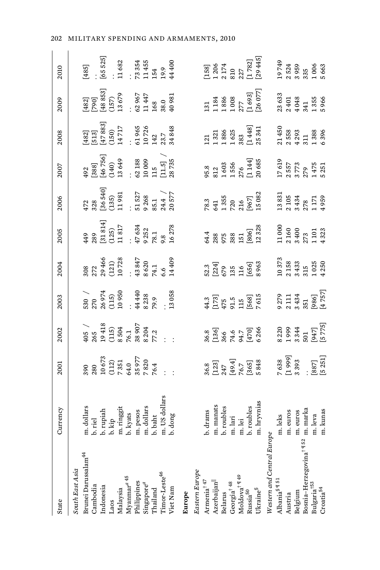| State                                                                        | <b>Jurrency</b>                                                                                                                                                                                                                                            | 2001                                                                                                                  | 2002                                                       | 2003                                                                                                            | 2004                                                                          | 2005                                                                                                                                                         | 2006                                                                                                                           | 2007                                                                                                                                                                                                                      | 2008                                                                                                                                                                                                                                                                         | 2009                                                                                                                                                                                                                                       | 2010                                                             |
|------------------------------------------------------------------------------|------------------------------------------------------------------------------------------------------------------------------------------------------------------------------------------------------------------------------------------------------------|-----------------------------------------------------------------------------------------------------------------------|------------------------------------------------------------|-----------------------------------------------------------------------------------------------------------------|-------------------------------------------------------------------------------|--------------------------------------------------------------------------------------------------------------------------------------------------------------|--------------------------------------------------------------------------------------------------------------------------------|---------------------------------------------------------------------------------------------------------------------------------------------------------------------------------------------------------------------------|------------------------------------------------------------------------------------------------------------------------------------------------------------------------------------------------------------------------------------------------------------------------------|--------------------------------------------------------------------------------------------------------------------------------------------------------------------------------------------------------------------------------------------|------------------------------------------------------------------|
| South East Asia                                                              |                                                                                                                                                                                                                                                            |                                                                                                                       |                                                            |                                                                                                                 |                                                                               |                                                                                                                                                              |                                                                                                                                |                                                                                                                                                                                                                           |                                                                                                                                                                                                                                                                              |                                                                                                                                                                                                                                            |                                                                  |
| Brunei Darussalam <sup>44</sup>                                              |                                                                                                                                                                                                                                                            |                                                                                                                       |                                                            |                                                                                                                 |                                                                               |                                                                                                                                                              |                                                                                                                                |                                                                                                                                                                                                                           |                                                                                                                                                                                                                                                                              |                                                                                                                                                                                                                                            |                                                                  |
| Cambodia                                                                     | $\begin{tabular}{l} n. dollars\\ b. rich\\ b. kup\\ h. kip\\ m. ringit\\ h. kyst\\ n. pass\\ m. pess\\ m. holds\\ n. dollars\\ n. dollars\\ n. dolar\\ m. C18\,doll\\ m. U3\,doll\\ m. U3\,doll\\ m. U3\,doll\\ m. U3\,doll\\ m. U3\,doll\\ \end{tabular}$ |                                                                                                                       |                                                            |                                                                                                                 |                                                                               |                                                                                                                                                              |                                                                                                                                |                                                                                                                                                                                                                           |                                                                                                                                                                                                                                                                              |                                                                                                                                                                                                                                            |                                                                  |
| Indonesia                                                                    |                                                                                                                                                                                                                                                            |                                                                                                                       |                                                            |                                                                                                                 |                                                                               |                                                                                                                                                              |                                                                                                                                |                                                                                                                                                                                                                           |                                                                                                                                                                                                                                                                              |                                                                                                                                                                                                                                            |                                                                  |
| Laos                                                                         |                                                                                                                                                                                                                                                            |                                                                                                                       |                                                            |                                                                                                                 |                                                                               |                                                                                                                                                              |                                                                                                                                |                                                                                                                                                                                                                           |                                                                                                                                                                                                                                                                              |                                                                                                                                                                                                                                            |                                                                  |
| Malaysia                                                                     |                                                                                                                                                                                                                                                            |                                                                                                                       |                                                            |                                                                                                                 |                                                                               |                                                                                                                                                              |                                                                                                                                |                                                                                                                                                                                                                           |                                                                                                                                                                                                                                                                              |                                                                                                                                                                                                                                            |                                                                  |
|                                                                              |                                                                                                                                                                                                                                                            |                                                                                                                       |                                                            |                                                                                                                 |                                                                               |                                                                                                                                                              |                                                                                                                                |                                                                                                                                                                                                                           |                                                                                                                                                                                                                                                                              |                                                                                                                                                                                                                                            |                                                                  |
| Myanmar <sup>a 45</sup><br>Philippines                                       |                                                                                                                                                                                                                                                            |                                                                                                                       |                                                            |                                                                                                                 |                                                                               |                                                                                                                                                              |                                                                                                                                |                                                                                                                                                                                                                           |                                                                                                                                                                                                                                                                              |                                                                                                                                                                                                                                            |                                                                  |
|                                                                              |                                                                                                                                                                                                                                                            |                                                                                                                       |                                                            |                                                                                                                 |                                                                               |                                                                                                                                                              |                                                                                                                                |                                                                                                                                                                                                                           |                                                                                                                                                                                                                                                                              |                                                                                                                                                                                                                                            |                                                                  |
| $\operatorname{Singapore}^a$ Thailand                                        |                                                                                                                                                                                                                                                            |                                                                                                                       |                                                            |                                                                                                                 |                                                                               |                                                                                                                                                              |                                                                                                                                |                                                                                                                                                                                                                           |                                                                                                                                                                                                                                                                              |                                                                                                                                                                                                                                            |                                                                  |
| Timor-Leste <sup>46</sup>                                                    |                                                                                                                                                                                                                                                            |                                                                                                                       |                                                            |                                                                                                                 |                                                                               |                                                                                                                                                              |                                                                                                                                |                                                                                                                                                                                                                           |                                                                                                                                                                                                                                                                              |                                                                                                                                                                                                                                            |                                                                  |
| Viet Nam                                                                     | dong                                                                                                                                                                                                                                                       | $\begin{array}{r} 390 \\ 280 \\ 210 \\ 573 \\ 731 \\ 731 \\ 840 \\ 7820 \\ 7820 \\ 764 \\ 764 \\ 764 \\ \end{array}.$ |                                                            | $530$ $\overline{)270}$<br>$270$ $26974$<br>$26974$<br>$215$ $338$<br>$338$<br>$338$<br>$338$<br>$339$<br>$359$ | 308<br>272<br>29 466<br>29 46<br>14 38 847<br>14 40<br>14 40<br>5.6<br>5.6    | $\begin{array}{l} 449 \\ 289 \\ 281 \\ 31 \\ 814 \\ (125) \\ (125) \\ (125) \\ (125) \\ 1631 \\ 7634 \\ 7634 \\ 7631 \\ 7632 \\ 16278 \\ 166278 \end{array}$ | $\begin{array}{l} 472 \\ 328 \\ 36540] \\ (135) \\ (139) \\ 11 \\ \vdots \\ 926 \\ 85.7 \\ 2057 \\ 2057 \\ 7 \end{array}$      | $[388] \atop {[388]} \begin{bmatrix} 388 \\ 46 \text{ } 756 \\ 46 \text{ } 756 \end{bmatrix}$<br>$[46 \text{ } 756] \atop {[140 \text{ } 13 \text{ } 649}$<br>$[140 \text{ } 13 \text{ } 649]$<br>$[11.5] \atop {[11.5]}$ | $\begin{bmatrix} 482 \\ 513 \\ 1513 \\ 14788 \\ 149 \\ 1471 \\ 140 \\ 142 \\ 142 \\ 142 \\ 143 \\ 142 \\ 143 \\ 233.7 \\ 3484 \\ 3498 \\ \end{bmatrix}$                                                                                                                      | $\begin{bmatrix} 482 \\ 790 \\ 128 \\ 4885 \\ 1367 \\ 1367 \\ 1368 \\ 1447 \\ 1447 \\ 168 \\ 168 \\ 168 \\ 168 \\ 168 \\ 169 \\ 1144 \\ 168 \\ 360 \\ 40981 \\ 40981 \\ \end{bmatrix}$                                                     | (485]<br>(65 525]<br>11 682<br>11 455<br>11 455<br>14 44 400     |
| Europe                                                                       |                                                                                                                                                                                                                                                            |                                                                                                                       |                                                            |                                                                                                                 |                                                                               |                                                                                                                                                              |                                                                                                                                |                                                                                                                                                                                                                           |                                                                                                                                                                                                                                                                              |                                                                                                                                                                                                                                            |                                                                  |
| Eastern Europe                                                               |                                                                                                                                                                                                                                                            |                                                                                                                       |                                                            |                                                                                                                 |                                                                               |                                                                                                                                                              |                                                                                                                                |                                                                                                                                                                                                                           |                                                                                                                                                                                                                                                                              |                                                                                                                                                                                                                                            |                                                                  |
| Armenia <sup>† 47</sup>                                                      |                                                                                                                                                                                                                                                            |                                                                                                                       |                                                            |                                                                                                                 |                                                                               |                                                                                                                                                              |                                                                                                                                |                                                                                                                                                                                                                           |                                                                                                                                                                                                                                                                              |                                                                                                                                                                                                                                            |                                                                  |
| Azerbaijan <sup>  </sup>                                                     | $b$ . drams<br>$m$ . manats<br>$b$ . roubles<br>$m$ . lari<br>$m$ . lei<br>$b$ . roubles                                                                                                                                                                   |                                                                                                                       |                                                            |                                                                                                                 |                                                                               |                                                                                                                                                              |                                                                                                                                |                                                                                                                                                                                                                           |                                                                                                                                                                                                                                                                              |                                                                                                                                                                                                                                            |                                                                  |
| Belarus                                                                      |                                                                                                                                                                                                                                                            |                                                                                                                       |                                                            |                                                                                                                 |                                                                               |                                                                                                                                                              |                                                                                                                                |                                                                                                                                                                                                                           |                                                                                                                                                                                                                                                                              |                                                                                                                                                                                                                                            |                                                                  |
|                                                                              |                                                                                                                                                                                                                                                            |                                                                                                                       |                                                            |                                                                                                                 |                                                                               |                                                                                                                                                              |                                                                                                                                |                                                                                                                                                                                                                           |                                                                                                                                                                                                                                                                              |                                                                                                                                                                                                                                            |                                                                  |
|                                                                              |                                                                                                                                                                                                                                                            |                                                                                                                       |                                                            |                                                                                                                 |                                                                               |                                                                                                                                                              |                                                                                                                                |                                                                                                                                                                                                                           |                                                                                                                                                                                                                                                                              |                                                                                                                                                                                                                                            |                                                                  |
| Georgia <sup>† 48</sup><br>Moldova <sup>† ¶ 49</sup><br>Russia <sup>50</sup> |                                                                                                                                                                                                                                                            |                                                                                                                       |                                                            |                                                                                                                 |                                                                               |                                                                                                                                                              |                                                                                                                                |                                                                                                                                                                                                                           |                                                                                                                                                                                                                                                                              |                                                                                                                                                                                                                                            |                                                                  |
| Ukraine <sup>§</sup>                                                         | n. hryvnias                                                                                                                                                                                                                                                | 36.8<br>[123]<br>247<br>76.7<br>[365]<br>[365]                                                                        | 36.8<br>[136]<br>74.6<br>[470]<br>6 266                    | 44.3<br>[173]<br>475<br>568]<br>7 615<br>7 615                                                                  | 52.3<br>[224]<br>656]<br>[656]<br>8963                                        | 64.4<br>288<br>975<br>1806]<br>12 328<br>12 328                                                                                                              |                                                                                                                                |                                                                                                                                                                                                                           |                                                                                                                                                                                                                                                                              |                                                                                                                                                                                                                                            | [158]<br>1 206<br>2 174<br>227<br>[1 782]<br>[1 782]<br>[29 445] |
| Western and Central Europe                                                   |                                                                                                                                                                                                                                                            |                                                                                                                       |                                                            |                                                                                                                 |                                                                               |                                                                                                                                                              | $78.3$<br>$641$<br>$1355$<br>$1350$<br>$1250$<br>$1067$<br>$1831$<br>$1334$<br>$13434$<br>$2105$<br>$2105$<br>$2105$<br>$2171$ |                                                                                                                                                                                                                           | $\begin{array}{rrrr} 121 & 1321 & 1331 & 1331 & 1331 & 1333 & 1433 & 1433 & 1433 & 1433 & 1433 & 1433 & 1433 & 1433 & 1433 & 1433 & 1433 & 1433 & 1433 & 1433 & 1433 & 1433 & 1433 & 1433 & 1433 & 1433 & 1433 & 1433 & 1433 & 1433 & 1433 & 1433 & 1433 & 1433 & 1433 & 14$ | $\begin{array}{r} 131 \ 1134 \ 1184 \ 11850 \ 277 \ 1693 \ 277 \ 286 \ 26 \ 277 \ 277 \ 2863 \ 2941 \ 208 \ 2100 \ 201 \ 201 \ 2101 \ 221 \ 2363 \ 241 \ 255 \ 266 \ 271 \ 285 \ 296 \ 211 \ 2396 \ 2396 \ 2401 \ 2596 \ 2696 \end{array}$ |                                                                  |
| Albania <sup>§</sup> ¶ <sup>51</sup>                                         |                                                                                                                                                                                                                                                            | 7 638<br>[1 999]<br>3 393<br>[887]<br>[5 251]                                                                         | 8 220<br>1 999<br>5 3 3 44<br>5 0 1<br>[9 4 7]<br>[5 7 75] | 9 279<br>2 111<br>3 434<br>551<br>[4 757]<br>[4 757]                                                            | $\begin{array}{c} 10\,373\ 2\,158\ 3\,433\ 3\,15\ 1\,025\ 1\,025 \end{array}$ | $\begin{array}{c} 11\,000 \\ 2\,160 \\ 3\,400 \\ 2\,73 \\ 1\,101 \\ 1\,101 \\ 1\,101 \\ 4\,323 \end{array}$                                                  |                                                                                                                                |                                                                                                                                                                                                                           |                                                                                                                                                                                                                                                                              |                                                                                                                                                                                                                                            | 19749<br>2 524<br>3 959<br>5 663<br>5 663                        |
| Austria                                                                      | $\begin{tabular}{l} m. leks \\ m. euros \\ m. euros \\ m. marka \\ m. hev \\ m. leva \\ m. leva \\ m. kunas \\ \end{tabular}$                                                                                                                              |                                                                                                                       |                                                            |                                                                                                                 |                                                                               |                                                                                                                                                              |                                                                                                                                |                                                                                                                                                                                                                           |                                                                                                                                                                                                                                                                              |                                                                                                                                                                                                                                            |                                                                  |
| Belgium                                                                      |                                                                                                                                                                                                                                                            |                                                                                                                       |                                                            |                                                                                                                 |                                                                               |                                                                                                                                                              |                                                                                                                                |                                                                                                                                                                                                                           |                                                                                                                                                                                                                                                                              |                                                                                                                                                                                                                                            |                                                                  |
| Bosnia-Herzegovina <sup>†¶52</sup>                                           |                                                                                                                                                                                                                                                            |                                                                                                                       |                                                            |                                                                                                                 |                                                                               |                                                                                                                                                              |                                                                                                                                |                                                                                                                                                                                                                           |                                                                                                                                                                                                                                                                              |                                                                                                                                                                                                                                            |                                                                  |
| Bulgaria <sup>†53</sup>                                                      |                                                                                                                                                                                                                                                            |                                                                                                                       |                                                            |                                                                                                                 |                                                                               |                                                                                                                                                              |                                                                                                                                |                                                                                                                                                                                                                           |                                                                                                                                                                                                                                                                              |                                                                                                                                                                                                                                            |                                                                  |
| $Cr$ oati $a^{54}$                                                           |                                                                                                                                                                                                                                                            |                                                                                                                       |                                                            |                                                                                                                 |                                                                               |                                                                                                                                                              |                                                                                                                                |                                                                                                                                                                                                                           |                                                                                                                                                                                                                                                                              |                                                                                                                                                                                                                                            |                                                                  |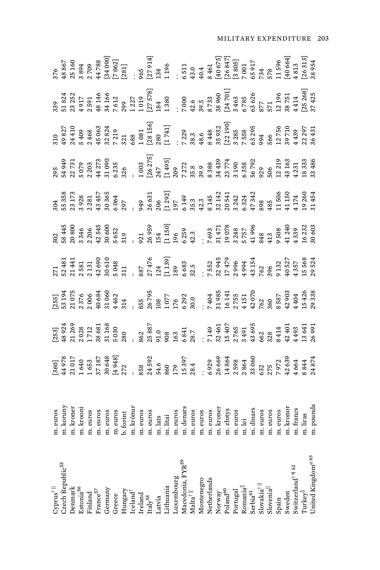| $\mbox{Cyprus}^\dagger$ ll                                                            |  |  |  |  |  |                                                                                                                                                                                                                                                                                                       |
|---------------------------------------------------------------------------------------|--|--|--|--|--|-------------------------------------------------------------------------------------------------------------------------------------------------------------------------------------------------------------------------------------------------------------------------------------------------------|
| 2zech Republic55                                                                      |  |  |  |  |  |                                                                                                                                                                                                                                                                                                       |
| Denmark                                                                               |  |  |  |  |  |                                                                                                                                                                                                                                                                                                       |
| Estonia <sup>56</sup><br>Finland                                                      |  |  |  |  |  |                                                                                                                                                                                                                                                                                                       |
|                                                                                       |  |  |  |  |  |                                                                                                                                                                                                                                                                                                       |
| France <sup>57</sup>                                                                  |  |  |  |  |  |                                                                                                                                                                                                                                                                                                       |
| Germany                                                                               |  |  |  |  |  |                                                                                                                                                                                                                                                                                                       |
| Greece                                                                                |  |  |  |  |  |                                                                                                                                                                                                                                                                                                       |
|                                                                                       |  |  |  |  |  |                                                                                                                                                                                                                                                                                                       |
| $\begin{array}{l}{\rm Hungary}\\ {\rm Icland}^\dagger\end{array}$                     |  |  |  |  |  |                                                                                                                                                                                                                                                                                                       |
|                                                                                       |  |  |  |  |  |                                                                                                                                                                                                                                                                                                       |
| $\begin{array}{c} \text{treland} \\ \text{tcaly}^{\text{58}} \end{array}$             |  |  |  |  |  |                                                                                                                                                                                                                                                                                                       |
| atvia                                                                                 |  |  |  |  |  |                                                                                                                                                                                                                                                                                                       |
| ithuania                                                                              |  |  |  |  |  |                                                                                                                                                                                                                                                                                                       |
|                                                                                       |  |  |  |  |  |                                                                                                                                                                                                                                                                                                       |
|                                                                                       |  |  |  |  |  |                                                                                                                                                                                                                                                                                                       |
| Luxembourg<br>Macedonia, FYR <sup>59</sup><br>Malta <sup>†   </sup>                   |  |  |  |  |  |                                                                                                                                                                                                                                                                                                       |
| Montenegro<br>Netherlands                                                             |  |  |  |  |  |                                                                                                                                                                                                                                                                                                       |
|                                                                                       |  |  |  |  |  |                                                                                                                                                                                                                                                                                                       |
|                                                                                       |  |  |  |  |  |                                                                                                                                                                                                                                                                                                       |
| Norway<br>Poland <sup>60</sup>                                                        |  |  |  |  |  |                                                                                                                                                                                                                                                                                                       |
|                                                                                       |  |  |  |  |  |                                                                                                                                                                                                                                                                                                       |
|                                                                                       |  |  |  |  |  |                                                                                                                                                                                                                                                                                                       |
| Portugal<br>Romania <sup>  </sup><br>Serbia <sup>61</sup><br>Slovakia <sup>†   </sup> |  |  |  |  |  |                                                                                                                                                                                                                                                                                                       |
|                                                                                       |  |  |  |  |  |                                                                                                                                                                                                                                                                                                       |
| Slovenia <sup>  </sup><br>Spain                                                       |  |  |  |  |  |                                                                                                                                                                                                                                                                                                       |
|                                                                                       |  |  |  |  |  |                                                                                                                                                                                                                                                                                                       |
| sweden                                                                                |  |  |  |  |  |                                                                                                                                                                                                                                                                                                       |
| witzerland <sup>+ ¶ 62</sup>                                                          |  |  |  |  |  |                                                                                                                                                                                                                                                                                                       |
| <b>Turkey<sup>  </sup></b>                                                            |  |  |  |  |  |                                                                                                                                                                                                                                                                                                       |
| Jnited Kingdom <sup>a 63</sup>                                                        |  |  |  |  |  | $\begin{array}{cccc} 376 & 885 \\ 3896 & 894 & 886 \\ 2100 & 478 & 88 \\ 2100 & 64 & 78 \\ 2110 & 65 & 81 \\ 2110 & 65 & 81 \\ 2110 & 65 & 81 \\ 2111 & 65 & 81 \\ 2111 & 65 & 81 \\ 2111 & 65 & 81 \\ 2111 & 65 & 81 \\ 2111 & 65 & 81 \\ 2111 & 65 & 81 \\ 2111 & 65 & 81 \\ 2111 & 65 & 81 \\ 211$ |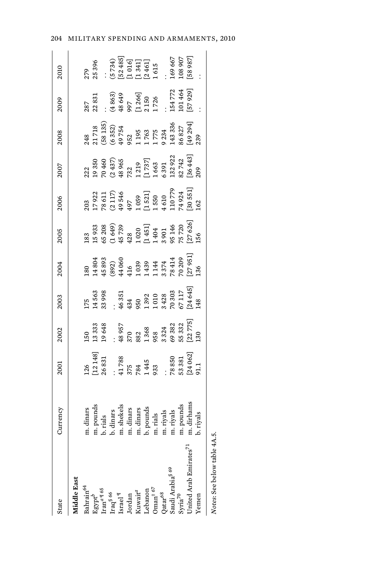| <b>State</b>                       | Currency                                                                                                        | 2001                                                                                                                                                                                                                                                                   | 2002                                                                                                           | 2003                                                                                                                                                                                                                                                                  | 2004                                                                                                                                                                                                                                                                                                                      | 2005                                                                                                                                                                                                                                                                                          | 2006                                                                                                                                                                                                                                                                | 2007                                                                                                                                                                                                                                        | 2008                                                                                                       | 2009                                                                                                                                                | 2010                                                                |
|------------------------------------|-----------------------------------------------------------------------------------------------------------------|------------------------------------------------------------------------------------------------------------------------------------------------------------------------------------------------------------------------------------------------------------------------|----------------------------------------------------------------------------------------------------------------|-----------------------------------------------------------------------------------------------------------------------------------------------------------------------------------------------------------------------------------------------------------------------|---------------------------------------------------------------------------------------------------------------------------------------------------------------------------------------------------------------------------------------------------------------------------------------------------------------------------|-----------------------------------------------------------------------------------------------------------------------------------------------------------------------------------------------------------------------------------------------------------------------------------------------|---------------------------------------------------------------------------------------------------------------------------------------------------------------------------------------------------------------------------------------------------------------------|---------------------------------------------------------------------------------------------------------------------------------------------------------------------------------------------------------------------------------------------|------------------------------------------------------------------------------------------------------------|-----------------------------------------------------------------------------------------------------------------------------------------------------|---------------------------------------------------------------------|
| Aiddle East                        |                                                                                                                 |                                                                                                                                                                                                                                                                        |                                                                                                                |                                                                                                                                                                                                                                                                       |                                                                                                                                                                                                                                                                                                                           |                                                                                                                                                                                                                                                                                               |                                                                                                                                                                                                                                                                     |                                                                                                                                                                                                                                             |                                                                                                            |                                                                                                                                                     |                                                                     |
| Bahrain <sup>64</sup>              | m. dinars                                                                                                       |                                                                                                                                                                                                                                                                        |                                                                                                                |                                                                                                                                                                                                                                                                       |                                                                                                                                                                                                                                                                                                                           |                                                                                                                                                                                                                                                                                               |                                                                                                                                                                                                                                                                     |                                                                                                                                                                                                                                             |                                                                                                            |                                                                                                                                                     |                                                                     |
| $\mathrm{Egypt}^b$                 |                                                                                                                 |                                                                                                                                                                                                                                                                        |                                                                                                                |                                                                                                                                                                                                                                                                       |                                                                                                                                                                                                                                                                                                                           |                                                                                                                                                                                                                                                                                               |                                                                                                                                                                                                                                                                     |                                                                                                                                                                                                                                             |                                                                                                            |                                                                                                                                                     |                                                                     |
| $\mathrm{tran}^{a \, \P \, 65}$    | m. pounds<br>b. rials<br>b. dinars<br>m. shekels<br>m. dinars<br>m. dinars<br>m. rials<br>b. pounds<br>m. rials |                                                                                                                                                                                                                                                                        |                                                                                                                |                                                                                                                                                                                                                                                                       |                                                                                                                                                                                                                                                                                                                           |                                                                                                                                                                                                                                                                                               |                                                                                                                                                                                                                                                                     |                                                                                                                                                                                                                                             |                                                                                                            |                                                                                                                                                     | 279<br>25 396<br>25 396<br>(5 734)<br>[1 341]<br>[1 461]<br>[2 461] |
| $\mathrm{Iraq}^{\S\,66}$           |                                                                                                                 |                                                                                                                                                                                                                                                                        |                                                                                                                |                                                                                                                                                                                                                                                                       |                                                                                                                                                                                                                                                                                                                           |                                                                                                                                                                                                                                                                                               |                                                                                                                                                                                                                                                                     |                                                                                                                                                                                                                                             |                                                                                                            |                                                                                                                                                     |                                                                     |
| $\operatorname{Israel}^\P$         |                                                                                                                 |                                                                                                                                                                                                                                                                        |                                                                                                                |                                                                                                                                                                                                                                                                       |                                                                                                                                                                                                                                                                                                                           |                                                                                                                                                                                                                                                                                               |                                                                                                                                                                                                                                                                     |                                                                                                                                                                                                                                             |                                                                                                            |                                                                                                                                                     |                                                                     |
| Jordan                             |                                                                                                                 |                                                                                                                                                                                                                                                                        |                                                                                                                |                                                                                                                                                                                                                                                                       |                                                                                                                                                                                                                                                                                                                           |                                                                                                                                                                                                                                                                                               |                                                                                                                                                                                                                                                                     |                                                                                                                                                                                                                                             |                                                                                                            |                                                                                                                                                     |                                                                     |
| Kuwait <sup>a</sup>                |                                                                                                                 |                                                                                                                                                                                                                                                                        |                                                                                                                |                                                                                                                                                                                                                                                                       |                                                                                                                                                                                                                                                                                                                           |                                                                                                                                                                                                                                                                                               |                                                                                                                                                                                                                                                                     |                                                                                                                                                                                                                                             |                                                                                                            |                                                                                                                                                     |                                                                     |
| ebanon                             |                                                                                                                 |                                                                                                                                                                                                                                                                        |                                                                                                                |                                                                                                                                                                                                                                                                       |                                                                                                                                                                                                                                                                                                                           |                                                                                                                                                                                                                                                                                               |                                                                                                                                                                                                                                                                     |                                                                                                                                                                                                                                             |                                                                                                            |                                                                                                                                                     |                                                                     |
| ${\rm Dman}^{\ddagger\;67}$        |                                                                                                                 |                                                                                                                                                                                                                                                                        |                                                                                                                |                                                                                                                                                                                                                                                                       |                                                                                                                                                                                                                                                                                                                           |                                                                                                                                                                                                                                                                                               |                                                                                                                                                                                                                                                                     |                                                                                                                                                                                                                                             |                                                                                                            |                                                                                                                                                     |                                                                     |
| $Qatar^{68}$                       |                                                                                                                 |                                                                                                                                                                                                                                                                        |                                                                                                                |                                                                                                                                                                                                                                                                       |                                                                                                                                                                                                                                                                                                                           |                                                                                                                                                                                                                                                                                               |                                                                                                                                                                                                                                                                     |                                                                                                                                                                                                                                             |                                                                                                            |                                                                                                                                                     |                                                                     |
| Saudi Arabia <sup>§ 69</sup>       |                                                                                                                 |                                                                                                                                                                                                                                                                        |                                                                                                                |                                                                                                                                                                                                                                                                       |                                                                                                                                                                                                                                                                                                                           |                                                                                                                                                                                                                                                                                               |                                                                                                                                                                                                                                                                     |                                                                                                                                                                                                                                             |                                                                                                            |                                                                                                                                                     |                                                                     |
| Syria <sup>70</sup>                |                                                                                                                 |                                                                                                                                                                                                                                                                        |                                                                                                                |                                                                                                                                                                                                                                                                       |                                                                                                                                                                                                                                                                                                                           |                                                                                                                                                                                                                                                                                               |                                                                                                                                                                                                                                                                     |                                                                                                                                                                                                                                             |                                                                                                            |                                                                                                                                                     |                                                                     |
| Inited Arab Emirates <sup>71</sup> | m. pounds<br>m. dirhams                                                                                         | $\begin{array}{l} 126\\ [12\,148] \\ 26\,831\\ 26\,831\\ 375\\ 784\\ 1445\\ 783\\ 1445\\ 830\\ 78\,850\\ 24\,062]\\ 146\\ 78\,850\\ 24\,062\\ 21\\ 24\,062\\ 21\\ 24\,062\\ 25\,062\\ 26\,062\\ 27\,062\\ 28\,062\\ 29\,062\\ 21\,062\\ 22\,062\\ 23\,062\\ 24\,062\\$ | $150$<br>$1333$<br>$1335$<br>$149$<br>$570$<br>$882$<br>$1368$<br>$883$<br>$8323$<br>$62775$<br>$120$<br>$120$ | $\begin{array}{l} 175\,\\ 175\,\\ 33\,\\ 38\,\\ 46\,\\ 350\,\\ 1392\,\\ 1392\,\\ 1010\,\\ 2428\,\\ 70\,303\,\\ 177\,\\ 76\,\\ 177\,\\ 178\,\\ 65\,\\ 117\,\\ 248\,\\ 45\,\\ 124\,\\ 64\,\\ 121\,\\ 239\,\\ 248\,\\ 259\,\\ 264\,\\ 271\,\\ 289\,\\ 299\,\\ 299\,\\ 2$ | $\begin{smallmatrix} 1200 \\ 1200 \\ 1400 \\ 1400 \\ 1000 \\ 1400 \\ 1000 \\ 1400 \\ 1400 \\ 1400 \\ 1410 \\ 1410 \\ 1410 \\ 1410 \\ 1420 \\ 1430 \\ 1440 \\ 1450 \\ 150 \\ 151 \\ 136 \\ 131 \\ 136 \\ 131 \\ 136 \\ 131 \\ 136 \\ 138 \\ 139 \\ 130 \\ 130 \\ 131 \\ 132 \\ 134 \\ 136 \\ 137 \\ 138 \\ 139 \\ 139 \\ $ | $\begin{smallmatrix} 183 & 33\\ 15 & 933\\ 15 & 649\\ 65 & 738\\ 14 & 423\\ 10 & 200\\ 14 & 451\\ 1 & 1404\\ 1 & 1404\\ 1 & 1404\\ 1 & 1404\\ 1 & 1404\\ 1 & 1404\\ 1 & 140\\ 1 & 140\\ 1 & 140\\ 1 & 140\\ 1 & 140\\ 1 & 140\\ 1 & 140\\ 1 & 140\\ 1 & 140\\ 1 & 140\\ 1 & 140\\ 1 & 140\\ $ | $\begin{array}{l} 203\\ 17\ 922\\ 17\ 841\\ 78\ 447\\ 849\\ 1\ 010\\ 1\ 010\\ 1\ 010\\ 1\ 010\\ 1\ 010\\ 7\ 024\\ 1\ 010\\ 7\ 024\\ 1\ 010\\ 7\ 024\\ 8651\\ 1\ 01\\ 7\ 023\\ 8651\\ 1\ 01\\ 7\ 023\\ 8651\\ 1\ 01\\ 7\ 023\\ 8651\\ 1\ 01\\ 7\ 023\\ 8651\\ 1\ 01$ | $\begin{smallmatrix} 222\ 23.50\ 24.50\ 25.60\ 26.437\ 27.22\ 28.60\ 28.60\ 29.60\ 21.21\ 21.60\ 22.60\ 23.60\ 24.60\ 25.60\ 26.60\ 27.60\ 28.60\ 29.60\ 21.60\ 20.60\ 21.60\ 22.60\ 23.60\ 24.3\ 25.60\ 26.60\ 27.60\ 28.60\ 29.60\ 20.60$ | 248<br>21 718<br>21 718<br>36 323<br>323 43 336<br>38 88 827<br>1 775 343 336<br>1 1 775 43 336<br>3239 41 | $287$<br>$2831$<br>$(4863)$<br>$(4863)$<br>$(5726)$<br>$(1260)$<br>$(1260)$<br>$(1264)$<br>$(1264)$<br>$(1264)$<br>$(1264)$<br>$(1264)$<br>$(1264)$ | 169 667<br>108 907<br>[58 987]                                      |
| emen?                              | b. riyals                                                                                                       |                                                                                                                                                                                                                                                                        |                                                                                                                |                                                                                                                                                                                                                                                                       |                                                                                                                                                                                                                                                                                                                           |                                                                                                                                                                                                                                                                                               |                                                                                                                                                                                                                                                                     |                                                                                                                                                                                                                                             |                                                                                                            |                                                                                                                                                     |                                                                     |
| Notes: See below table 4A.5        |                                                                                                                 |                                                                                                                                                                                                                                                                        |                                                                                                                |                                                                                                                                                                                                                                                                       |                                                                                                                                                                                                                                                                                                                           |                                                                                                                                                                                                                                                                                               |                                                                                                                                                                                                                                                                     |                                                                                                                                                                                                                                             |                                                                                                            |                                                                                                                                                     |                                                                     |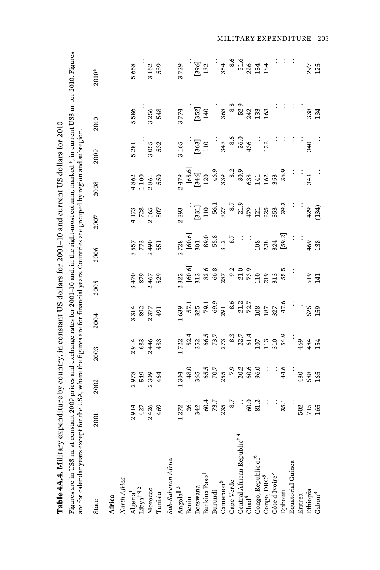|                                                                                                                                                                                                                                                                                                                                                                                                | $+7.7$                   |
|------------------------------------------------------------------------------------------------------------------------------------------------------------------------------------------------------------------------------------------------------------------------------------------------------------------------------------------------------------------------------------------------|--------------------------|
|                                                                                                                                                                                                                                                                                                                                                                                                |                          |
| י<br>בלו                                                                                                                                                                                                                                                                                                                                                                                       |                          |
|                                                                                                                                                                                                                                                                                                                                                                                                |                          |
| $\sim$ $\sim$ $\sim$                                                                                                                                                                                                                                                                                                                                                                           |                          |
|                                                                                                                                                                                                                                                                                                                                                                                                |                          |
|                                                                                                                                                                                                                                                                                                                                                                                                |                          |
|                                                                                                                                                                                                                                                                                                                                                                                                |                          |
|                                                                                                                                                                                                                                                                                                                                                                                                |                          |
|                                                                                                                                                                                                                                                                                                                                                                                                |                          |
|                                                                                                                                                                                                                                                                                                                                                                                                |                          |
| $\overline{1}$ $\overline{1}$ $\overline{1}$ $\overline{1}$ $\overline{1}$ $\overline{1}$ $\overline{1}$ $\overline{1}$ $\overline{1}$ $\overline{1}$ $\overline{1}$ $\overline{1}$ $\overline{1}$ $\overline{1}$ $\overline{1}$ $\overline{1}$ $\overline{1}$ $\overline{1}$ $\overline{1}$ $\overline{1}$ $\overline{1}$ $\overline{1}$ $\overline{1}$ $\overline{1}$ $\overline{$           |                          |
|                                                                                                                                                                                                                                                                                                                                                                                                |                          |
|                                                                                                                                                                                                                                                                                                                                                                                                |                          |
|                                                                                                                                                                                                                                                                                                                                                                                                |                          |
|                                                                                                                                                                                                                                                                                                                                                                                                |                          |
|                                                                                                                                                                                                                                                                                                                                                                                                |                          |
|                                                                                                                                                                                                                                                                                                                                                                                                |                          |
|                                                                                                                                                                                                                                                                                                                                                                                                |                          |
| n sun 1221 - 221 -                                                                                                                                                                                                                                                                                                                                                                             |                          |
|                                                                                                                                                                                                                                                                                                                                                                                                | $\frac{1}{2}$            |
|                                                                                                                                                                                                                                                                                                                                                                                                |                          |
|                                                                                                                                                                                                                                                                                                                                                                                                |                          |
|                                                                                                                                                                                                                                                                                                                                                                                                |                          |
|                                                                                                                                                                                                                                                                                                                                                                                                |                          |
|                                                                                                                                                                                                                                                                                                                                                                                                |                          |
|                                                                                                                                                                                                                                                                                                                                                                                                |                          |
|                                                                                                                                                                                                                                                                                                                                                                                                |                          |
|                                                                                                                                                                                                                                                                                                                                                                                                |                          |
| $\cdots$ and $\Box$ and $\cdots$                                                                                                                                                                                                                                                                                                                                                               |                          |
|                                                                                                                                                                                                                                                                                                                                                                                                |                          |
|                                                                                                                                                                                                                                                                                                                                                                                                |                          |
|                                                                                                                                                                                                                                                                                                                                                                                                |                          |
|                                                                                                                                                                                                                                                                                                                                                                                                |                          |
|                                                                                                                                                                                                                                                                                                                                                                                                |                          |
| $\overline{1}$ $\overline{1}$ $\overline{1}$ $\overline{1}$ $\overline{1}$ $\overline{1}$ $\overline{1}$ $\overline{1}$ $\overline{1}$ $\overline{1}$ $\overline{1}$ $\overline{1}$ $\overline{1}$ $\overline{1}$ $\overline{1}$ $\overline{1}$ $\overline{1}$ $\overline{1}$ $\overline{1}$ $\overline{1}$ $\overline{1}$ $\overline{1}$ $\overline{1}$ $\overline{1}$ $\overline{$<br>j<br>1 |                          |
|                                                                                                                                                                                                                                                                                                                                                                                                |                          |
|                                                                                                                                                                                                                                                                                                                                                                                                |                          |
|                                                                                                                                                                                                                                                                                                                                                                                                |                          |
|                                                                                                                                                                                                                                                                                                                                                                                                |                          |
|                                                                                                                                                                                                                                                                                                                                                                                                |                          |
|                                                                                                                                                                                                                                                                                                                                                                                                |                          |
|                                                                                                                                                                                                                                                                                                                                                                                                |                          |
|                                                                                                                                                                                                                                                                                                                                                                                                |                          |
|                                                                                                                                                                                                                                                                                                                                                                                                |                          |
| $-$                                                                                                                                                                                                                                                                                                                                                                                            |                          |
|                                                                                                                                                                                                                                                                                                                                                                                                |                          |
|                                                                                                                                                                                                                                                                                                                                                                                                |                          |
|                                                                                                                                                                                                                                                                                                                                                                                                |                          |
|                                                                                                                                                                                                                                                                                                                                                                                                |                          |
|                                                                                                                                                                                                                                                                                                                                                                                                |                          |
|                                                                                                                                                                                                                                                                                                                                                                                                |                          |
|                                                                                                                                                                                                                                                                                                                                                                                                |                          |
|                                                                                                                                                                                                                                                                                                                                                                                                |                          |
|                                                                                                                                                                                                                                                                                                                                                                                                |                          |
|                                                                                                                                                                                                                                                                                                                                                                                                |                          |
|                                                                                                                                                                                                                                                                                                                                                                                                | - 1<br>- 1 cccc - 1 cccc |
|                                                                                                                                                                                                                                                                                                                                                                                                |                          |
|                                                                                                                                                                                                                                                                                                                                                                                                |                          |
|                                                                                                                                                                                                                                                                                                                                                                                                |                          |
|                                                                                                                                                                                                                                                                                                                                                                                                |                          |
|                                                                                                                                                                                                                                                                                                                                                                                                |                          |
|                                                                                                                                                                                                                                                                                                                                                                                                |                          |
|                                                                                                                                                                                                                                                                                                                                                                                                |                          |
|                                                                                                                                                                                                                                                                                                                                                                                                |                          |
|                                                                                                                                                                                                                                                                                                                                                                                                |                          |
|                                                                                                                                                                                                                                                                                                                                                                                                |                          |
|                                                                                                                                                                                                                                                                                                                                                                                                |                          |
|                                                                                                                                                                                                                                                                                                                                                                                                |                          |
|                                                                                                                                                                                                                                                                                                                                                                                                | $\frac{1}{2}$            |
|                                                                                                                                                                                                                                                                                                                                                                                                |                          |
|                                                                                                                                                                                                                                                                                                                                                                                                |                          |
|                                                                                                                                                                                                                                                                                                                                                                                                |                          |
|                                                                                                                                                                                                                                                                                                                                                                                                |                          |
|                                                                                                                                                                                                                                                                                                                                                                                                |                          |
|                                                                                                                                                                                                                                                                                                                                                                                                |                          |
| $T = 1$                                                                                                                                                                                                                                                                                                                                                                                        | i                        |
|                                                                                                                                                                                                                                                                                                                                                                                                |                          |

Figures are in US\$ m. at constant 2009 prices and exchange rates for 2001–10 and, in the right-most column, marked \*, in current US\$ m. for 2010. Figures<br>are for calendar years except for the USA, where the figures are for Figures are in US\$ m. at constant 2009 prices and exchange rates for 2001–10 and, in the right-most column, marked \*, in current US\$ m. for 2010. Figures are for calendar years except for the USA, where the figures are for financial years. Countries are grouped by region and subregion.

| State                                                                                                                   | 2001                        | 2002                | 2003                           | 2004                                                                                                              | 2005                                                                                                                                                                                                                                                                                                                                                                               | 2006                         | 2007                                                                                                                                                                                                                                                                                                            | 2008                                | 2009                                                                                                                                                                                                                            | 2010                                                                                             | 2010*                 |
|-------------------------------------------------------------------------------------------------------------------------|-----------------------------|---------------------|--------------------------------|-------------------------------------------------------------------------------------------------------------------|------------------------------------------------------------------------------------------------------------------------------------------------------------------------------------------------------------------------------------------------------------------------------------------------------------------------------------------------------------------------------------|------------------------------|-----------------------------------------------------------------------------------------------------------------------------------------------------------------------------------------------------------------------------------------------------------------------------------------------------------------|-------------------------------------|---------------------------------------------------------------------------------------------------------------------------------------------------------------------------------------------------------------------------------|--------------------------------------------------------------------------------------------------|-----------------------|
| Africa                                                                                                                  |                             |                     |                                |                                                                                                                   |                                                                                                                                                                                                                                                                                                                                                                                    |                              |                                                                                                                                                                                                                                                                                                                 |                                     |                                                                                                                                                                                                                                 |                                                                                                  |                       |
| North Africa                                                                                                            |                             |                     |                                |                                                                                                                   |                                                                                                                                                                                                                                                                                                                                                                                    |                              |                                                                                                                                                                                                                                                                                                                 |                                     |                                                                                                                                                                                                                                 |                                                                                                  |                       |
|                                                                                                                         |                             |                     |                                |                                                                                                                   |                                                                                                                                                                                                                                                                                                                                                                                    |                              |                                                                                                                                                                                                                                                                                                                 |                                     |                                                                                                                                                                                                                                 | 5586                                                                                             |                       |
|                                                                                                                         | 2914<br>427<br>24369<br>469 | 2978<br>549<br>2304 | 2 914<br>683<br>2 483<br>2 483 | 3314<br>382<br>2377<br>491                                                                                        | 3470<br>879<br>2467<br>529                                                                                                                                                                                                                                                                                                                                                         | 3 557<br>773<br>2 490<br>551 | $4173$<br>$728$<br>$2565$<br>$507$                                                                                                                                                                                                                                                                              | $4862$<br>$1100$<br>$2850$<br>$550$ | $\begin{array}{c} 5281 \\ 3055 \\ 532 \end{array}$                                                                                                                                                                              |                                                                                                  |                       |
|                                                                                                                         |                             |                     |                                |                                                                                                                   |                                                                                                                                                                                                                                                                                                                                                                                    |                              |                                                                                                                                                                                                                                                                                                                 |                                     |                                                                                                                                                                                                                                 | $3\,256$<br>$548$                                                                                |                       |
| $\begin{array}{l} \bf{Algeria}^1 \\ \bf{Libya}^{\ddag}} \P_2 \\ \bf{Morocco} \\ \bf{Norocco} \\ \bf{Tunia} \end{array}$ |                             |                     |                                |                                                                                                                   |                                                                                                                                                                                                                                                                                                                                                                                    |                              |                                                                                                                                                                                                                                                                                                                 |                                     |                                                                                                                                                                                                                                 |                                                                                                  | 5 668<br>3 162<br>539 |
| Sub-Saharan Africa                                                                                                      |                             |                     |                                |                                                                                                                   |                                                                                                                                                                                                                                                                                                                                                                                    |                              |                                                                                                                                                                                                                                                                                                                 |                                     |                                                                                                                                                                                                                                 |                                                                                                  |                       |
| Angolal <sup>13</sup>                                                                                                   |                             |                     |                                |                                                                                                                   |                                                                                                                                                                                                                                                                                                                                                                                    |                              |                                                                                                                                                                                                                                                                                                                 |                                     | 3165                                                                                                                                                                                                                            | 1774                                                                                             |                       |
| Benin                                                                                                                   |                             |                     |                                |                                                                                                                   |                                                                                                                                                                                                                                                                                                                                                                                    |                              |                                                                                                                                                                                                                                                                                                                 |                                     |                                                                                                                                                                                                                                 |                                                                                                  |                       |
| Botswana                                                                                                                |                             |                     |                                |                                                                                                                   |                                                                                                                                                                                                                                                                                                                                                                                    |                              |                                                                                                                                                                                                                                                                                                                 |                                     |                                                                                                                                                                                                                                 |                                                                                                  |                       |
| Burkina Faso <sup>†</sup>                                                                                               |                             |                     |                                | $133$<br>$133$<br>$153$<br>$153$<br>$153$<br>$153$<br>$153$<br>$153$<br>$153$<br>$153$<br>$153$<br>$153$<br>$153$ | $\begin{array}{lllllllllll} \text{32.3} & \text{5.3} & \text{5.3} & \text{5.3} & \text{5.3} \\ \text{5.3} & \text{5.3} & \text{5.3} & \text{5.3} & \text{5.3} \\ \text{5.3} & \text{5.3} & \text{5.3} & \text{5.3} & \text{5.3} \\ \text{5.4} & \text{5.4} & \text{5.5} & \text{5.5} & \text{5.5} \\ \text{5.5} & \text{5.5} & \text{5.5} & \text{5.5} & \text{5.5} \\ \text{5.5}$ |                              | $\begin{array}{c} 2,393 \\ 1331 \\ 110 \\ 56.1 \\ 327 \\ 8.7 \\ 21.0 \\ 23.9 \\ 212 \\ 23.3 \\ 35.3 \\ 39.3 \\ 39.3 \\ 39.3 \\ 39.3 \\ 39.3 \\ 39.3 \\ 39.3 \\ 39.3 \\ 39.3 \\ 39.3 \\ 39.3 \\ 39.3 \\ 39.3 \\ 39.3 \\ 39.3 \\ 39.3 \\ 39.3 \\ 39.3 \\ 39.3 \\ 39.3 \\ 39.3 \\ 39.3 \\ 39.3 \\ 39.3 \\ 39.3 \\$ |                                     | $\frac{1}{2}$ $\frac{1}{2}$ $\frac{1}{3}$ $\frac{1}{3}$ $\frac{1}{3}$ $\frac{1}{3}$ $\frac{1}{3}$ $\frac{1}{3}$ $\frac{1}{3}$ $\frac{1}{3}$ $\frac{1}{3}$ $\frac{1}{3}$ $\frac{1}{3}$ $\frac{1}{3}$ $\frac{1}{3}$ $\frac{1}{3}$ | $\begin{array}{ccc}\n 1.6521 \\  1.40 \\  3.68 \\  8.83 \\  5.21 \\  1.33 \\  1.63\n\end{array}$ |                       |
| <b>Burundi</b>                                                                                                          |                             |                     |                                |                                                                                                                   |                                                                                                                                                                                                                                                                                                                                                                                    |                              |                                                                                                                                                                                                                                                                                                                 |                                     |                                                                                                                                                                                                                                 |                                                                                                  |                       |
| $\mathtt{Lameroon}^\S$                                                                                                  |                             |                     |                                |                                                                                                                   |                                                                                                                                                                                                                                                                                                                                                                                    |                              |                                                                                                                                                                                                                                                                                                                 |                                     |                                                                                                                                                                                                                                 |                                                                                                  |                       |
| Cape Verde                                                                                                              |                             |                     |                                |                                                                                                                   |                                                                                                                                                                                                                                                                                                                                                                                    |                              |                                                                                                                                                                                                                                                                                                                 |                                     |                                                                                                                                                                                                                                 |                                                                                                  |                       |
| Central African Republic <sup>‡ 4</sup><br>Chad <sup>5</sup>                                                            |                             |                     |                                |                                                                                                                   |                                                                                                                                                                                                                                                                                                                                                                                    |                              |                                                                                                                                                                                                                                                                                                                 |                                     |                                                                                                                                                                                                                                 |                                                                                                  |                       |
|                                                                                                                         |                             |                     |                                |                                                                                                                   |                                                                                                                                                                                                                                                                                                                                                                                    |                              |                                                                                                                                                                                                                                                                                                                 |                                     |                                                                                                                                                                                                                                 |                                                                                                  |                       |
| Congo, Republic of <sup>6</sup>                                                                                         |                             |                     |                                |                                                                                                                   |                                                                                                                                                                                                                                                                                                                                                                                    |                              |                                                                                                                                                                                                                                                                                                                 |                                     |                                                                                                                                                                                                                                 |                                                                                                  |                       |
| $\begin{array}{c} \text{Congo, DRC}^6 \\ \text{Côte d'Ivoire}^7 \end{array}$                                            |                             |                     |                                |                                                                                                                   |                                                                                                                                                                                                                                                                                                                                                                                    |                              |                                                                                                                                                                                                                                                                                                                 |                                     |                                                                                                                                                                                                                                 |                                                                                                  |                       |
|                                                                                                                         |                             |                     |                                |                                                                                                                   |                                                                                                                                                                                                                                                                                                                                                                                    |                              |                                                                                                                                                                                                                                                                                                                 |                                     |                                                                                                                                                                                                                                 |                                                                                                  |                       |
| Djibouti                                                                                                                |                             |                     |                                |                                                                                                                   |                                                                                                                                                                                                                                                                                                                                                                                    |                              |                                                                                                                                                                                                                                                                                                                 |                                     |                                                                                                                                                                                                                                 |                                                                                                  |                       |
| Equatorial Guinea<br>Eritrea                                                                                            |                             |                     |                                |                                                                                                                   |                                                                                                                                                                                                                                                                                                                                                                                    |                              |                                                                                                                                                                                                                                                                                                                 |                                     |                                                                                                                                                                                                                                 |                                                                                                  |                       |
|                                                                                                                         |                             |                     |                                |                                                                                                                   |                                                                                                                                                                                                                                                                                                                                                                                    |                              |                                                                                                                                                                                                                                                                                                                 |                                     |                                                                                                                                                                                                                                 |                                                                                                  |                       |
| Ethiopia                                                                                                                | 502<br>715<br>165           |                     | $$484$<br>$484$<br>$154$       |                                                                                                                   |                                                                                                                                                                                                                                                                                                                                                                                    |                              |                                                                                                                                                                                                                                                                                                                 |                                     |                                                                                                                                                                                                                                 | $\therefore$<br>$\frac{384}{334}$                                                                | 297<br>125            |
| $\mathrm{Gabon}^8$                                                                                                      |                             |                     |                                |                                                                                                                   |                                                                                                                                                                                                                                                                                                                                                                                    |                              |                                                                                                                                                                                                                                                                                                                 |                                     |                                                                                                                                                                                                                                 |                                                                                                  |                       |
|                                                                                                                         |                             |                     |                                |                                                                                                                   |                                                                                                                                                                                                                                                                                                                                                                                    |                              |                                                                                                                                                                                                                                                                                                                 |                                     |                                                                                                                                                                                                                                 |                                                                                                  |                       |

MILITARY EXPENDITURE 205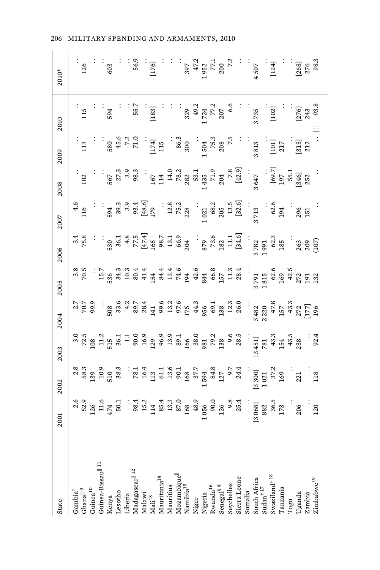| State                                                                                                                                                                                | 2001                                     | 2002                                                                     | 2003 | 2004                                                                                                       | 2005                                                                                                    | 2006          | 2007                                                                                                                                                                      | 2008                                                                                                                                                                                                                                                                                                            | 2009                                                                        | 2010                                                | 2010*                                                                                                                                                                                                                                                                                                                                                                                                                                              |
|--------------------------------------------------------------------------------------------------------------------------------------------------------------------------------------|------------------------------------------|--------------------------------------------------------------------------|------|------------------------------------------------------------------------------------------------------------|---------------------------------------------------------------------------------------------------------|---------------|---------------------------------------------------------------------------------------------------------------------------------------------------------------------------|-----------------------------------------------------------------------------------------------------------------------------------------------------------------------------------------------------------------------------------------------------------------------------------------------------------------|-----------------------------------------------------------------------------|-----------------------------------------------------|----------------------------------------------------------------------------------------------------------------------------------------------------------------------------------------------------------------------------------------------------------------------------------------------------------------------------------------------------------------------------------------------------------------------------------------------------|
|                                                                                                                                                                                      |                                          |                                                                          |      |                                                                                                            |                                                                                                         |               |                                                                                                                                                                           |                                                                                                                                                                                                                                                                                                                 |                                                                             |                                                     |                                                                                                                                                                                                                                                                                                                                                                                                                                                    |
|                                                                                                                                                                                      |                                          |                                                                          |      | $2.7$<br>$7.5$<br>$9.5$                                                                                    | $\frac{3}{2}$                                                                                           | $3.8$<br>75.8 | $\frac{4}{116}$                                                                                                                                                           | 102                                                                                                                                                                                                                                                                                                             | 113                                                                         | 115                                                 | 126                                                                                                                                                                                                                                                                                                                                                                                                                                                |
| $\begin{array}{ll} \text{Gambia}^\ddagger\\ \text{Ghamal}^{\parallel 9} \\ \text{Guina}^{\text{10}} \\ \text{Guinea}^{\text{20}} \\ \text{Guinea-bissau}^{\parallel 11} \end{array}$ | $\frac{2.6}{52.5}$<br>126<br>474<br>50.1 | $\frac{36}{38}$<br>$\frac{33}{12}$<br>$\frac{33}{12}$<br>$\frac{33}{38}$ |      |                                                                                                            |                                                                                                         |               |                                                                                                                                                                           |                                                                                                                                                                                                                                                                                                                 |                                                                             |                                                     |                                                                                                                                                                                                                                                                                                                                                                                                                                                    |
|                                                                                                                                                                                      |                                          |                                                                          |      |                                                                                                            |                                                                                                         |               |                                                                                                                                                                           |                                                                                                                                                                                                                                                                                                                 |                                                                             |                                                     |                                                                                                                                                                                                                                                                                                                                                                                                                                                    |
|                                                                                                                                                                                      |                                          |                                                                          |      |                                                                                                            |                                                                                                         |               |                                                                                                                                                                           |                                                                                                                                                                                                                                                                                                                 |                                                                             | 594                                                 |                                                                                                                                                                                                                                                                                                                                                                                                                                                    |
| Kenya<br>Lesotho<br>Liberia<br>Liberia<br>Madagascar <sup>   12</sup><br>Madawi<br>Madawi                                                                                            |                                          |                                                                          |      |                                                                                                            |                                                                                                         |               | $39.39$<br>$39.39$<br>$39.39$<br>$48.6$<br>$17$                                                                                                                           | 567<br>27.3<br>98.3                                                                                                                                                                                                                                                                                             | $\frac{30}{45.0}$<br>$\frac{45.0}{7.2}$                                     |                                                     |                                                                                                                                                                                                                                                                                                                                                                                                                                                    |
|                                                                                                                                                                                      |                                          |                                                                          |      |                                                                                                            |                                                                                                         |               |                                                                                                                                                                           |                                                                                                                                                                                                                                                                                                                 |                                                                             |                                                     |                                                                                                                                                                                                                                                                                                                                                                                                                                                    |
|                                                                                                                                                                                      |                                          |                                                                          |      |                                                                                                            |                                                                                                         |               |                                                                                                                                                                           |                                                                                                                                                                                                                                                                                                                 |                                                                             | 55.7                                                |                                                                                                                                                                                                                                                                                                                                                                                                                                                    |
|                                                                                                                                                                                      |                                          |                                                                          |      |                                                                                                            |                                                                                                         |               |                                                                                                                                                                           |                                                                                                                                                                                                                                                                                                                 |                                                                             |                                                     |                                                                                                                                                                                                                                                                                                                                                                                                                                                    |
|                                                                                                                                                                                      |                                          |                                                                          |      |                                                                                                            |                                                                                                         |               |                                                                                                                                                                           |                                                                                                                                                                                                                                                                                                                 |                                                                             | .<br>[183]                                          |                                                                                                                                                                                                                                                                                                                                                                                                                                                    |
| $\begin{array}{c} \rm{Mauritania}^{14}\\ \rm{Mauritius} \end{array}$                                                                                                                 |                                          |                                                                          |      |                                                                                                            |                                                                                                         |               |                                                                                                                                                                           |                                                                                                                                                                                                                                                                                                                 | $\begin{bmatrix} 174 \\ 115 \end{bmatrix}$                                  |                                                     |                                                                                                                                                                                                                                                                                                                                                                                                                                                    |
|                                                                                                                                                                                      |                                          |                                                                          |      |                                                                                                            |                                                                                                         |               |                                                                                                                                                                           |                                                                                                                                                                                                                                                                                                                 |                                                                             |                                                     |                                                                                                                                                                                                                                                                                                                                                                                                                                                    |
|                                                                                                                                                                                      |                                          |                                                                          |      |                                                                                                            |                                                                                                         |               |                                                                                                                                                                           |                                                                                                                                                                                                                                                                                                                 |                                                                             |                                                     |                                                                                                                                                                                                                                                                                                                                                                                                                                                    |
| Mozambique <sup>  </sup><br>Namibia <sup>15</sup>                                                                                                                                    |                                          |                                                                          |      |                                                                                                            |                                                                                                         |               |                                                                                                                                                                           |                                                                                                                                                                                                                                                                                                                 |                                                                             |                                                     |                                                                                                                                                                                                                                                                                                                                                                                                                                                    |
| Niger                                                                                                                                                                                |                                          |                                                                          |      |                                                                                                            |                                                                                                         |               |                                                                                                                                                                           |                                                                                                                                                                                                                                                                                                                 |                                                                             |                                                     |                                                                                                                                                                                                                                                                                                                                                                                                                                                    |
|                                                                                                                                                                                      |                                          |                                                                          |      |                                                                                                            |                                                                                                         |               |                                                                                                                                                                           |                                                                                                                                                                                                                                                                                                                 |                                                                             |                                                     |                                                                                                                                                                                                                                                                                                                                                                                                                                                    |
|                                                                                                                                                                                      |                                          |                                                                          |      |                                                                                                            |                                                                                                         |               |                                                                                                                                                                           |                                                                                                                                                                                                                                                                                                                 |                                                                             |                                                     |                                                                                                                                                                                                                                                                                                                                                                                                                                                    |
|                                                                                                                                                                                      |                                          |                                                                          |      |                                                                                                            |                                                                                                         |               |                                                                                                                                                                           |                                                                                                                                                                                                                                                                                                                 | $\begin{array}{r} .363 \ 86.3 \ 300 \ 1504 \ 75.3 \ 208 \ 75.5 \end{array}$ |                                                     |                                                                                                                                                                                                                                                                                                                                                                                                                                                    |
|                                                                                                                                                                                      |                                          |                                                                          |      |                                                                                                            |                                                                                                         |               |                                                                                                                                                                           |                                                                                                                                                                                                                                                                                                                 |                                                                             |                                                     |                                                                                                                                                                                                                                                                                                                                                                                                                                                    |
| Nigeria ${\rm Rowand}^{\rm 16}$ Rwanda $^{\rm 16}$ Senegal $^{\rm 87}$ Senegal $^{\rm 87}$ Seychelles Sierra Leone South Africa South Africa South Africa South Africa               |                                          |                                                                          |      |                                                                                                            |                                                                                                         |               | $\begin{array}{rrrr} 12.8 & & & \\ 12.8 & & & \\ 75.2 & & & \\ 1021 & & & \\ 103 & & & \\ 103 & & & \\ 103 & & & \\ 305 & & & \\ 3713 & & & \\ 3713 & & & \\ \end{array}$ | $\begin{array}{r} 167 \\ 167 \\ 144 \\ 78.2 \\ 78.2 \\ 83.1 \\ 1435 \\ 70.9 \\ 70.9 \\ 70.8 \\ 78.8 \\ 78.9 \\ 78.9 \\ 78.9 \\ 78.9 \\ 78.9 \\ 78.9 \\ 78.9 \\ 78.9 \\ 78.9 \\ 78.9 \\ 78.9 \\ 78.9 \\ 78.9 \\ 78.9 \\ 78.9 \\ 78.9 \\ 78.9 \\ 78.9 \\ 78.9 \\ 78.9 \\ 78.9 \\ 78.9 \\ 78.9 \\ 78.9 \\ 78.9 \\$ |                                                                             |                                                     | $\begin{array}{ccccccccc}\n&\vdots&\vdots&&\vdots&&\vdots&&\vdots\\ &\circ&\circ&\circ&\circ&\circ&\circ\\ &\circ&\circ&\circ&\circ&\circ&\circ\\ &\circ&\circ&\circ&\circ&\circ&\circ\\ &\circ&\circ&\circ&\circ&\circ&\circ\\ &\circ&\circ&\circ&\circ&\circ&\circ\\ &\circ&\circ&\circ&\circ&\circ&\circ\\ &\circ&\circ&\circ&\circ&\circ&\circ\\ &\circ&\circ&\circ&\circ&\circ&\circ\\ &\circ&\circ&\circ&\circ&\circ&\circ\\ &\circ&\circ&\$ |
|                                                                                                                                                                                      |                                          |                                                                          |      |                                                                                                            |                                                                                                         |               |                                                                                                                                                                           |                                                                                                                                                                                                                                                                                                                 |                                                                             |                                                     |                                                                                                                                                                                                                                                                                                                                                                                                                                                    |
|                                                                                                                                                                                      |                                          |                                                                          |      |                                                                                                            |                                                                                                         |               |                                                                                                                                                                           |                                                                                                                                                                                                                                                                                                                 | 813                                                                         | 3735                                                |                                                                                                                                                                                                                                                                                                                                                                                                                                                    |
|                                                                                                                                                                                      |                                          |                                                                          |      |                                                                                                            |                                                                                                         |               |                                                                                                                                                                           |                                                                                                                                                                                                                                                                                                                 |                                                                             |                                                     |                                                                                                                                                                                                                                                                                                                                                                                                                                                    |
| $Swaziland$ #18                                                                                                                                                                      |                                          |                                                                          |      | $\begin{array}{c} 3\,482 \\ 2\,220 \\ 2\,47.8 \\ 15.7 \\ 13.3 \\ 272 \\ 1177 \\ 196 \\ \hline \end{array}$ | $\begin{array}{c} 3\,791 \\ 1\,815 \\ 1\,815 \\ 6\,2.6 \\ 16\,9 \\ 12\,72 \\ 131 \\ 132 \\ \end{array}$ |               |                                                                                                                                                                           |                                                                                                                                                                                                                                                                                                                 | $\begin{bmatrix} 101 \end{bmatrix}$                                         | [102]                                               | .<br>[124]                                                                                                                                                                                                                                                                                                                                                                                                                                         |
| <b>Tanzania</b>                                                                                                                                                                      |                                          |                                                                          |      |                                                                                                            |                                                                                                         |               | 62.6                                                                                                                                                                      |                                                                                                                                                                                                                                                                                                                 |                                                                             |                                                     |                                                                                                                                                                                                                                                                                                                                                                                                                                                    |
| Togo                                                                                                                                                                                 |                                          |                                                                          |      |                                                                                                            |                                                                                                         |               |                                                                                                                                                                           |                                                                                                                                                                                                                                                                                                                 |                                                                             |                                                     |                                                                                                                                                                                                                                                                                                                                                                                                                                                    |
| Uganda<br>Zambia                                                                                                                                                                     | $\frac{206}{5}$                          | 221                                                                      |      |                                                                                                            |                                                                                                         |               | 296<br>151                                                                                                                                                                |                                                                                                                                                                                                                                                                                                                 | .<br>[312<br>212                                                            | $\begin{array}{c} [276] \\ 243 \\ 93.8 \end{array}$ | $256$<br>$276$<br>$276$<br>$98.3$                                                                                                                                                                                                                                                                                                                                                                                                                  |
|                                                                                                                                                                                      |                                          |                                                                          |      |                                                                                                            |                                                                                                         |               |                                                                                                                                                                           |                                                                                                                                                                                                                                                                                                                 |                                                                             |                                                     |                                                                                                                                                                                                                                                                                                                                                                                                                                                    |
| Zimbabwe <sup>19</sup>                                                                                                                                                               | 120                                      | $\frac{1}{18}$                                                           |      |                                                                                                            |                                                                                                         |               |                                                                                                                                                                           |                                                                                                                                                                                                                                                                                                                 |                                                                             |                                                     |                                                                                                                                                                                                                                                                                                                                                                                                                                                    |
|                                                                                                                                                                                      |                                          |                                                                          |      |                                                                                                            |                                                                                                         |               |                                                                                                                                                                           |                                                                                                                                                                                                                                                                                                                 |                                                                             |                                                     |                                                                                                                                                                                                                                                                                                                                                                                                                                                    |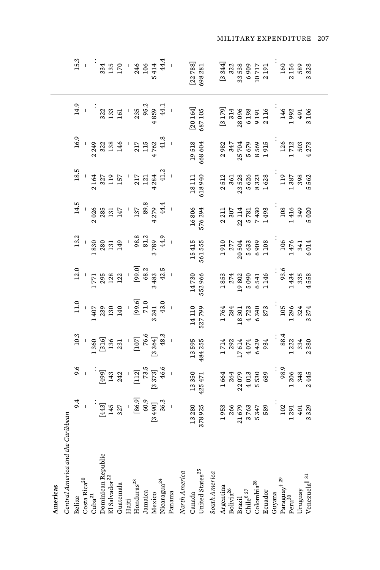| Central America and the<br>Americas                                                                                                                    | Caribbean                                         |                                                             |                                                                                                                                                                                                                                                                                                              |                                                                                                             |                                                                                                                                                                                                                                                                                                  |                                                                                                                              |                                                                                                    |                                                                                                                          |                                                                                                |                                                                                       |                                                            |
|--------------------------------------------------------------------------------------------------------------------------------------------------------|---------------------------------------------------|-------------------------------------------------------------|--------------------------------------------------------------------------------------------------------------------------------------------------------------------------------------------------------------------------------------------------------------------------------------------------------------|-------------------------------------------------------------------------------------------------------------|--------------------------------------------------------------------------------------------------------------------------------------------------------------------------------------------------------------------------------------------------------------------------------------------------|------------------------------------------------------------------------------------------------------------------------------|----------------------------------------------------------------------------------------------------|--------------------------------------------------------------------------------------------------------------------------|------------------------------------------------------------------------------------------------|---------------------------------------------------------------------------------------|------------------------------------------------------------|
| Belize                                                                                                                                                 | 9.4                                               | 9.6                                                         | 10.3                                                                                                                                                                                                                                                                                                         | 11.0                                                                                                        | 12.0                                                                                                                                                                                                                                                                                             | 13.2                                                                                                                         | 14.5                                                                                               | $18.5$                                                                                                                   | 16.9                                                                                           | 14.9                                                                                  | 15.3                                                       |
| Costa Rica $\rm ^{20}$                                                                                                                                 |                                                   |                                                             |                                                                                                                                                                                                                                                                                                              |                                                                                                             |                                                                                                                                                                                                                                                                                                  |                                                                                                                              |                                                                                                    |                                                                                                                          |                                                                                                |                                                                                       |                                                            |
| ${\rm Cuba}^{21}$                                                                                                                                      |                                                   |                                                             |                                                                                                                                                                                                                                                                                                              |                                                                                                             |                                                                                                                                                                                                                                                                                                  |                                                                                                                              |                                                                                                    |                                                                                                                          |                                                                                                |                                                                                       |                                                            |
| Dominican Republic                                                                                                                                     |                                                   |                                                             |                                                                                                                                                                                                                                                                                                              |                                                                                                             |                                                                                                                                                                                                                                                                                                  |                                                                                                                              |                                                                                                    |                                                                                                                          |                                                                                                |                                                                                       |                                                            |
| $\mathop{\rm El}\nolimits$ Salvador $^{22}$                                                                                                            | $\begin{bmatrix} 443 \\ 145 \\ 327 \end{bmatrix}$ |                                                             |                                                                                                                                                                                                                                                                                                              |                                                                                                             |                                                                                                                                                                                                                                                                                                  |                                                                                                                              |                                                                                                    |                                                                                                                          |                                                                                                |                                                                                       |                                                            |
| Guatemala                                                                                                                                              |                                                   | - 143<br>143<br>242                                         |                                                                                                                                                                                                                                                                                                              |                                                                                                             |                                                                                                                                                                                                                                                                                                  |                                                                                                                              |                                                                                                    |                                                                                                                          |                                                                                                |                                                                                       |                                                            |
| Haiti                                                                                                                                                  |                                                   |                                                             |                                                                                                                                                                                                                                                                                                              |                                                                                                             |                                                                                                                                                                                                                                                                                                  |                                                                                                                              |                                                                                                    |                                                                                                                          |                                                                                                |                                                                                       |                                                            |
| $H$ onduras $^{23}$                                                                                                                                    |                                                   |                                                             |                                                                                                                                                                                                                                                                                                              |                                                                                                             |                                                                                                                                                                                                                                                                                                  |                                                                                                                              |                                                                                                    | $\begin{array}{cc} 1 & 64 \\ 327 \\ 321 \\ 157 \\ 157 \\ 157 \\ 212 \\ 4234 \\ 41.2 \\ 41.2 \end{array}$                 | $\begin{array}{c}\n 1 \\  2349 \\  332 \\  138 \\  146 \\  115 \\  4762 \\  4762\n\end{array}$ | $\begin{array}{c} 322 \\ 133 \\ 161 \\ 161 \\ 235 \\ 235 \\ 4859 \\ 4859 \end{array}$ | $334$ $335$ $-170$ $-340$ $-3414$ $-5414$                  |
| Jamaica                                                                                                                                                |                                                   |                                                             |                                                                                                                                                                                                                                                                                                              |                                                                                                             |                                                                                                                                                                                                                                                                                                  |                                                                                                                              |                                                                                                    |                                                                                                                          |                                                                                                |                                                                                       |                                                            |
| Mexico                                                                                                                                                 |                                                   |                                                             |                                                                                                                                                                                                                                                                                                              |                                                                                                             |                                                                                                                                                                                                                                                                                                  |                                                                                                                              |                                                                                                    |                                                                                                                          |                                                                                                |                                                                                       |                                                            |
| Nicaragua <sup>24</sup><br>Panama                                                                                                                      |                                                   | $\begin{bmatrix} 112 \\ 73.5 \\ 8373 \\ 46.6 \end{bmatrix}$ | $\begin{array}{r} 1\ 360 \\[2mm] 130 \\[2mm] 136 \\[2mm] 137 \\[2mm] 231 \\[2mm] 136 \\[2mm] 137 \\[2mm] 137 \\[2mm] 130 \\[2mm] 137 \\[2mm] 130 \\[2mm] 130 \\[2mm] 130 \\[2mm] 130 \\[2mm] 130 \\[2mm] 130 \\[2mm] 130 \\[2mm] 131 \\[2mm] 130 \\[2mm] 131 \\[2mm] 130 \\[2mm] 131 \\[2mm] 130 \\[2mm] 13$ | $\begin{array}{r} 1\\ 407\\ 239\\ 130\\ 140\\ 140\\ 599.6\\ 71.0\\ 71.0\\ 3241\\ 43.0\\ 43.0\\ \end{array}$ | $1\,771$<br>$295$<br>$122$<br>$122$<br>$-68.3$<br>$-8483$<br>$342.5$<br>$-5$<br>$-5$<br>$-5$<br>$-5$<br>$-5$<br>$-5$<br>$-5$<br>$-5$<br>$-5$<br>$-5$<br>$-5$<br>$-5$<br>$-5$<br>$-5$<br>$-5$<br>$-5$<br>$-5$<br>$-5$<br>$-5$<br>$-5$<br>$-5$<br>$-5$<br>$-5$<br>$-5$<br>$-5$<br>$-5$<br>$-5$<br> | $\begin{array}{r} 1\,830 \\ 2\,80 \\ 1\,31 \\ 1\,49 \\ 1\,49 \\ 8\,8.3 \\ 8\,1.2 \\ 8\,3.7 \\ 8\,9 \\ 4\,4.9 \\ \end{array}$ | $\begin{array}{r} 1026 \\ 2026 \\ 285 \\ 131 \\ 147 \\ 137 \\ 309 \\ 427 \\ 44.4 \\ 4 \end{array}$ |                                                                                                                          | $\ddot{=}$                                                                                     | 44.1                                                                                  | 44.4                                                       |
|                                                                                                                                                        |                                                   |                                                             |                                                                                                                                                                                                                                                                                                              |                                                                                                             |                                                                                                                                                                                                                                                                                                  |                                                                                                                              |                                                                                                    |                                                                                                                          |                                                                                                |                                                                                       |                                                            |
| North America                                                                                                                                          |                                                   |                                                             |                                                                                                                                                                                                                                                                                                              |                                                                                                             |                                                                                                                                                                                                                                                                                                  |                                                                                                                              |                                                                                                    |                                                                                                                          |                                                                                                |                                                                                       |                                                            |
| Canada                                                                                                                                                 | 13280<br>378925                                   | 13350<br>425471                                             | 13595<br>484255                                                                                                                                                                                                                                                                                              | 14 110<br>527 799                                                                                           | 14730<br>552966                                                                                                                                                                                                                                                                                  | 15 415<br>561 555                                                                                                            | 16806<br>576294                                                                                    | 18 111<br>618 940                                                                                                        | 19518                                                                                          | $[20164]$<br>687 105                                                                  | $[22788]$<br>698 281                                       |
| United States <sup>25</sup>                                                                                                                            |                                                   |                                                             |                                                                                                                                                                                                                                                                                                              |                                                                                                             |                                                                                                                                                                                                                                                                                                  |                                                                                                                              |                                                                                                    |                                                                                                                          | 668604                                                                                         |                                                                                       |                                                            |
| South America                                                                                                                                          |                                                   |                                                             |                                                                                                                                                                                                                                                                                                              |                                                                                                             |                                                                                                                                                                                                                                                                                                  |                                                                                                                              |                                                                                                    |                                                                                                                          |                                                                                                |                                                                                       |                                                            |
| $\begin{array}{l} {\bf Argentina}\\ {\bf Bolivia}^{26}\\ {\bf Brazil}\\ {\bf Brazil}\\ {\bf Child}^{8~27}\\ \end{array}$                               | 1953                                              |                                                             |                                                                                                                                                                                                                                                                                                              | 1764                                                                                                        | 1853                                                                                                                                                                                                                                                                                             | 1910                                                                                                                         | 2211                                                                                               |                                                                                                                          | 2982                                                                                           | $\left[3\,179\right]$                                                                 | [3 344]                                                    |
|                                                                                                                                                        | 266<br>21679                                      |                                                             |                                                                                                                                                                                                                                                                                                              |                                                                                                             |                                                                                                                                                                                                                                                                                                  | 277<br>20 504                                                                                                                | 307<br>22 114                                                                                      |                                                                                                                          | 347<br>25704                                                                                   | 314                                                                                   | $\begin{array}{c} 322 \\ 33538 \end{array}$                |
|                                                                                                                                                        |                                                   |                                                             |                                                                                                                                                                                                                                                                                                              |                                                                                                             |                                                                                                                                                                                                                                                                                                  |                                                                                                                              |                                                                                                    |                                                                                                                          |                                                                                                | 28096                                                                                 |                                                            |
|                                                                                                                                                        |                                                   |                                                             |                                                                                                                                                                                                                                                                                                              |                                                                                                             |                                                                                                                                                                                                                                                                                                  |                                                                                                                              |                                                                                                    |                                                                                                                          |                                                                                                |                                                                                       |                                                            |
| $\begin{array}{c} \mbox{Colombia}^{28}\\ \mbox{Ecudor} \end{array}$                                                                                    | 3 763<br>5 347<br>589                             | $1664$<br>$264$<br>$21079$<br>$4013$<br>$530$<br>$689$      | $\begin{array}{r} 1\,714 \\ 2\,92 \\ 2\,9 \\ 1\,7\,614 \\ 4\,074 \\ 6\,429 \\ 6\,934 \end{array}$                                                                                                                                                                                                            | $\begin{array}{c} 284 \\ 18 \ 301 \\ 4 \ 723 \\ 6 \ 340 \\ 6 \ 873 \end{array}$                             | $\begin{array}{c} 274 \\ 19\ 802 \\ 5\ 090 \\ 6\ 541 \\ 6\ 146 \end{array}$                                                                                                                                                                                                                      | 5633<br>6909<br>1108                                                                                                         | 5781<br>7430<br>1493                                                                               | $\begin{array}{r} 2\,512 \\ 3\,61 \\ 3\,63 \\ 2\,3\,62 \\ 5\,62 \\ 6\,23 \\ 6\,23 \\ 1\,62 \\ 8 \\ 1\,62 \\ \end{array}$ | 5679<br>8569<br>1915                                                                           | 6198<br>9191<br>2116                                                                  | $\begin{array}{c} 6\ 909 \\ 10\ 717 \\ 2\ 191 \end{array}$ |
|                                                                                                                                                        |                                                   |                                                             |                                                                                                                                                                                                                                                                                                              |                                                                                                             |                                                                                                                                                                                                                                                                                                  |                                                                                                                              |                                                                                                    |                                                                                                                          |                                                                                                |                                                                                       |                                                            |
| Guyana                                                                                                                                                 |                                                   |                                                             |                                                                                                                                                                                                                                                                                                              |                                                                                                             |                                                                                                                                                                                                                                                                                                  |                                                                                                                              |                                                                                                    |                                                                                                                          |                                                                                                |                                                                                       |                                                            |
| $\mathrm{Paraguay}^{\dagger\ 29} \ \mathrm{Peru}^{30}$                                                                                                 | $\begin{array}{c} 102 \\ 1291 \end{array}$        | $98.9$<br>$-206$<br>$348$                                   | $\begin{array}{r} \textbf{88.4} \\ 1 \textbf{222} \\ \textbf{334} \end{array}$                                                                                                                                                                                                                               | $105$<br>$1296$<br>$324$<br>$324$<br>$3374$                                                                 | $93.6$<br>1 434<br>335                                                                                                                                                                                                                                                                           | $\begin{array}{c} 106 \\ 1476 \\ 341 \\ 6014 \end{array}$                                                                    |                                                                                                    | $\begin{array}{c} 119 \\ 1387 \\ \hline \end{array}$                                                                     |                                                                                                |                                                                                       |                                                            |
|                                                                                                                                                        |                                                   |                                                             |                                                                                                                                                                                                                                                                                                              |                                                                                                             |                                                                                                                                                                                                                                                                                                  |                                                                                                                              | 108<br>1416<br>349                                                                                 |                                                                                                                          | $\begin{array}{c} 126 \\ 1\,712 \\ 503 \end{array}$                                            | 146<br>1992<br>491                                                                    | 160<br>2156<br>589                                         |
| Uruguay                                                                                                                                                | $\overline{5}$                                    |                                                             |                                                                                                                                                                                                                                                                                                              |                                                                                                             |                                                                                                                                                                                                                                                                                                  |                                                                                                                              |                                                                                                    |                                                                                                                          |                                                                                                |                                                                                       |                                                            |
| $\ensuremath{\text{Vene}}\xspace\ensuremath{\text{la}}\xspace\ensuremath{\text{ll}}\xspace\ensuremath{\text{all}}\xspace\ensuremath{\text{31}}\xspace$ | 329                                               | 445                                                         | 380                                                                                                                                                                                                                                                                                                          |                                                                                                             | 558                                                                                                                                                                                                                                                                                              |                                                                                                                              | 5020                                                                                               | 562                                                                                                                      | 273                                                                                            | 3106                                                                                  | 328                                                        |
|                                                                                                                                                        |                                                   |                                                             |                                                                                                                                                                                                                                                                                                              |                                                                                                             |                                                                                                                                                                                                                                                                                                  |                                                                                                                              |                                                                                                    |                                                                                                                          |                                                                                                |                                                                                       |                                                            |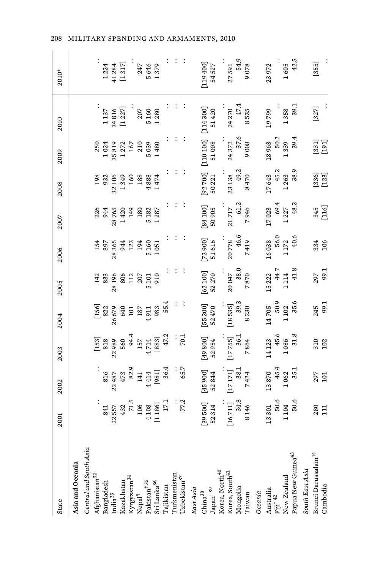| State                                                                                                                                                                                                                                                                                                                                                                                                  | 2001                                                                                                                                                                                                                                                                                                                  | 2002                                                                                                                                                                          | 2003                                                                                                             | 2004                                                                                                | 2005                                                                                                | 2006                                                          | 2007                                                 | 2008                                                | 2009                                                                     | 2010               | 2010*         |
|--------------------------------------------------------------------------------------------------------------------------------------------------------------------------------------------------------------------------------------------------------------------------------------------------------------------------------------------------------------------------------------------------------|-----------------------------------------------------------------------------------------------------------------------------------------------------------------------------------------------------------------------------------------------------------------------------------------------------------------------|-------------------------------------------------------------------------------------------------------------------------------------------------------------------------------|------------------------------------------------------------------------------------------------------------------|-----------------------------------------------------------------------------------------------------|-----------------------------------------------------------------------------------------------------|---------------------------------------------------------------|------------------------------------------------------|-----------------------------------------------------|--------------------------------------------------------------------------|--------------------|---------------|
| Asia and Oceania                                                                                                                                                                                                                                                                                                                                                                                       |                                                                                                                                                                                                                                                                                                                       |                                                                                                                                                                               |                                                                                                                  |                                                                                                     |                                                                                                     |                                                               |                                                      |                                                     |                                                                          |                    |               |
| Central and South Asia                                                                                                                                                                                                                                                                                                                                                                                 |                                                                                                                                                                                                                                                                                                                       |                                                                                                                                                                               |                                                                                                                  |                                                                                                     |                                                                                                     |                                                               |                                                      |                                                     |                                                                          |                    |               |
|                                                                                                                                                                                                                                                                                                                                                                                                        |                                                                                                                                                                                                                                                                                                                       |                                                                                                                                                                               |                                                                                                                  |                                                                                                     |                                                                                                     |                                                               |                                                      | 198                                                 | 250                                                                      |                    |               |
|                                                                                                                                                                                                                                                                                                                                                                                                        |                                                                                                                                                                                                                                                                                                                       |                                                                                                                                                                               |                                                                                                                  |                                                                                                     |                                                                                                     | 154<br>897                                                    |                                                      | 932                                                 | 1024                                                                     | 1137               | 1224          |
|                                                                                                                                                                                                                                                                                                                                                                                                        |                                                                                                                                                                                                                                                                                                                       |                                                                                                                                                                               |                                                                                                                  |                                                                                                     |                                                                                                     |                                                               | 226<br>944<br>28 765<br>1420<br>149                  | 32106                                               | 35819                                                                    | 34816              | 41284         |
| Kazakhstan                                                                                                                                                                                                                                                                                                                                                                                             |                                                                                                                                                                                                                                                                                                                       |                                                                                                                                                                               |                                                                                                                  |                                                                                                     |                                                                                                     |                                                               |                                                      |                                                     |                                                                          | [1 227]            | $[1317]$      |
|                                                                                                                                                                                                                                                                                                                                                                                                        |                                                                                                                                                                                                                                                                                                                       |                                                                                                                                                                               |                                                                                                                  |                                                                                                     |                                                                                                     |                                                               |                                                      |                                                     |                                                                          |                    |               |
|                                                                                                                                                                                                                                                                                                                                                                                                        |                                                                                                                                                                                                                                                                                                                       |                                                                                                                                                                               |                                                                                                                  |                                                                                                     | $\begin{array}{r} 142 \\ 833 \\ 836 \\ 806 \\ 806 \\ 12 \\ 207 \\ 511 \\ 910 \\ 910 \\ \end{array}$ | 28 365<br>944<br>123<br>194<br>5 1051<br>5 1051               | 180                                                  | 1349<br>160<br>188                                  | $\begin{array}{c} 1272 \\ 167 \\ 167 \\ 210 \\ 5039 \\ 1480 \end{array}$ |                    | 247           |
|                                                                                                                                                                                                                                                                                                                                                                                                        |                                                                                                                                                                                                                                                                                                                       |                                                                                                                                                                               |                                                                                                                  |                                                                                                     |                                                                                                     |                                                               |                                                      |                                                     |                                                                          | $\frac{207}{5160}$ | 5646          |
|                                                                                                                                                                                                                                                                                                                                                                                                        |                                                                                                                                                                                                                                                                                                                       |                                                                                                                                                                               |                                                                                                                  | $[156] \atop 822 \atop 822 \atop 832 \atop 840 \atop 101 \atop 112 \atop 137 \atop 4911 \atop 983}$ |                                                                                                     |                                                               | 5 1 8 2 2 3 7                                        | 4888<br>1474                                        |                                                                          | 1280               | 379           |
|                                                                                                                                                                                                                                                                                                                                                                                                        | $\begin{array}{r} 841 \\ 22 \ 557 \\ 432 \\ 71.5 \\ 106 \\ 4 \ 108 \\ 1 \ 186 \\ 1 \ 1 \ 1 \ 81 \\ 1 \ 1 \ 1 \ 81 \\ 1 \ 1 \ 1 \ 81 \\ 1 \ 1 \ 1 \ 1 \ 81 \\ 1 \ 1 \ 1 \ 1 \ 81 \\ 1 \ 1 \ 1 \ 1 \ 1 \ 81 \\ 1 \ 1 \ 1 \ 1 \ 1 \ 81 \\ 1 \ 1 \ 1 \ 1 \ 1 \ 81 \\ 1 \ 1 \ 1 \ 1 \ 1 \ 1 \ 81 \\ 1 \ 1 \ 1 \ 1 \ 1 \ 1$ | $\begin{array}{r} \text{316} \\ \text{316} \\ \text{22-487} \\ \text{473} \\ \text{473} \\ \text{52.9} \\ \text{141} \\ \text{4414} \\ \text{581}] \\ \text{584} \end{array}$ | $[153] \atop 818 \atop 818 \atop 818 \atop 560 \atop 560 \atop 4714 \atop 4714 \atop 4714 \atop 883 \atop 47.2}$ | 55.4                                                                                                |                                                                                                     |                                                               |                                                      |                                                     |                                                                          |                    |               |
|                                                                                                                                                                                                                                                                                                                                                                                                        |                                                                                                                                                                                                                                                                                                                       |                                                                                                                                                                               |                                                                                                                  |                                                                                                     |                                                                                                     |                                                               |                                                      |                                                     |                                                                          |                    |               |
| $\begin{array}{l} \displaystyle{{\rm Kyryzstan}^{34}}\\ \displaystyle{{\rm Nepal}^{\rm q}}\\ \displaystyle{{\rm Palistant}^{\rm 1\,\, 35}}\\ \displaystyle{{\rm Falsistant}^{\rm 1\,\, 35}}\\ \displaystyle{{\rm Srl}\, \rm Lanka}^{\rm 36}\\ \displaystyle{{\rm Tajkistan}}\\ \displaystyle{{\rm Turkmenistan}}\\ \displaystyle{{\rm Turkmenistan}}\\ \displaystyle{Uzbelistan}^{\rm 37} \end{array}$ | 77.2                                                                                                                                                                                                                                                                                                                  | 65.7                                                                                                                                                                          | 70.1                                                                                                             |                                                                                                     |                                                                                                     |                                                               |                                                      |                                                     |                                                                          |                    |               |
| East Asia                                                                                                                                                                                                                                                                                                                                                                                              |                                                                                                                                                                                                                                                                                                                       |                                                                                                                                                                               |                                                                                                                  |                                                                                                     |                                                                                                     |                                                               |                                                      |                                                     |                                                                          |                    |               |
|                                                                                                                                                                                                                                                                                                                                                                                                        |                                                                                                                                                                                                                                                                                                                       |                                                                                                                                                                               |                                                                                                                  |                                                                                                     |                                                                                                     |                                                               |                                                      |                                                     |                                                                          | [114300]           | [119400]      |
| $\frac{C \text{hina}^{38}}{\text{Japan}^{\dagger\;39}}$                                                                                                                                                                                                                                                                                                                                                | $[39 500]$<br>$52 314$                                                                                                                                                                                                                                                                                                | $[45\ 900] \\ 52\ 844$                                                                                                                                                        | $[49800]$<br>52 954                                                                                              | $[55\,200]$<br>$52\,470$                                                                            | $\begin{array}{c} [62\,100] \\ 52\,270 \end{array}$                                                 | $[72900]$<br>51 616                                           | $[84 100]$<br>50 905                                 | $[92\,700]$<br>50 221                               | $\begin{bmatrix} 110100 \\ 51008 \end{bmatrix}$                          | 51420              | 54527         |
|                                                                                                                                                                                                                                                                                                                                                                                                        |                                                                                                                                                                                                                                                                                                                       |                                                                                                                                                                               |                                                                                                                  |                                                                                                     |                                                                                                     |                                                               |                                                      |                                                     |                                                                          |                    |               |
|                                                                                                                                                                                                                                                                                                                                                                                                        | $[16\ 711]$<br>34.8                                                                                                                                                                                                                                                                                                   |                                                                                                                                                                               | $\begin{bmatrix} 17 & 755 \\ 36.1 \end{bmatrix}$                                                                 |                                                                                                     |                                                                                                     |                                                               | $21\,717$<br>61.2                                    | 23138                                               | 24372<br>37.6                                                            | 24270              |               |
|                                                                                                                                                                                                                                                                                                                                                                                                        |                                                                                                                                                                                                                                                                                                                       |                                                                                                                                                                               |                                                                                                                  |                                                                                                     |                                                                                                     |                                                               |                                                      |                                                     |                                                                          | 47.4               | 27591<br>54.9 |
| Korea, North <sup>40</sup><br>Korea, South <sup>41</sup><br>Mongolia<br>Taiwan                                                                                                                                                                                                                                                                                                                         | 8146                                                                                                                                                                                                                                                                                                                  | $\begin{array}{c} [17\,171] \\ 38.1 \\ 7\,424 \end{array}$                                                                                                                    | 7864                                                                                                             | $\begin{array}{c} [18\,535] \\ 39.3 \\ 8\,230 \end{array}$                                          | $\begin{array}{c} 20\,047 \\ 38.0 \\ 7\,870 \end{array}$                                            | $\begin{array}{c} 20\,778 \\ 46.6 \\ 7\,419 \end{array}$      | 7946                                                 | $49.2$<br>8470                                      | 9008                                                                     | 535<br>$^{\circ}$  | 9078          |
| Oceania                                                                                                                                                                                                                                                                                                                                                                                                |                                                                                                                                                                                                                                                                                                                       |                                                                                                                                                                               |                                                                                                                  |                                                                                                     |                                                                                                     |                                                               |                                                      |                                                     |                                                                          |                    |               |
|                                                                                                                                                                                                                                                                                                                                                                                                        | 13301                                                                                                                                                                                                                                                                                                                 |                                                                                                                                                                               | 14 123                                                                                                           |                                                                                                     |                                                                                                     |                                                               | 17023                                                | 17643                                               | 18963                                                                    | 19799              | 23972         |
| Australia<br>Fiji <sup>† 42</sup>                                                                                                                                                                                                                                                                                                                                                                      |                                                                                                                                                                                                                                                                                                                       |                                                                                                                                                                               |                                                                                                                  |                                                                                                     |                                                                                                     |                                                               |                                                      |                                                     | 50.2                                                                     |                    |               |
| New Zealand                                                                                                                                                                                                                                                                                                                                                                                            |                                                                                                                                                                                                                                                                                                                       |                                                                                                                                                                               | $\begin{array}{r} 45.6 \\ 1.086 \\ 31.8 \end{array}$                                                             |                                                                                                     |                                                                                                     |                                                               | $\begin{array}{r} 69.4 \\ 1.227 \\ 48.2 \end{array}$ | $\begin{array}{r} 45.2 \\ 1263 \\ 38.9 \end{array}$ | 1339                                                                     | 1358               | 1605          |
| Papua New Guinea <sup>43</sup>                                                                                                                                                                                                                                                                                                                                                                         | $\begin{array}{r} 50.6 \\ 1104 \\ 50.6 \end{array}$                                                                                                                                                                                                                                                                   | $\begin{array}{c} 13\,870 \\ 45.4 \\ 1\,062 \\ 35.1 \end{array}$                                                                                                              |                                                                                                                  | $14\,705$<br>50.9<br>1 102<br>35.6                                                                  | $\begin{array}{r} 15\,222\\ 44.7\\ 1\,14\\ 41.8 \end{array}$                                        | $\begin{array}{c} 16\,038\\ 56.0\\ 1\,172\\ 40.6 \end{array}$ |                                                      |                                                     | 39.4                                                                     | 39.1               | 42.5          |
| South East Asia                                                                                                                                                                                                                                                                                                                                                                                        |                                                                                                                                                                                                                                                                                                                       |                                                                                                                                                                               |                                                                                                                  |                                                                                                     |                                                                                                     |                                                               |                                                      |                                                     |                                                                          |                    |               |
| Brunei Darussalam <sup>44</sup>                                                                                                                                                                                                                                                                                                                                                                        |                                                                                                                                                                                                                                                                                                                       |                                                                                                                                                                               |                                                                                                                  |                                                                                                     |                                                                                                     |                                                               |                                                      |                                                     |                                                                          | $[327]$            | [355]         |
| Cambodia                                                                                                                                                                                                                                                                                                                                                                                               | 280<br>111                                                                                                                                                                                                                                                                                                            | 297<br>101                                                                                                                                                                    | 3102                                                                                                             | 245<br>99.1                                                                                         | 297<br>99.1                                                                                         | 334<br>106                                                    | 345<br>[116]                                         | $[336]$<br>$[123]$                                  | $\begin{bmatrix} 331 \\ 191 \end{bmatrix}$                               |                    |               |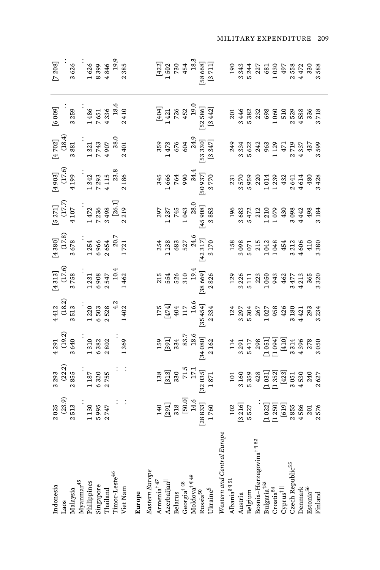| ndonesia                                                                                                                                               |                                                                                                                                                                                                               |                                                                                                                                                                                                                                                                                                                                           |                                                                                                                                                                                                                                                                                                     |                                                                                                                     |                                                                            |                                                                                                                                                                                                                                                                                                                                    |                                                                                                        |                                                                                                              |                                                                                                                                             | [6006]                                                          | $\left[7\,208\right]$                                                                                                           |
|--------------------------------------------------------------------------------------------------------------------------------------------------------|---------------------------------------------------------------------------------------------------------------------------------------------------------------------------------------------------------------|-------------------------------------------------------------------------------------------------------------------------------------------------------------------------------------------------------------------------------------------------------------------------------------------------------------------------------------------|-----------------------------------------------------------------------------------------------------------------------------------------------------------------------------------------------------------------------------------------------------------------------------------------------------|---------------------------------------------------------------------------------------------------------------------|----------------------------------------------------------------------------|------------------------------------------------------------------------------------------------------------------------------------------------------------------------------------------------------------------------------------------------------------------------------------------------------------------------------------|--------------------------------------------------------------------------------------------------------|--------------------------------------------------------------------------------------------------------------|---------------------------------------------------------------------------------------------------------------------------------------------|-----------------------------------------------------------------|---------------------------------------------------------------------------------------------------------------------------------|
|                                                                                                                                                        | $\begin{array}{c} 2\ 025 \\ (23.9) \\ 2\ 513 \\ 1\ 130 \\ 5\ 995 \\ 2\ 747 \end{array}.$                                                                                                                      |                                                                                                                                                                                                                                                                                                                                           | $\begin{array}{c} 4\ 291 \\ (19.2) \\ 3\ 640 \\ 1\ 310 \\ 6\ 382 \\ 2\ 802 \\ 2\ 802 \\ 1\ 369 \\ \end{array}.$                                                                                                                                                                                     | $\begin{array}{c} 4\,412\\ (18.2)\\ 3\,513\\ 1\,220\\ 6\,503\\ 2\,3\\ 4\,2\\ 4\,2\\ 1\,402\\ 1\,402\\ \end{array}.$ | $[4\;313] \\ (17.6) \\ 3\;758 \\ 1\;231 \\ 6\;908 \\ 10.4 \\ 10.4 \\ 1462$ | $[4\ 380] \atop (17.8) \atop (3\ 678) \atop (17.8) \atop (3\ 678) \atop (4\ 664) \atop (5\ 64) \atop (6\ 664) \atop (7.7) \atop (7.7) \atop (7.7) \atop (7.7) \atop (7.7) \atop (7.7) \atop (7.7) \atop (7.7) \atop (7.7) \atop (7.7) \atop (7.7) \atop (7.7) \atop (7.7) \atop (7.7) \atop (7.7) \atop (7.7) \atop (7.7) \atop ($ | $\begin{bmatrix} 5\ 271] \\ (17.7) \\ 4\ 107 \\ 1\ 472 \\ 7\ 236 \\ 3\ 498 \\ 26.1 \end{bmatrix}.$     | $\begin{bmatrix} 4\ 903 \\ (17.6) \\ 4\ 199 \\ 1\ 342 \\ 7\ 293 \\ 4\ 115 \\ 2\ 38 \\ 2\ 186 \end{bmatrix}.$ | $\begin{bmatrix} 4\ 702 \\ (18.4) \\ 3\ 881 \\ 3\ 881 \\ 1\ 321 \\ 7\ 743 \\ 4\ 907 \\ 38.0 \\ 4\ 907 \\ 3\ 8.0 \\ 2\ 401 \\ \end{bmatrix}$ |                                                                 |                                                                                                                                 |
| Laos<br>Malaysia                                                                                                                                       |                                                                                                                                                                                                               |                                                                                                                                                                                                                                                                                                                                           |                                                                                                                                                                                                                                                                                                     |                                                                                                                     |                                                                            |                                                                                                                                                                                                                                                                                                                                    |                                                                                                        |                                                                                                              |                                                                                                                                             | 3259                                                            | 3626                                                                                                                            |
| Myanmar <sup>45</sup><br>Philippines<br>Singapore<br>Thailand                                                                                          |                                                                                                                                                                                                               |                                                                                                                                                                                                                                                                                                                                           |                                                                                                                                                                                                                                                                                                     |                                                                                                                     |                                                                            |                                                                                                                                                                                                                                                                                                                                    |                                                                                                        |                                                                                                              |                                                                                                                                             |                                                                 |                                                                                                                                 |
|                                                                                                                                                        |                                                                                                                                                                                                               |                                                                                                                                                                                                                                                                                                                                           |                                                                                                                                                                                                                                                                                                     |                                                                                                                     |                                                                            |                                                                                                                                                                                                                                                                                                                                    |                                                                                                        |                                                                                                              |                                                                                                                                             |                                                                 |                                                                                                                                 |
|                                                                                                                                                        |                                                                                                                                                                                                               |                                                                                                                                                                                                                                                                                                                                           |                                                                                                                                                                                                                                                                                                     |                                                                                                                     |                                                                            |                                                                                                                                                                                                                                                                                                                                    |                                                                                                        |                                                                                                              |                                                                                                                                             |                                                                 |                                                                                                                                 |
|                                                                                                                                                        |                                                                                                                                                                                                               |                                                                                                                                                                                                                                                                                                                                           |                                                                                                                                                                                                                                                                                                     |                                                                                                                     |                                                                            |                                                                                                                                                                                                                                                                                                                                    |                                                                                                        |                                                                                                              |                                                                                                                                             |                                                                 |                                                                                                                                 |
| l'imor-Leste <sup>46</sup>                                                                                                                             |                                                                                                                                                                                                               |                                                                                                                                                                                                                                                                                                                                           |                                                                                                                                                                                                                                                                                                     |                                                                                                                     |                                                                            |                                                                                                                                                                                                                                                                                                                                    |                                                                                                        |                                                                                                              |                                                                                                                                             |                                                                 | $1626$<br>$16399$<br>$4846$<br>$19.5$<br>$2385$                                                                                 |
| Viet Nam                                                                                                                                               | ini<br>L                                                                                                                                                                                                      |                                                                                                                                                                                                                                                                                                                                           |                                                                                                                                                                                                                                                                                                     |                                                                                                                     |                                                                            |                                                                                                                                                                                                                                                                                                                                    |                                                                                                        |                                                                                                              |                                                                                                                                             |                                                                 |                                                                                                                                 |
| Europe                                                                                                                                                 |                                                                                                                                                                                                               |                                                                                                                                                                                                                                                                                                                                           |                                                                                                                                                                                                                                                                                                     |                                                                                                                     |                                                                            |                                                                                                                                                                                                                                                                                                                                    |                                                                                                        |                                                                                                              |                                                                                                                                             |                                                                 |                                                                                                                                 |
| Eastern Europe                                                                                                                                         |                                                                                                                                                                                                               |                                                                                                                                                                                                                                                                                                                                           |                                                                                                                                                                                                                                                                                                     |                                                                                                                     |                                                                            |                                                                                                                                                                                                                                                                                                                                    |                                                                                                        |                                                                                                              |                                                                                                                                             |                                                                 |                                                                                                                                 |
| Armenia $^\dagger$ 47                                                                                                                                  |                                                                                                                                                                                                               |                                                                                                                                                                                                                                                                                                                                           |                                                                                                                                                                                                                                                                                                     |                                                                                                                     |                                                                            |                                                                                                                                                                                                                                                                                                                                    |                                                                                                        |                                                                                                              |                                                                                                                                             |                                                                 |                                                                                                                                 |
|                                                                                                                                                        |                                                                                                                                                                                                               | $\begin{array}{c} 138\\[13.3]\\ 330\\ 71.5\\ 17.1\\ 1871\\ 1871\\ \end{array}$                                                                                                                                                                                                                                                            | $\begin{bmatrix} 159 \\ [391] \\ 334 \\ 83.7 \\ 18.6 \\ 18.6 \\ 18.6 \\ 2162 \end{bmatrix}$                                                                                                                                                                                                         | $\begin{array}{r} 175 \\ [474] \\ 404 \\ 117 \\ 16.6 \\ 16.6 \\ 2334 \\ \end{array}$                                | 215<br>554<br>526<br>310<br>198669]<br>2826                                | $\begin{array}{r} 254 \\ 1 \ 138 \\ 683 \\ 527 \\ 24.6 \\ 142 \ 317 \end{array}$                                                                                                                                                                                                                                                   | $\begin{array}{r} 297 \\ 1\,237 \\ 7\,45 \\ 1\,043 \\ 28.0 \\ 28.0 \\ 3\,853 \\ 3\,853 \\ \end{array}$ | 345<br>1666<br>764<br>19937]<br>3770<br>3770                                                                 |                                                                                                                                             |                                                                 |                                                                                                                                 |
|                                                                                                                                                        |                                                                                                                                                                                                               |                                                                                                                                                                                                                                                                                                                                           |                                                                                                                                                                                                                                                                                                     |                                                                                                                     |                                                                            |                                                                                                                                                                                                                                                                                                                                    |                                                                                                        |                                                                                                              |                                                                                                                                             |                                                                 |                                                                                                                                 |
|                                                                                                                                                        |                                                                                                                                                                                                               |                                                                                                                                                                                                                                                                                                                                           |                                                                                                                                                                                                                                                                                                     |                                                                                                                     |                                                                            |                                                                                                                                                                                                                                                                                                                                    |                                                                                                        |                                                                                                              |                                                                                                                                             |                                                                 |                                                                                                                                 |
|                                                                                                                                                        |                                                                                                                                                                                                               |                                                                                                                                                                                                                                                                                                                                           |                                                                                                                                                                                                                                                                                                     |                                                                                                                     |                                                                            |                                                                                                                                                                                                                                                                                                                                    |                                                                                                        |                                                                                                              |                                                                                                                                             |                                                                 |                                                                                                                                 |
| Azerbaijan  <br>Belarus<br>Georgia <sup>† 48</sup><br>Moldova <sup>† q 49</sup><br>Musia <sup>50</sup><br>Russia <sup>50</sup><br>Ukraine <sup>8</sup> |                                                                                                                                                                                                               |                                                                                                                                                                                                                                                                                                                                           |                                                                                                                                                                                                                                                                                                     |                                                                                                                     |                                                                            |                                                                                                                                                                                                                                                                                                                                    |                                                                                                        |                                                                                                              |                                                                                                                                             |                                                                 | $[\begin{matrix} [42\,2]\\ 1\,50\,2\\ 73\,0\\ 45\,4\\ 1\,8\,3\\ 1\,8\,3\\ 1\,8\,3\\ [5\,8\,6\,6\,8]\\ 5\,7\,1\,1] \end{matrix}$ |
|                                                                                                                                                        | $[291] \centering \begin{tabular}{c} 140 \\ [291] \\ 318 \\ [50.0] \\ [50.0] \\ 14.6 \\ [28\,83] \\ 1760 \\ \end{tabular}$                                                                                    |                                                                                                                                                                                                                                                                                                                                           |                                                                                                                                                                                                                                                                                                     |                                                                                                                     |                                                                            |                                                                                                                                                                                                                                                                                                                                    |                                                                                                        |                                                                                                              | 359<br>1473<br>676<br>604<br>604<br>63330<br>5347]                                                                                          | $[404] \\ 1\,421 \\ 726 \\ 452 \\ 19.0 \\ [52.366] \\ [3\,442]$ |                                                                                                                                 |
| Western and Central Europe                                                                                                                             |                                                                                                                                                                                                               |                                                                                                                                                                                                                                                                                                                                           |                                                                                                                                                                                                                                                                                                     |                                                                                                                     |                                                                            |                                                                                                                                                                                                                                                                                                                                    |                                                                                                        |                                                                                                              |                                                                                                                                             |                                                                 |                                                                                                                                 |
| Albania <sup>§ ¶ 51</sup><br>Austria                                                                                                                   |                                                                                                                                                                                                               |                                                                                                                                                                                                                                                                                                                                           |                                                                                                                                                                                                                                                                                                     |                                                                                                                     |                                                                            |                                                                                                                                                                                                                                                                                                                                    |                                                                                                        |                                                                                                              |                                                                                                                                             | 201                                                             | 190                                                                                                                             |
|                                                                                                                                                        | $[3\,216] \atop [3\,257]{{\rm i}\atop {5\,527}}\atop {[1\,022]{{\rm i}\atop {\rm i}\,059]{{\rm n}}}}\atop {[1\,030]{{\rm i}\atop {\rm i}\,059]{{\rm s}}}{{\rm s}\atop {\rm s}\,576}}\atop {2\,8556}\\ 2\,576$ | $\begin{array}{r} 101 \\ 3160 \\ 5359 \\ 5353 \\ 6311 \\ -10357 \\ -10353 \\ -10353 \\ -10353 \\ -10353 \\ -10353 \\ -10353 \\ -10353 \\ -2035 \\ -2035 \\ -2035 \\ -2035 \\ -2035 \\ -2035 \\ -2035 \\ -2035 \\ -2035 \\ -2035 \\ -2035 \\ -2035 \\ -2035 \\ -2035 \\ -2035 \\ -2035 \\ -2035 \\ -2035 \\ -2035 \\ -2035 \\ -2035 \\ -2$ | $\begin{array}{r} 114 \\ 3.291 \\ 5.417 \\ 2.98 \\ 5.417 \\ 1.051 \\ 1.094 \\ 1.010 \\ 1.010 \\ 1.010 \\ 1.010 \\ 1.010 \\ 1.010 \\ 1.010 \\ 1.010 \\ 1.010 \\ 1.010 \\ 1.010 \\ 1.010 \\ 1.010 \\ 1.010 \\ 1.010 \\ 1.010 \\ 1.010 \\ 1.010 \\ 1.010 \\ 1.010 \\ 1.010 \\ 1.010 \\ 1.010 \\ 1.010$ | 22222223<br>222222322323<br>222222323<br>222223234                                                                  |                                                                            | 158<br>3098 1543<br>300715434212<br>3008 424212<br>3008 425<br>42500<br>42500<br>3380                                                                                                                                                                                                                                              | 1968<br>868721210208034488<br>868721210208082488<br>878220824888184                                    |                                                                                                              |                                                                                                                                             |                                                                 |                                                                                                                                 |
| Belgium                                                                                                                                                |                                                                                                                                                                                                               |                                                                                                                                                                                                                                                                                                                                           |                                                                                                                                                                                                                                                                                                     |                                                                                                                     |                                                                            |                                                                                                                                                                                                                                                                                                                                    |                                                                                                        |                                                                                                              |                                                                                                                                             |                                                                 |                                                                                                                                 |
| Bosnia-Herzegovina <sup>† ¶ 52</sup><br>Bulgaria <sup>†53</sup><br>Croatia <sup>54</sup>                                                               |                                                                                                                                                                                                               |                                                                                                                                                                                                                                                                                                                                           |                                                                                                                                                                                                                                                                                                     |                                                                                                                     |                                                                            |                                                                                                                                                                                                                                                                                                                                    |                                                                                                        |                                                                                                              |                                                                                                                                             |                                                                 |                                                                                                                                 |
|                                                                                                                                                        |                                                                                                                                                                                                               |                                                                                                                                                                                                                                                                                                                                           |                                                                                                                                                                                                                                                                                                     |                                                                                                                     |                                                                            |                                                                                                                                                                                                                                                                                                                                    |                                                                                                        |                                                                                                              |                                                                                                                                             |                                                                 |                                                                                                                                 |
|                                                                                                                                                        |                                                                                                                                                                                                               |                                                                                                                                                                                                                                                                                                                                           |                                                                                                                                                                                                                                                                                                     |                                                                                                                     |                                                                            |                                                                                                                                                                                                                                                                                                                                    |                                                                                                        |                                                                                                              |                                                                                                                                             |                                                                 |                                                                                                                                 |
| $\mbox{Cyprus}^\dagger$ ll                                                                                                                             |                                                                                                                                                                                                               |                                                                                                                                                                                                                                                                                                                                           |                                                                                                                                                                                                                                                                                                     |                                                                                                                     |                                                                            |                                                                                                                                                                                                                                                                                                                                    |                                                                                                        |                                                                                                              |                                                                                                                                             | $3446\n5332\n6333\n7360\n830\n1533\n1533\n1533\n1533$           | 3343<br>5 244<br>5 25 36 36 36 36<br>1 472<br>1 472                                                                             |
| Czech Republic <sup>55</sup>                                                                                                                           |                                                                                                                                                                                                               |                                                                                                                                                                                                                                                                                                                                           |                                                                                                                                                                                                                                                                                                     |                                                                                                                     |                                                                            |                                                                                                                                                                                                                                                                                                                                    |                                                                                                        |                                                                                                              |                                                                                                                                             |                                                                 |                                                                                                                                 |
| Denmark                                                                                                                                                |                                                                                                                                                                                                               |                                                                                                                                                                                                                                                                                                                                           |                                                                                                                                                                                                                                                                                                     |                                                                                                                     |                                                                            |                                                                                                                                                                                                                                                                                                                                    |                                                                                                        |                                                                                                              |                                                                                                                                             |                                                                 |                                                                                                                                 |
| Estonia <sup>56</sup>                                                                                                                                  |                                                                                                                                                                                                               |                                                                                                                                                                                                                                                                                                                                           |                                                                                                                                                                                                                                                                                                     |                                                                                                                     |                                                                            |                                                                                                                                                                                                                                                                                                                                    |                                                                                                        |                                                                                                              |                                                                                                                                             | 3718<br>3718                                                    | 330<br>588                                                                                                                      |
| Finland                                                                                                                                                |                                                                                                                                                                                                               |                                                                                                                                                                                                                                                                                                                                           |                                                                                                                                                                                                                                                                                                     |                                                                                                                     |                                                                            |                                                                                                                                                                                                                                                                                                                                    |                                                                                                        |                                                                                                              |                                                                                                                                             |                                                                 |                                                                                                                                 |
|                                                                                                                                                        |                                                                                                                                                                                                               |                                                                                                                                                                                                                                                                                                                                           |                                                                                                                                                                                                                                                                                                     |                                                                                                                     |                                                                            |                                                                                                                                                                                                                                                                                                                                    |                                                                                                        |                                                                                                              |                                                                                                                                             |                                                                 |                                                                                                                                 |

MILITARY EXPENDITURE 209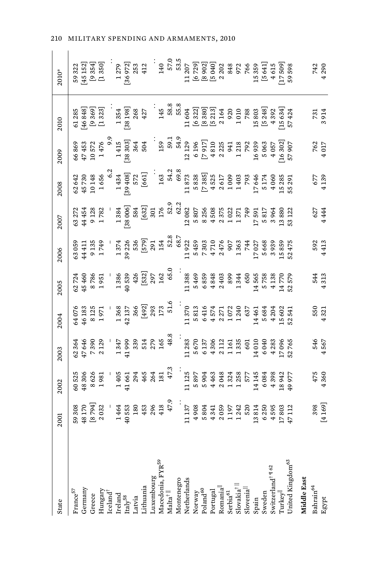| State                                                                         | 2001                                                                                         | 2002                                                             | 2003                                                                                                                                                                                                                                                                                                                   | 2004                                                                                                                        | 2005                                                                                                                                                                                                                                                                                                                                    | 2006                                                                                                                                                                                                                                                                                    | 2007                                                                                                                                                                                                                                                                                                   | 2008                        | 2009                                                                                                                                                                                                                                                                                                                              | 2010                                                                                                                                                                                                                                                                                                                                | 2010*                         |
|-------------------------------------------------------------------------------|----------------------------------------------------------------------------------------------|------------------------------------------------------------------|------------------------------------------------------------------------------------------------------------------------------------------------------------------------------------------------------------------------------------------------------------------------------------------------------------------------|-----------------------------------------------------------------------------------------------------------------------------|-----------------------------------------------------------------------------------------------------------------------------------------------------------------------------------------------------------------------------------------------------------------------------------------------------------------------------------------|-----------------------------------------------------------------------------------------------------------------------------------------------------------------------------------------------------------------------------------------------------------------------------------------|--------------------------------------------------------------------------------------------------------------------------------------------------------------------------------------------------------------------------------------------------------------------------------------------------------|-----------------------------|-----------------------------------------------------------------------------------------------------------------------------------------------------------------------------------------------------------------------------------------------------------------------------------------------------------------------------------|-------------------------------------------------------------------------------------------------------------------------------------------------------------------------------------------------------------------------------------------------------------------------------------------------------------------------------------|-------------------------------|
| $\rm France^{57}$                                                             | 59308                                                                                        | 60525                                                            | 62364                                                                                                                                                                                                                                                                                                                  | 64076                                                                                                                       | 62724                                                                                                                                                                                                                                                                                                                                   | 63059                                                                                                                                                                                                                                                                                   | 63272                                                                                                                                                                                                                                                                                                  |                             |                                                                                                                                                                                                                                                                                                                                   | 61285                                                                                                                                                                                                                                                                                                                               | 59322                         |
| Germany                                                                       | 48170                                                                                        | 48306                                                            | 47646                                                                                                                                                                                                                                                                                                                  | 46183                                                                                                                       | 45460                                                                                                                                                                                                                                                                                                                                   | 44411                                                                                                                                                                                                                                                                                   | 44454                                                                                                                                                                                                                                                                                                  |                             |                                                                                                                                                                                                                                                                                                                                   | [46 848]                                                                                                                                                                                                                                                                                                                            | [45 152]                      |
| Greece                                                                        | $[8\ 794]$<br>2032                                                                           |                                                                  | 7390                                                                                                                                                                                                                                                                                                                   | 8 125<br>1 9 7 1                                                                                                            | 8786<br>1951                                                                                                                                                                                                                                                                                                                            | 9 135<br>1 749                                                                                                                                                                                                                                                                          | 9 128<br>1 782                                                                                                                                                                                                                                                                                         | $62642\n45730\n10148\n1656$ | 66869<br>47453<br>10572                                                                                                                                                                                                                                                                                                           | $[9369]$                                                                                                                                                                                                                                                                                                                            | [9354]                        |
|                                                                               |                                                                                              | 8626<br>1981                                                     | 2129                                                                                                                                                                                                                                                                                                                   |                                                                                                                             |                                                                                                                                                                                                                                                                                                                                         |                                                                                                                                                                                                                                                                                         |                                                                                                                                                                                                                                                                                                        |                             | 1476                                                                                                                                                                                                                                                                                                                              | $[1323]$                                                                                                                                                                                                                                                                                                                            | [1350]                        |
| $\begin{array}{lcl} \textrm{Hungary} \\ \textrm{Iceland}^\dagger \end{array}$ |                                                                                              |                                                                  |                                                                                                                                                                                                                                                                                                                        |                                                                                                                             |                                                                                                                                                                                                                                                                                                                                         |                                                                                                                                                                                                                                                                                         |                                                                                                                                                                                                                                                                                                        |                             | $\ddot{\circ}$                                                                                                                                                                                                                                                                                                                    |                                                                                                                                                                                                                                                                                                                                     |                               |
|                                                                               |                                                                                              | 1405                                                             |                                                                                                                                                                                                                                                                                                                        |                                                                                                                             |                                                                                                                                                                                                                                                                                                                                         |                                                                                                                                                                                                                                                                                         |                                                                                                                                                                                                                                                                                                        |                             |                                                                                                                                                                                                                                                                                                                                   | 1354                                                                                                                                                                                                                                                                                                                                | 1279                          |
|                                                                               |                                                                                              |                                                                  |                                                                                                                                                                                                                                                                                                                        |                                                                                                                             |                                                                                                                                                                                                                                                                                                                                         |                                                                                                                                                                                                                                                                                         |                                                                                                                                                                                                                                                                                                        |                             |                                                                                                                                                                                                                                                                                                                                   | [38198]                                                                                                                                                                                                                                                                                                                             |                               |
|                                                                               |                                                                                              |                                                                  |                                                                                                                                                                                                                                                                                                                        |                                                                                                                             |                                                                                                                                                                                                                                                                                                                                         |                                                                                                                                                                                                                                                                                         |                                                                                                                                                                                                                                                                                                        |                             |                                                                                                                                                                                                                                                                                                                                   |                                                                                                                                                                                                                                                                                                                                     | $[36972]$<br>$253$            |
| Ireland<br>Italy <sup>58</sup><br>Latvia<br>Lithuania                         | $\begin{array}{l} 1\,464\\ 40\,553\\ 180\\ 453\\ 453\\ 496\\ 418\\ 413\\ 47.9\\ \end{array}$ | $41\,661$<br>$294$<br>$465$<br>$465$<br>$264$<br>$181$<br>$47.3$ | $\begin{array}{l} 1\,347\\ 41\,999\\ 339\\ 514\\ 279\\ 165\\ 140\\ 168\\ 8.8 \end{array}$                                                                                                                                                                                                                              | $\begin{array}{r} 1\,368 \\ 42\,137 \\ 366 \\ \hline \begin{bmatrix} 49\,2 \\ 293 \\ 173 \\ 51.6 \end{bmatrix} \end{array}$ | $\begin{array}{r} 1386 \\ 1389 \\ 40539 \\ 426 \\ 532] \\ 537 \\ 297 \\ 162 \\ 65.0 \end{array}$                                                                                                                                                                                                                                        | $\begin{array}{r} -1374 \\ 1374 \\ 39226 \\ 536 \\ 579 \\ 291 \\ 154 \end{array}$                                                                                                                                                                                                       | $\begin{bmatrix} 1 & 384 \\ 28 & 006 \\ 584 \\ 632 \\ 632 \\ 301 \\ 301 \\ 176 \\ \end{bmatrix}$                                                                                                                                                                                                       |                             | $\begin{array}{c} 1\,415 \\ [38\,303] \\ 3\,64 \\ 3\,64 \end{array}$                                                                                                                                                                                                                                                              | $268$<br>$427$                                                                                                                                                                                                                                                                                                                      | 412                           |
|                                                                               |                                                                                              |                                                                  |                                                                                                                                                                                                                                                                                                                        |                                                                                                                             |                                                                                                                                                                                                                                                                                                                                         |                                                                                                                                                                                                                                                                                         |                                                                                                                                                                                                                                                                                                        |                             |                                                                                                                                                                                                                                                                                                                                   |                                                                                                                                                                                                                                                                                                                                     |                               |
|                                                                               |                                                                                              |                                                                  |                                                                                                                                                                                                                                                                                                                        |                                                                                                                             |                                                                                                                                                                                                                                                                                                                                         |                                                                                                                                                                                                                                                                                         |                                                                                                                                                                                                                                                                                                        |                             |                                                                                                                                                                                                                                                                                                                                   | $\frac{145}{1}$                                                                                                                                                                                                                                                                                                                     | $\frac{140}{1}$               |
| Luxembourg<br>Macedonia, FYR <sup>59</sup><br>Malta <sup>†   </sup>           |                                                                                              |                                                                  |                                                                                                                                                                                                                                                                                                                        |                                                                                                                             |                                                                                                                                                                                                                                                                                                                                         |                                                                                                                                                                                                                                                                                         |                                                                                                                                                                                                                                                                                                        |                             | $159$<br>$59.1$<br>$54.9$                                                                                                                                                                                                                                                                                                         |                                                                                                                                                                                                                                                                                                                                     |                               |
| Montenegro                                                                    |                                                                                              |                                                                  |                                                                                                                                                                                                                                                                                                                        |                                                                                                                             |                                                                                                                                                                                                                                                                                                                                         |                                                                                                                                                                                                                                                                                         |                                                                                                                                                                                                                                                                                                        |                             |                                                                                                                                                                                                                                                                                                                                   | $58.8$<br>$5.8$                                                                                                                                                                                                                                                                                                                     | $57.0\,$ $53.5$               |
| Netherlands                                                                   |                                                                                              |                                                                  |                                                                                                                                                                                                                                                                                                                        |                                                                                                                             |                                                                                                                                                                                                                                                                                                                                         |                                                                                                                                                                                                                                                                                         |                                                                                                                                                                                                                                                                                                        |                             |                                                                                                                                                                                                                                                                                                                                   | 11604                                                                                                                                                                                                                                                                                                                               | 1207                          |
| Norway                                                                        | $\begin{array}{c} 1.137 \\ 4.908 \\ 5.804 \\ 4.341 \end{array}$                              | 1125<br>5897 443<br>5894 4334<br>577 414 14 14 14 14 14 15       | $\begin{array}{cccc} 11 & 283 \\ 5 & 670 \\ 5 & 137 \\ 6 & 130 \\ 4 & 2 & 115 \\ 1 & 161 \\ 1 & 335 \\ 1 & 1 & 335 \\ 1 & 1 & 335 \\ 1 & 1 & 1 & 335 \\ 1 & 1 & 1 & 1 & 335 \\ 1 & 1 & 1 & 1 & 335 \\ 1 & 1 & 1 & 1 & 1 & 335 \\ 1 & 1 & 1 & 1 & 1 & 335 \\ 1 & 1 & 1 & 1 & 1 & 335 \\ 1 & 1 & 1 & 1 & 1 & 335 \\ 1 &$ | $\begin{array}{r} 11370 \\ 1332 \\ 5313 \\ 6416 \\ 7371 \\ 1072 \\ 1084 \\ 1102 \\ 1037 \\ 1037 \\ \end{array}$             | $\begin{array}{cccc} 11 & 388 \\ 1 & 6 & 6 \\ 5 & 6 & 8 \\ 6 & 8 & 3 \\ 7 & 8 & 3 \\ 8 & 9 & 3 \\ 9 & 9 & 3 \\ 1 & 1 & 6 \\ 1 & 0 & 0 \\ 1 & 0 & 0 \\ 1 & 0 & 0 \\ 1 & 0 & 0 \\ 1 & 0 & 0 \\ 1 & 0 & 0 \\ 1 & 0 & 0 \\ 1 & 0 & 0 \\ 1 & 0 & 0 \\ 1 & 0 & 0 \\ 1 & 0 & 0 \\ 1 & 0 & 0 \\ 1 & 0 & 0 \\ 1 & 0 & 0 \\ 1 & 0 & 0 & 0 \\ 1 &$ | $\begin{array}{r} 52.8 \\ 52.8 \\ 08.7 \\ 11\,922 \\ 11\,923 \\ 5\,459 \\ 7\,303 \\ 7\,470 \\ 2\,476 \\ 7\,476 \\ 1\,363 \\ 7\,44 \\ 1\,7\,64 \\ 1\,7\,47 \\ 1\,7\,64 \\ 1\,7\,44 \\ 1\,7\,64 \\ 1\,7\,44 \\ 1\,7\,64 \\ 1\,7\,47 \\ 1\,7\,48 \\ 1\,7\,49 \\ 1\,7\,49 \\ 1\,7\,49 \\ 1$ | $\begin{array}{r} 52.9\\ 52.3\\ 62.2\\ 20.82\\ 50.8\\ 25.9\\ 50.8\\ 4\\ 3\\ 7\\ 1\\ 1\\ 2\\ 3\\ 2\\ 4\\ 1\\ 1\\ 2\\ 3\\ 2\\ 4\\ 3\\ 4\\ 2\\ 4\\ 3\\ 4\\ 4\\ 4\\ 5\\ 2\\ 5\\ 4\\ 5\\ 4\\ 5\\ 6\\ 7\\ 4\\ 9\\ 8\\ 9\\ 1\\ 1\\ 4\\ 9\\ 1\\ 1\\ 4\\ 9\\ 1\\ 1\\ 2\\ 4\\ 9\\ 1\\ 1\\ 3\\ 4\\ 4\\ 1\\ 4\\ 1$ |                             | $\begin{array}{cccc} 12 & 12 & 9 & 6 \\ 1 & 9 & 6 & 8 \\ 1 & 9 & 1 & 1 \\ 1 & 1 & 1 & 1 \\ 1 & 1 & 1 & 1 \\ 1 & 1 & 1 & 1 \\ 1 & 1 & 1 & 1 \\ 1 & 1 & 1 & 1 \\ 1 & 1 & 1 & 1 \\ 1 & 1 & 1 & 1 \\ 1 & 1 & 1 & 1 \\ 1 & 1 & 1 & 1 \\ 1 & 1 & 1 & 1 \\ 1 & 1 & 1 & 1 \\ 1 & 1 & 1 & 1 \\ 1 & 1 & 1 & 1 \\ 1 & 1 & 1 & 1 \\ 1 & 1 & $ |                                                                                                                                                                                                                                                                                                                                     |                               |
| Poland <sup>60</sup>                                                          |                                                                                              |                                                                  |                                                                                                                                                                                                                                                                                                                        |                                                                                                                             |                                                                                                                                                                                                                                                                                                                                         |                                                                                                                                                                                                                                                                                         |                                                                                                                                                                                                                                                                                                        |                             |                                                                                                                                                                                                                                                                                                                                   |                                                                                                                                                                                                                                                                                                                                     | [6 729]<br>[8 902]<br>[5 040] |
| Portugal                                                                      |                                                                                              |                                                                  |                                                                                                                                                                                                                                                                                                                        |                                                                                                                             |                                                                                                                                                                                                                                                                                                                                         |                                                                                                                                                                                                                                                                                         |                                                                                                                                                                                                                                                                                                        |                             |                                                                                                                                                                                                                                                                                                                                   |                                                                                                                                                                                                                                                                                                                                     |                               |
| Romania <sup> </sup>                                                          | 2059<br>1971<br>1242<br>520                                                                  |                                                                  |                                                                                                                                                                                                                                                                                                                        |                                                                                                                             |                                                                                                                                                                                                                                                                                                                                         |                                                                                                                                                                                                                                                                                         |                                                                                                                                                                                                                                                                                                        |                             |                                                                                                                                                                                                                                                                                                                                   | $\begin{bmatrix} 6 & 322 \\ 8 & 380 \\ 8 & 380 \\ 5 & 213 \\ 2 & 164 \\ 2 & 0 & 0 \\ 1 & 0 & 0 \\ 7 & 8 & 7 \\ 8 & 1 & 0 \\ 1 & 0 & 0 \\ 1 & 0 & 0 \\ 1 & 0 & 0 \\ 1 & 0 & 0 \\ 1 & 0 & 0 \\ 1 & 0 & 0 \\ 1 & 0 & 0 \\ 1 & 0 & 0 \\ 1 & 0 & 0 \\ 1 & 0 & 0 \\ 1 & 0 & 0 \\ 1 & 0 & 0 \\ 1 & 0 & 0 \\ 1 & 0 & 0 \\ 1 & 0 & 0 & 0 \\$ | 2202                          |
| $\rm Serbia^{61}$                                                             |                                                                                              |                                                                  |                                                                                                                                                                                                                                                                                                                        |                                                                                                                             |                                                                                                                                                                                                                                                                                                                                         |                                                                                                                                                                                                                                                                                         |                                                                                                                                                                                                                                                                                                        |                             |                                                                                                                                                                                                                                                                                                                                   |                                                                                                                                                                                                                                                                                                                                     | 848                           |
| $Slovakia^{\dagger\,\parallel}$                                               |                                                                                              |                                                                  |                                                                                                                                                                                                                                                                                                                        |                                                                                                                             |                                                                                                                                                                                                                                                                                                                                         |                                                                                                                                                                                                                                                                                         |                                                                                                                                                                                                                                                                                                        |                             |                                                                                                                                                                                                                                                                                                                                   |                                                                                                                                                                                                                                                                                                                                     | 972<br>766                    |
|                                                                               |                                                                                              |                                                                  |                                                                                                                                                                                                                                                                                                                        |                                                                                                                             |                                                                                                                                                                                                                                                                                                                                         |                                                                                                                                                                                                                                                                                         |                                                                                                                                                                                                                                                                                                        |                             |                                                                                                                                                                                                                                                                                                                                   |                                                                                                                                                                                                                                                                                                                                     |                               |
|                                                                               | 13814                                                                                        |                                                                  | 14010                                                                                                                                                                                                                                                                                                                  | 14461                                                                                                                       |                                                                                                                                                                                                                                                                                                                                         |                                                                                                                                                                                                                                                                                         |                                                                                                                                                                                                                                                                                                        |                             |                                                                                                                                                                                                                                                                                                                                   |                                                                                                                                                                                                                                                                                                                                     | 15359                         |
|                                                                               | 6250                                                                                         | 6084                                                             | 6040                                                                                                                                                                                                                                                                                                                   | 5684                                                                                                                        |                                                                                                                                                                                                                                                                                                                                         | 5668                                                                                                                                                                                                                                                                                    |                                                                                                                                                                                                                                                                                                        | 17646<br>5174<br>4060       |                                                                                                                                                                                                                                                                                                                                   | $\begin{bmatrix} 5 & 803 \\ 5 & 248 \end{bmatrix}$                                                                                                                                                                                                                                                                                  | [5641]                        |
| Sloveniall<br>Spain<br>Sweden<br>Switzerland <sup>† ¶62</sup>                 | 4595                                                                                         | 4398                                                             | 4283                                                                                                                                                                                                                                                                                                                   | 4204                                                                                                                        | 14565<br>5758<br>4138                                                                                                                                                                                                                                                                                                                   | 3939                                                                                                                                                                                                                                                                                    | 17591<br>5817<br>3964                                                                                                                                                                                                                                                                                  |                             |                                                                                                                                                                                                                                                                                                                                   | 4392                                                                                                                                                                                                                                                                                                                                | 4615                          |
| Turkey <sup>  </sup>                                                          | L7803                                                                                        | 18942                                                            | 17096<br>52765                                                                                                                                                                                                                                                                                                         | 15602                                                                                                                       | 14770                                                                                                                                                                                                                                                                                                                                   | 15859                                                                                                                                                                                                                                                                                   | 13880                                                                                                                                                                                                                                                                                                  | 15285<br>55291              |                                                                                                                                                                                                                                                                                                                                   | [15634]                                                                                                                                                                                                                                                                                                                             | [17509]                       |
| Jnited Kingdom <sup>63</sup>                                                  | 17 112                                                                                       | 49977                                                            |                                                                                                                                                                                                                                                                                                                        | 52541                                                                                                                       | 52579                                                                                                                                                                                                                                                                                                                                   | 52475                                                                                                                                                                                                                                                                                   | 53 122                                                                                                                                                                                                                                                                                                 |                             |                                                                                                                                                                                                                                                                                                                                   |                                                                                                                                                                                                                                                                                                                                     | 59598                         |
| Middle East                                                                   |                                                                                              |                                                                  |                                                                                                                                                                                                                                                                                                                        |                                                                                                                             |                                                                                                                                                                                                                                                                                                                                         |                                                                                                                                                                                                                                                                                         |                                                                                                                                                                                                                                                                                                        |                             |                                                                                                                                                                                                                                                                                                                                   |                                                                                                                                                                                                                                                                                                                                     |                               |
| Bahrain <sup>64</sup>                                                         |                                                                                              | 4360<br>4360                                                     | 546<br>4567                                                                                                                                                                                                                                                                                                            | 550<br>4321                                                                                                                 | 544<br>4313                                                                                                                                                                                                                                                                                                                             | 592<br>4413                                                                                                                                                                                                                                                                             | 627<br>4 444                                                                                                                                                                                                                                                                                           | 677<br>4 139                |                                                                                                                                                                                                                                                                                                                                   | 731                                                                                                                                                                                                                                                                                                                                 | 742<br>4290                   |
| Egypt                                                                         | [4 169]                                                                                      |                                                                  |                                                                                                                                                                                                                                                                                                                        |                                                                                                                             |                                                                                                                                                                                                                                                                                                                                         |                                                                                                                                                                                                                                                                                         |                                                                                                                                                                                                                                                                                                        |                             | 762<br>4017                                                                                                                                                                                                                                                                                                                       | 3914                                                                                                                                                                                                                                                                                                                                |                               |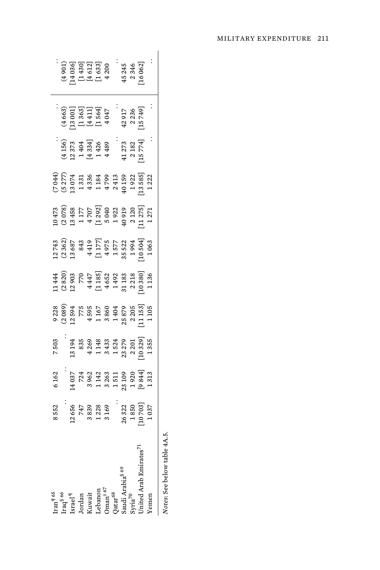|                                                                                                                                                                                                                              | 8552                                                                                                                                             | 6162                                                                                                                                                                                                                                                              | 7503                                                                                                                                                                                                                                                                 |                                                                                                                                                                                                                                                                                                               |                                                                                                                                                                                                                                                                                                                                                      |                                                                                                                                                                                                                                                                                                               |                                                                                                                                                                                                                                                                                                                                                   |                                                                                                                                                                                     |                                                                                                                                                                                                                                                                    |                                                                                                                                                                                                                                                                                        |                                                                         |
|------------------------------------------------------------------------------------------------------------------------------------------------------------------------------------------------------------------------------|--------------------------------------------------------------------------------------------------------------------------------------------------|-------------------------------------------------------------------------------------------------------------------------------------------------------------------------------------------------------------------------------------------------------------------|----------------------------------------------------------------------------------------------------------------------------------------------------------------------------------------------------------------------------------------------------------------------|---------------------------------------------------------------------------------------------------------------------------------------------------------------------------------------------------------------------------------------------------------------------------------------------------------------|------------------------------------------------------------------------------------------------------------------------------------------------------------------------------------------------------------------------------------------------------------------------------------------------------------------------------------------------------|---------------------------------------------------------------------------------------------------------------------------------------------------------------------------------------------------------------------------------------------------------------------------------------------------------------|---------------------------------------------------------------------------------------------------------------------------------------------------------------------------------------------------------------------------------------------------------------------------------------------------------------------------------------------------|-------------------------------------------------------------------------------------------------------------------------------------------------------------------------------------|--------------------------------------------------------------------------------------------------------------------------------------------------------------------------------------------------------------------------------------------------------------------|----------------------------------------------------------------------------------------------------------------------------------------------------------------------------------------------------------------------------------------------------------------------------------------|-------------------------------------------------------------------------|
| Iran <sup>q</sup> 65<br>Iraq <sup>8</sup> 66<br>Israel <sup>q</sup><br>Israel <sup>q</sup><br>Israel 1<br>Conan <sup>† 67</sup><br>Onan <sup>† 67</sup><br>Qatar <sup>68</sup><br>Qatar <sup>68</sup><br>Sytia <sup>70</sup> |                                                                                                                                                  | $\begin{array}{r} 14\,037\\ 14\,036\\ 2\,362\\ 3\,423\\ 1\,436\\ 3\,431\\ 1\,511\\ 2\,90\\ 1\,920\\ 1\,313\\ 1\,313\\ 1\,313\\ 1\,313\\ 1\,313\\ 1\,313\\ 1\,313\\ 1\,313\\ 1\,313\\ 1\,313\\ 1\,313\\ 1\,313\\ 1\,313\\ 1\,313\\ 1\,313\\ 1\,313\\ 1\,313\\ 1\,$ |                                                                                                                                                                                                                                                                      | $\begin{array}{c} 238 \\ 2389 \\ 2491 \\ 2541 \\ 2689 \\ 2751 \\ 2852 \\ 2963 \\ 2541 \\ 2553 \\ 2553 \\ 2553 \\ 2553 \\ 2553 \\ 2553 \\ 2553 \\ 2553 \\ 2553 \\ 2553 \\ 2553 \\ 2553 \\ 2553 \\ 2553 \\ 2553 \\ 2553 \\ 2553 \\ 2553 \\ 2553 \\ 2553 \\ 2553 \\ 2553 \\ 2553 \\ 2553 \\ 2553 \\ 2553 \\ 255$ | $\begin{array}{cccc}\n 1.44 \\  2.820 \\  3.820 \\  5.75 \\  6.81 \\  7.820 \\  7.85 \\  8.5 \\  7.85 \\  9.81 \\  1.83 \\  1.85 \\  2.83 \\  3.85 \\  7.85 \\  7.85 \\  7.85 \\  7.85 \\  7.85 \\  7.85 \\  7.85 \\  7.85 \\  7.85 \\  7.85 \\  7.85 \\  7.85 \\  7.85 \\  7.85 \\  7.85 \\  7.85 \\  7.85 \\  7.85 \\  7.85 \\  7.85 \\  7.85 \\ $ | $\begin{array}{l} 12743 \\ 13862 \\ 1492 \\ 1592 \\ 1603 \\ 1717 \\ 1850 \\ 1910 \\ 1910 \\ 1010 \\ 1010 \\ 1010 \\ 1010 \\ 1010 \\ 1010 \\ 1010 \\ 1010 \\ 1010 \\ 1010 \\ 1010 \\ 1010 \\ 1010 \\ 1010 \\ 1010 \\ 1010 \\ 1010 \\ 1010 \\ 1010 \\ 1010 \\ 1010 \\ 1010 \\ 1010 \\ 1010 \\ 1010 \\ 1010 \\ $ | $\begin{array}{l} 10 \\ 10 \\ 20 \\ 30 \\ 45 \\ 50 \\ 60 \\ 70 \\ 80 \\ 80 \\ 11 \\ 70 \\ 80 \\ 12 \\ 71 \\ 13 \\ 71 \\ 14 \\ 15 \\ 16 \\ 17 \\ 18 \\ 19 \\ 19 \\ 10 \\ 10 \\ 10 \\ 11 \\ 12 \\ 13 \\ 14 \\ 12 \\ 13 \\ 14 \\ 14 \\ 15 \\ 16 \\ 17 \\ 18 \\ 19 \\ 19 \\ 19 \\ 11 \\ 12 \\ 13 \\ 14 \\ 15 \\ 16 \\ 17 \\ 18 \\ 19 \\ 19 \\ 19 \\ $ | $(5.94)$ $(5.27)$ $(5.27)$ $(5.27)$ $(5.27)$ $(5.27)$ $(5.27)$ $(5.27)$ $(5.27)$ $(5.27)$ $(5.27)$ $(5.27)$ $(5.27)$ $(5.27)$ $(5.27)$ $(5.27)$ $(5.27)$ $(5.27)$ $(5.27)$ $(5.27)$ | $\begin{array}{l} (4\,156)\\ (1\,373\\ 1\,2\,374\\ 1\,404\\ 1\,426\\ 1\,426\\ 4\,1\,273\\ 2\,182\\ 2\,182\\ 2\,182\\ 2\,182\\ 2\,182\\ 2\,182\\ 2\,182\\ 2\,182\\ 2\,182\\ 2\,182\\ 2\,182\\ 2\,182\\ 2\,182\\ 2\,182\\ 2\,182\\ 2\,182\\ 2\,182\\ 2\,182\\ 2\,18$ | $\begin{array}{l} (4\,66\,3)\\ (13\,001]\\ (13\,63]\\ (14\,11)\\ (14\,14)\\ (15\,64)\\ (15\,64)\\ (15\,74)\\ (18\,74)\\ (19\,74)\\ (19\,74)\\ (19\,74)\\ (19\,74)\\ (19\,74)\\ (19\,74)\\ (19\,74)\\ (19\,74)\\ (19\,74)\\ (19\,74)\\ (19\,74)\\ (19\,74)\\ (19\,74)\\ (19\,74)\\ (19$ | $(4.901)$ $(4.9030)$ $(4.9030)$ $(4.300)$ $(4.300)$ $(4.300)$ $(4.300)$ |
|                                                                                                                                                                                                                              |                                                                                                                                                  |                                                                                                                                                                                                                                                                   |                                                                                                                                                                                                                                                                      |                                                                                                                                                                                                                                                                                                               |                                                                                                                                                                                                                                                                                                                                                      |                                                                                                                                                                                                                                                                                                               |                                                                                                                                                                                                                                                                                                                                                   |                                                                                                                                                                                     |                                                                                                                                                                                                                                                                    |                                                                                                                                                                                                                                                                                        |                                                                         |
|                                                                                                                                                                                                                              |                                                                                                                                                  |                                                                                                                                                                                                                                                                   |                                                                                                                                                                                                                                                                      |                                                                                                                                                                                                                                                                                                               |                                                                                                                                                                                                                                                                                                                                                      |                                                                                                                                                                                                                                                                                                               |                                                                                                                                                                                                                                                                                                                                                   |                                                                                                                                                                                     |                                                                                                                                                                                                                                                                    |                                                                                                                                                                                                                                                                                        |                                                                         |
|                                                                                                                                                                                                                              |                                                                                                                                                  |                                                                                                                                                                                                                                                                   |                                                                                                                                                                                                                                                                      |                                                                                                                                                                                                                                                                                                               |                                                                                                                                                                                                                                                                                                                                                      |                                                                                                                                                                                                                                                                                                               |                                                                                                                                                                                                                                                                                                                                                   |                                                                                                                                                                                     |                                                                                                                                                                                                                                                                    |                                                                                                                                                                                                                                                                                        |                                                                         |
|                                                                                                                                                                                                                              |                                                                                                                                                  |                                                                                                                                                                                                                                                                   |                                                                                                                                                                                                                                                                      |                                                                                                                                                                                                                                                                                                               |                                                                                                                                                                                                                                                                                                                                                      |                                                                                                                                                                                                                                                                                                               |                                                                                                                                                                                                                                                                                                                                                   |                                                                                                                                                                                     |                                                                                                                                                                                                                                                                    |                                                                                                                                                                                                                                                                                        |                                                                         |
|                                                                                                                                                                                                                              |                                                                                                                                                  |                                                                                                                                                                                                                                                                   |                                                                                                                                                                                                                                                                      |                                                                                                                                                                                                                                                                                                               |                                                                                                                                                                                                                                                                                                                                                      |                                                                                                                                                                                                                                                                                                               |                                                                                                                                                                                                                                                                                                                                                   |                                                                                                                                                                                     |                                                                                                                                                                                                                                                                    |                                                                                                                                                                                                                                                                                        |                                                                         |
|                                                                                                                                                                                                                              |                                                                                                                                                  |                                                                                                                                                                                                                                                                   |                                                                                                                                                                                                                                                                      |                                                                                                                                                                                                                                                                                                               |                                                                                                                                                                                                                                                                                                                                                      |                                                                                                                                                                                                                                                                                                               |                                                                                                                                                                                                                                                                                                                                                   |                                                                                                                                                                                     |                                                                                                                                                                                                                                                                    |                                                                                                                                                                                                                                                                                        |                                                                         |
|                                                                                                                                                                                                                              |                                                                                                                                                  |                                                                                                                                                                                                                                                                   |                                                                                                                                                                                                                                                                      |                                                                                                                                                                                                                                                                                                               |                                                                                                                                                                                                                                                                                                                                                      |                                                                                                                                                                                                                                                                                                               |                                                                                                                                                                                                                                                                                                                                                   |                                                                                                                                                                                     |                                                                                                                                                                                                                                                                    |                                                                                                                                                                                                                                                                                        |                                                                         |
|                                                                                                                                                                                                                              |                                                                                                                                                  |                                                                                                                                                                                                                                                                   |                                                                                                                                                                                                                                                                      |                                                                                                                                                                                                                                                                                                               |                                                                                                                                                                                                                                                                                                                                                      |                                                                                                                                                                                                                                                                                                               |                                                                                                                                                                                                                                                                                                                                                   |                                                                                                                                                                                     |                                                                                                                                                                                                                                                                    |                                                                                                                                                                                                                                                                                        |                                                                         |
| Inited Arab Emirates <sup>71</sup>                                                                                                                                                                                           | $\begin{array}{r} \\ 12\,656 \\ 747 \\ 3\,839 \\ 1\,228 \\ 3\,169 \\ 26\,322 \\ 26\,322 \\ 10\,703 \\ 1\,037 \\ 1\,037 \\ 1\,037 \\ \end{array}$ |                                                                                                                                                                                                                                                                   | $\begin{smallmatrix}1&3&194\\1&3&835\\8&369\\4&14&33\\4&34&32\\7&4&32&7\\8&1&3&2\\1&3&2&2\\1&3&3&3\\1&3&3&2\\1&3&3&3\\1&3&3&3\\1&3&3&3\\1&3&3&3\\1&3&3&3\\1&3&3&3&\\1&3&3&3&\\1&3&3&3&\\1&3&3&3&\\1&3&3&3&\\1&3&3&3&\\1&3&3&3&\\1&3&3&3&\\1&3&3&3&\\1&3&3&3&\\1&3&3$ |                                                                                                                                                                                                                                                                                                               |                                                                                                                                                                                                                                                                                                                                                      |                                                                                                                                                                                                                                                                                                               |                                                                                                                                                                                                                                                                                                                                                   |                                                                                                                                                                                     |                                                                                                                                                                                                                                                                    |                                                                                                                                                                                                                                                                                        | 45 245<br>2 346<br>16 06 2]                                             |
| Temen                                                                                                                                                                                                                        |                                                                                                                                                  |                                                                                                                                                                                                                                                                   |                                                                                                                                                                                                                                                                      |                                                                                                                                                                                                                                                                                                               |                                                                                                                                                                                                                                                                                                                                                      |                                                                                                                                                                                                                                                                                                               |                                                                                                                                                                                                                                                                                                                                                   |                                                                                                                                                                                     |                                                                                                                                                                                                                                                                    |                                                                                                                                                                                                                                                                                        |                                                                         |
|                                                                                                                                                                                                                              |                                                                                                                                                  |                                                                                                                                                                                                                                                                   |                                                                                                                                                                                                                                                                      |                                                                                                                                                                                                                                                                                                               |                                                                                                                                                                                                                                                                                                                                                      |                                                                                                                                                                                                                                                                                                               |                                                                                                                                                                                                                                                                                                                                                   |                                                                                                                                                                                     |                                                                                                                                                                                                                                                                    |                                                                                                                                                                                                                                                                                        |                                                                         |

Notes: See below table 4A.5. *Notes*: See below table 4A.5.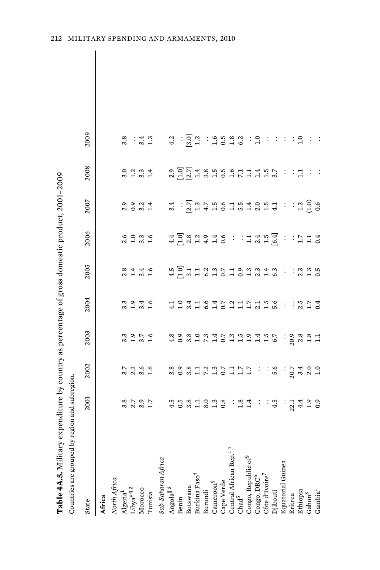| Table 4A.5. Military expenditure by country as percentage of gross domestic product, 2001-2009 |                                           |                             |                                                                   |                                     |                |                                  |                                                                                                                                                                                                                                                                                                                     |                                                              |                       |  |
|------------------------------------------------------------------------------------------------|-------------------------------------------|-----------------------------|-------------------------------------------------------------------|-------------------------------------|----------------|----------------------------------|---------------------------------------------------------------------------------------------------------------------------------------------------------------------------------------------------------------------------------------------------------------------------------------------------------------------|--------------------------------------------------------------|-----------------------|--|
| Countries are grouped by region and subregion.                                                 |                                           |                             |                                                                   |                                     |                |                                  |                                                                                                                                                                                                                                                                                                                     |                                                              |                       |  |
| State                                                                                          | 2001                                      | 2002                        | 2003                                                              | 2004                                | 2005           | 2006                             | 2007                                                                                                                                                                                                                                                                                                                | 2008                                                         | 2009                  |  |
| Africa                                                                                         |                                           |                             |                                                                   |                                     |                |                                  |                                                                                                                                                                                                                                                                                                                     |                                                              |                       |  |
| North Africa                                                                                   |                                           |                             |                                                                   |                                     |                |                                  |                                                                                                                                                                                                                                                                                                                     |                                                              |                       |  |
| $\rm{Algeria}^1$                                                                               |                                           |                             |                                                                   |                                     |                |                                  |                                                                                                                                                                                                                                                                                                                     |                                                              | 3.8                   |  |
| $\ensuremath{\text{Libya}}\xspace^{\ddag}$ $\P$ 2                                              | $3.59$<br>$3.59$<br>$1.7$                 |                             | $3.950$<br>$-3.56$<br>$-1.6$                                      | $3.940$<br>$3.46$<br>$1.6$          |                |                                  | $0.9014$<br>$0.914$                                                                                                                                                                                                                                                                                                 | $0.234$<br>$0.434$<br>$0.434$                                |                       |  |
| Morocco                                                                                        |                                           |                             |                                                                   |                                     |                |                                  |                                                                                                                                                                                                                                                                                                                     |                                                              | $: 4.3$<br>$-1.3$     |  |
| Tunisia                                                                                        |                                           |                             |                                                                   |                                     |                |                                  |                                                                                                                                                                                                                                                                                                                     |                                                              |                       |  |
| Sub-Saharan Africa                                                                             |                                           |                             |                                                                   |                                     |                |                                  |                                                                                                                                                                                                                                                                                                                     |                                                              |                       |  |
| Angola <sup>   3</sup>                                                                         |                                           |                             |                                                                   |                                     |                |                                  | 3.4                                                                                                                                                                                                                                                                                                                 |                                                              | 4.2                   |  |
| Benin                                                                                          |                                           | $3.8$<br>$0.9$<br>$3.8$     |                                                                   |                                     |                |                                  |                                                                                                                                                                                                                                                                                                                     |                                                              |                       |  |
| Botswana                                                                                       | $4.58$<br>$3.8$                           |                             | 8 9 8 9 9 1 7 1 0 1 1 1 1 1 1 0<br>4 0 8 1 1 1 1 0 1 1 1 1 1 1 0  | 4 1 3 4 1 9 4 2 3 1 1 2 4 1 3 4 1 8 |                | 4 0 8 2 9 4 9<br>4 1 2 3 4 4 1 0 | $\frac{1}{2}$ $\frac{1}{2}$ $\frac{1}{3}$ $\frac{1}{4}$ $\frac{1}{4}$ $\frac{1}{2}$ $\frac{1}{2}$ $\frac{1}{2}$ $\frac{1}{4}$ $\frac{1}{2}$ $\frac{1}{2}$ $\frac{1}{2}$ $\frac{1}{2}$ $\frac{1}{2}$ $\frac{1}{2}$ $\frac{1}{2}$ $\frac{1}{2}$ $\frac{1}{2}$ $\frac{1}{2}$ $\frac{1}{2}$ $\frac{1}{2}$ $\frac{1}{2}$ | 20. フォ 85. 5. 114. 5. 2. 0. 0. 7. 4. 8. 5. 0. 1. 1. 4. 5. 7. | $:\overline{3}\;12$   |  |
| Burkina Faso <sup>†</sup>                                                                      |                                           |                             |                                                                   |                                     |                |                                  |                                                                                                                                                                                                                                                                                                                     |                                                              |                       |  |
| Burundi                                                                                        | 1.388                                     | 1235111                     |                                                                   |                                     |                |                                  |                                                                                                                                                                                                                                                                                                                     |                                                              |                       |  |
| $\mathrm{Cameroon}^\S$                                                                         |                                           |                             |                                                                   |                                     |                |                                  |                                                                                                                                                                                                                                                                                                                     |                                                              |                       |  |
| Cape Verde                                                                                     |                                           |                             |                                                                   |                                     |                |                                  |                                                                                                                                                                                                                                                                                                                     |                                                              | $: 9.980$<br>$-1.980$ |  |
| Central African Rep. <sup>‡ 4</sup><br>Chad <sup>5</sup>                                       |                                           |                             |                                                                   |                                     |                |                                  |                                                                                                                                                                                                                                                                                                                     |                                                              |                       |  |
|                                                                                                | $\frac{3}{1}$ $\frac{3}{1}$ $\frac{4}{1}$ |                             |                                                                   |                                     |                |                                  |                                                                                                                                                                                                                                                                                                                     |                                                              |                       |  |
| Congo, Republic of <sup>§</sup>                                                                |                                           |                             |                                                                   |                                     |                |                                  |                                                                                                                                                                                                                                                                                                                     |                                                              |                       |  |
| Congo, DRC <sup>6</sup>                                                                        | $\ddot{\cdot}$                            |                             |                                                                   |                                     |                |                                  |                                                                                                                                                                                                                                                                                                                     |                                                              | $\frac{1}{1}$         |  |
| Côte d'Ivoire <sup>7</sup>                                                                     |                                           |                             |                                                                   |                                     |                |                                  |                                                                                                                                                                                                                                                                                                                     |                                                              |                       |  |
| Djibouti                                                                                       | $\frac{1}{4}$ .                           | $\therefore$ $\frac{6}{10}$ |                                                                   |                                     |                | $: 7749$<br>$: 749$<br>$: 79$    |                                                                                                                                                                                                                                                                                                                     |                                                              |                       |  |
| Equatorial Guinea                                                                              |                                           |                             |                                                                   | $\div$                              | ÷              | $\vdots$                         | $\ddot{\cdot}$                                                                                                                                                                                                                                                                                                      |                                                              | $\mathbb{R}^2$        |  |
| Eritrea                                                                                        |                                           |                             |                                                                   |                                     |                |                                  |                                                                                                                                                                                                                                                                                                                     |                                                              |                       |  |
| Ethiopia                                                                                       |                                           |                             |                                                                   |                                     |                |                                  |                                                                                                                                                                                                                                                                                                                     | $\Xi$                                                        | $\therefore$ 9        |  |
| ${\rm Gabon}^8$                                                                                | $: 2144$<br>$2440$<br>$-109$              | $: 20.7$<br>20.7 4.00       | $\frac{1}{20}$<br>$\frac{2}{3}$<br>$\frac{3}{1}$<br>$\frac{3}{1}$ | : 5, 7, 6, 4                        | $: 3.3$ $ 5.5$ | : 714                            | $: 3000$<br>$-1.3000$                                                                                                                                                                                                                                                                                               |                                                              |                       |  |
| $\mathrm{Gambia}^\ddag$                                                                        |                                           |                             |                                                                   |                                     |                |                                  |                                                                                                                                                                                                                                                                                                                     |                                                              |                       |  |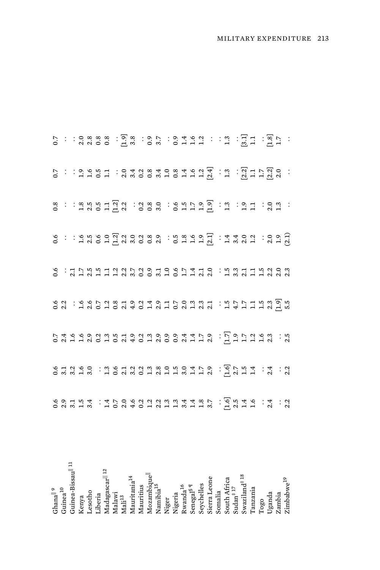| $\mathrm{Gham}^{ \parallel\, 9}_{\mathrm{Guinea}^{ 10}}$                                                                                                                                                                                                                                                                                                                                                                                        |                                                               |                                  |  |  |  |                                                                                                                                                                                                                                                                                                                                                                                                      |
|-------------------------------------------------------------------------------------------------------------------------------------------------------------------------------------------------------------------------------------------------------------------------------------------------------------------------------------------------------------------------------------------------------------------------------------------------|---------------------------------------------------------------|----------------------------------|--|--|--|------------------------------------------------------------------------------------------------------------------------------------------------------------------------------------------------------------------------------------------------------------------------------------------------------------------------------------------------------------------------------------------------------|
| Fuinea-Bissaull <sup>11</sup>                                                                                                                                                                                                                                                                                                                                                                                                                   | <b>んのような ・47062223334487.0546.4.200154.470622233413. つうより</b> | enara chedwerydra di di di di di |  |  |  | $\begin{array}{l} \mathbf{S}^{\text{!`}} \; : \; : \; \mathbf{S} \; \mathbf{w} \; \mathbf{w} \; \mathbf{S} \; \mathbf{w} \; : \; \mathbf{S} \; \mathbf{w} \; : \; \mathbf{S} \; \mathbf{w} \; \mathbf{w} \; : \; \mathbf{S} \; \mathbf{w} \; : \; \mathbf{S} \; \mathbf{w} \; : \; \mathbf{S} \; \mathbf{w} \; : \; \mathbf{S} \; \mathbf{w} \; : \; \mathbf{S} \; \mathbf{w} \; : \; \mathbf{S} \;$ |
|                                                                                                                                                                                                                                                                                                                                                                                                                                                 |                                                               |                                  |  |  |  |                                                                                                                                                                                                                                                                                                                                                                                                      |
|                                                                                                                                                                                                                                                                                                                                                                                                                                                 |                                                               |                                  |  |  |  |                                                                                                                                                                                                                                                                                                                                                                                                      |
| Kenya<br>Lesotho<br>Liberia<br>Liberia<br>Madagascar <sup>   12</sup><br>Madawi<br>Madawi                                                                                                                                                                                                                                                                                                                                                       |                                                               |                                  |  |  |  |                                                                                                                                                                                                                                                                                                                                                                                                      |
|                                                                                                                                                                                                                                                                                                                                                                                                                                                 |                                                               |                                  |  |  |  |                                                                                                                                                                                                                                                                                                                                                                                                      |
|                                                                                                                                                                                                                                                                                                                                                                                                                                                 |                                                               |                                  |  |  |  |                                                                                                                                                                                                                                                                                                                                                                                                      |
|                                                                                                                                                                                                                                                                                                                                                                                                                                                 |                                                               |                                  |  |  |  |                                                                                                                                                                                                                                                                                                                                                                                                      |
|                                                                                                                                                                                                                                                                                                                                                                                                                                                 |                                                               |                                  |  |  |  |                                                                                                                                                                                                                                                                                                                                                                                                      |
| Mauritania <sup>14</sup><br>Mauritius                                                                                                                                                                                                                                                                                                                                                                                                           |                                                               |                                  |  |  |  |                                                                                                                                                                                                                                                                                                                                                                                                      |
| Mozambiqu                                                                                                                                                                                                                                                                                                                                                                                                                                       |                                                               |                                  |  |  |  |                                                                                                                                                                                                                                                                                                                                                                                                      |
|                                                                                                                                                                                                                                                                                                                                                                                                                                                 |                                                               |                                  |  |  |  |                                                                                                                                                                                                                                                                                                                                                                                                      |
|                                                                                                                                                                                                                                                                                                                                                                                                                                                 |                                                               |                                  |  |  |  |                                                                                                                                                                                                                                                                                                                                                                                                      |
|                                                                                                                                                                                                                                                                                                                                                                                                                                                 |                                                               |                                  |  |  |  |                                                                                                                                                                                                                                                                                                                                                                                                      |
|                                                                                                                                                                                                                                                                                                                                                                                                                                                 |                                                               |                                  |  |  |  |                                                                                                                                                                                                                                                                                                                                                                                                      |
|                                                                                                                                                                                                                                                                                                                                                                                                                                                 |                                                               |                                  |  |  |  |                                                                                                                                                                                                                                                                                                                                                                                                      |
|                                                                                                                                                                                                                                                                                                                                                                                                                                                 |                                                               |                                  |  |  |  |                                                                                                                                                                                                                                                                                                                                                                                                      |
| $\begin{array}{l} \text{Namibia}^{15} \\ \text{Niger} \\ \text{Wigeria} \\ \text{Kwanda}^{16} \\ \text{Swanda}^{16} \\ \text{Sereg1}^{18} \\ \text{Sverleles} \\ \text{Sverleles} \\ \text{Sorral zone} \\ \text{Sondia}^{17} \\ \text{Sondia} \\ \text{Souda}^{17} \\ \text{Swaziland}^{18} \\ \text{Swaziland}^{18} \\ \text{Swaziland}^{18} \\ \text{Swazland}^{18} \\ \text{Swazland}^{18} \\ \text{Swazland}^{18} \\ \text{Swazland}^{18}$ |                                                               |                                  |  |  |  |                                                                                                                                                                                                                                                                                                                                                                                                      |
|                                                                                                                                                                                                                                                                                                                                                                                                                                                 |                                                               |                                  |  |  |  |                                                                                                                                                                                                                                                                                                                                                                                                      |
|                                                                                                                                                                                                                                                                                                                                                                                                                                                 |                                                               |                                  |  |  |  |                                                                                                                                                                                                                                                                                                                                                                                                      |
|                                                                                                                                                                                                                                                                                                                                                                                                                                                 |                                                               |                                  |  |  |  |                                                                                                                                                                                                                                                                                                                                                                                                      |
|                                                                                                                                                                                                                                                                                                                                                                                                                                                 |                                                               |                                  |  |  |  |                                                                                                                                                                                                                                                                                                                                                                                                      |
|                                                                                                                                                                                                                                                                                                                                                                                                                                                 |                                                               |                                  |  |  |  |                                                                                                                                                                                                                                                                                                                                                                                                      |
| Togo<br>Uganda<br>Zambia<br>Zimbabwe <sup>19</sup>                                                                                                                                                                                                                                                                                                                                                                                              |                                                               |                                  |  |  |  |                                                                                                                                                                                                                                                                                                                                                                                                      |
|                                                                                                                                                                                                                                                                                                                                                                                                                                                 |                                                               |                                  |  |  |  |                                                                                                                                                                                                                                                                                                                                                                                                      |
|                                                                                                                                                                                                                                                                                                                                                                                                                                                 |                                                               |                                  |  |  |  |                                                                                                                                                                                                                                                                                                                                                                                                      |
|                                                                                                                                                                                                                                                                                                                                                                                                                                                 |                                                               |                                  |  |  |  |                                                                                                                                                                                                                                                                                                                                                                                                      |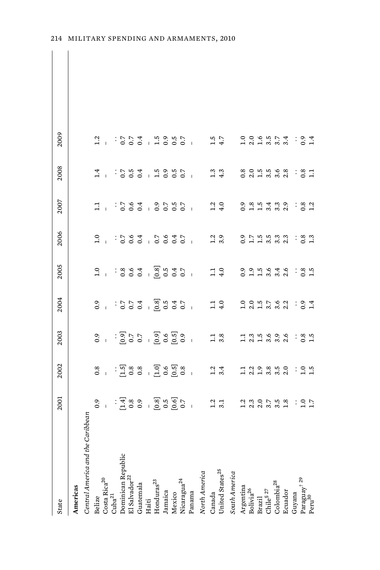| State                             | 2001                                  | 2002                                    | 2003                                                                                                                                                                                                                                                                                                                | 2004                                 | 2005                                                                      | 2006                                                                                                                                                                                                                           | 2007                                    | 2008              | 2009                                       |
|-----------------------------------|---------------------------------------|-----------------------------------------|---------------------------------------------------------------------------------------------------------------------------------------------------------------------------------------------------------------------------------------------------------------------------------------------------------------------|--------------------------------------|---------------------------------------------------------------------------|--------------------------------------------------------------------------------------------------------------------------------------------------------------------------------------------------------------------------------|-----------------------------------------|-------------------|--------------------------------------------|
| Americas                          |                                       |                                         |                                                                                                                                                                                                                                                                                                                     |                                      |                                                                           |                                                                                                                                                                                                                                |                                         |                   |                                            |
| Central America and the Caribbean |                                       |                                         |                                                                                                                                                                                                                                                                                                                     |                                      |                                                                           |                                                                                                                                                                                                                                |                                         |                   |                                            |
| Belize                            | 0.9                                   |                                         | 0.9                                                                                                                                                                                                                                                                                                                 | 0.9                                  | 1.0                                                                       | $\frac{0}{1}$                                                                                                                                                                                                                  | $\Xi$                                   | 1.4               | 1.2                                        |
| $\mbox{Costa Rica}^{20}$          | $\overline{1}$                        | 0.8                                     | $\overline{1}$                                                                                                                                                                                                                                                                                                      | $\overline{1}$                       | $\overline{1}$                                                            |                                                                                                                                                                                                                                |                                         | $\overline{1}$    |                                            |
| $Cuba^{21}$                       |                                       |                                         |                                                                                                                                                                                                                                                                                                                     |                                      |                                                                           |                                                                                                                                                                                                                                |                                         | $\vdots$          | $\vdots$                                   |
| Dominican Republic                | $:\frac{4}{5}$ 8 9 9                  |                                         |                                                                                                                                                                                                                                                                                                                     |                                      | : 8004                                                                    |                                                                                                                                                                                                                                | $: 5.6$<br>$0.64$                       |                   | 7.0000                                     |
| El Salvador <sup>22</sup>         |                                       |                                         |                                                                                                                                                                                                                                                                                                                     |                                      |                                                                           |                                                                                                                                                                                                                                |                                         | $0.5$<br>0.5      |                                            |
| Guatemala                         |                                       |                                         |                                                                                                                                                                                                                                                                                                                     |                                      |                                                                           |                                                                                                                                                                                                                                |                                         | 0.4               | 0.4                                        |
| Haiti                             |                                       |                                         |                                                                                                                                                                                                                                                                                                                     |                                      |                                                                           |                                                                                                                                                                                                                                | $\overline{1}$                          |                   |                                            |
| $\rm{Hom}durs^{23}$               | 7<br>  8 15 0<br>  8 10 0<br>  8 10 0 | းပြစ္ပြဲ ၁၉၀၉ -<br>မြန်မာ - ၁၉၀၉ - ၁၉၀၉ | $\frac{1}{2}$ $\frac{1}{2}$ $\frac{1}{2}$ $\frac{1}{2}$ $\frac{1}{2}$ $\frac{1}{2}$ $\frac{1}{2}$ $\frac{1}{2}$ $\frac{1}{2}$ $\frac{1}{2}$ $\frac{1}{2}$ $\frac{1}{2}$ $\frac{1}{2}$ $\frac{1}{2}$ $\frac{1}{2}$ $\frac{1}{2}$ $\frac{1}{2}$ $\frac{1}{2}$ $\frac{1}{2}$ $\frac{1}{2}$ $\frac{1}{2}$ $\frac{1}{2}$ | $-8.8$<br>$-8.9$<br>$-8.4$<br>$-8.7$ | $-8.8$<br>$-8.5$<br>$-8.5$<br>$-8.7$                                      | $2.584$ $-2.594$ $-2.594$ $-2.594$ $-2.594$ $-2.594$ $-2.594$ $-2.594$ $-2.594$ $-2.594$ $-2.594$ $-2.594$ $-2.594$ $-2.594$ $-2.594$ $-2.594$ $-2.594$ $-2.594$ $-2.594$ $-2.594$ $-2.594$ $-2.594$ $-2.594$ $-2.594$ $-2.59$ | $_{0.9}$                                |                   | $\begin{array}{c} 1.5 \\ -1.5 \end{array}$ |
| Jamaica                           |                                       |                                         |                                                                                                                                                                                                                                                                                                                     |                                      |                                                                           |                                                                                                                                                                                                                                |                                         |                   |                                            |
| Mexico                            |                                       |                                         |                                                                                                                                                                                                                                                                                                                     |                                      |                                                                           |                                                                                                                                                                                                                                | $0.5$<br>$0.5$                          |                   | $0.5$<br>0.7                               |
| Nicaragua <sup>24</sup>           |                                       |                                         |                                                                                                                                                                                                                                                                                                                     |                                      |                                                                           |                                                                                                                                                                                                                                |                                         |                   |                                            |
| Panama                            | $\overline{1}$                        | $\overline{1}$                          | $\bar{1}$                                                                                                                                                                                                                                                                                                           | $\overline{1}$                       | $\overline{1}$                                                            | $\overline{1}$                                                                                                                                                                                                                 | $\overline{1}$                          | $\overline{1}$    |                                            |
| North America                     |                                       |                                         |                                                                                                                                                                                                                                                                                                                     |                                      |                                                                           |                                                                                                                                                                                                                                |                                         |                   |                                            |
| Canada                            | 1.2                                   |                                         |                                                                                                                                                                                                                                                                                                                     |                                      |                                                                           |                                                                                                                                                                                                                                |                                         | 1.3               |                                            |
| United States <sup>25</sup>       | 3.1                                   | $1.2$<br>3.4                            | $\frac{1}{3}$ .3                                                                                                                                                                                                                                                                                                    | $1.1$<br>$4.0$                       | $1.1$<br>$4.0$                                                            | $1.2$<br>3.9                                                                                                                                                                                                                   | $\begin{array}{c} 2 \\ 4.0 \end{array}$ | 4.3               | 4.7                                        |
| South America                     |                                       |                                         |                                                                                                                                                                                                                                                                                                                     |                                      |                                                                           |                                                                                                                                                                                                                                |                                         |                   |                                            |
| Argentina                         |                                       |                                         |                                                                                                                                                                                                                                                                                                                     | $\frac{1}{2}$                        | 0.9                                                                       | $\ddot{0}$ .                                                                                                                                                                                                                   | 0.9                                     | 0.8               | $\frac{1}{2}$                              |
| ${\rm Bolivia}^{26}$              | 2.3                                   |                                         |                                                                                                                                                                                                                                                                                                                     |                                      |                                                                           |                                                                                                                                                                                                                                |                                         |                   | 2.0                                        |
| Brazil                            |                                       | 2.3                                     |                                                                                                                                                                                                                                                                                                                     | $2.5$<br>$-1.5$<br>$-3.7$            |                                                                           |                                                                                                                                                                                                                                | $3.5$ $3.4$                             |                   |                                            |
| ${\rm Chile}^{\S\,27}$            | 3.7                                   | 3.8                                     | $2.56$<br>$2.56$                                                                                                                                                                                                                                                                                                    |                                      | $\begin{array}{ccc}\n9 & 15 & 0 \\ -1 & 0 & 0 \\ -1 & 0 & 0\n\end{array}$ | $755333$<br>$113333$                                                                                                                                                                                                           |                                         | $0.555$<br>$0.55$ | $1.874$<br>$1.874$                         |
| Colombia <sup>28</sup>            | 3.5                                   | 3.5                                     | $3.\overline{6}$                                                                                                                                                                                                                                                                                                    | $3.\overline{6}$<br>$2.\overline{2}$ |                                                                           |                                                                                                                                                                                                                                | $3.\overline{3}$                        | 3.6               |                                            |
| Ecuador                           | 1.8                                   | 2.0                                     |                                                                                                                                                                                                                                                                                                                     |                                      | $3.\overline{6}$                                                          |                                                                                                                                                                                                                                | 2.9                                     | 2.8               |                                            |
| Guyana                            |                                       | $\vdots$                                | $\vdots$                                                                                                                                                                                                                                                                                                            | $\vdots$                             | $\vdots$                                                                  | ÷                                                                                                                                                                                                                              | $\vdots$                                | $\vdots$          | $\vdots$                                   |
| $\mathrm{Paraguay}^{\dagger\ 29}$ | $\frac{1}{2}$                         |                                         |                                                                                                                                                                                                                                                                                                                     |                                      |                                                                           |                                                                                                                                                                                                                                |                                         |                   |                                            |
| Peru <sup>30</sup>                | $\overline{1}$                        | 2.5                                     | $0.8$<br>1.5                                                                                                                                                                                                                                                                                                        | 0.4                                  | $0.8$<br>1.5                                                              | $0.\overline{3}$                                                                                                                                                                                                               | $0.8$<br>1.2                            | $0.8$<br>1.1      | 0.4                                        |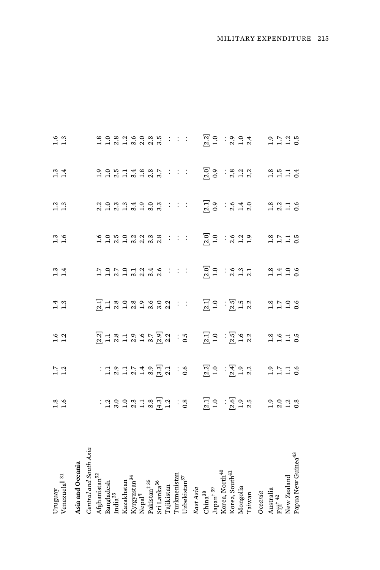| Venezuela <sup>   31</sup><br>Uruguay          | $1.6$<br>1.6            | $1.7$<br>$1.2$     | $1.6$<br>1.2                                                                                                                                                                                                                                                                                                                     | 1.3                                                                                                                                                                                                                                                                                                                             | $1.3$<br>$1.4$                                                                                                                                                                                                                                                                                                                       | $1.3$<br>$1.6$                           | 1.3                                        | $\frac{3}{1.4}$                            | $1.3$<br>$1.3$                                                                                                                                                                                                                                                                                                                |
|------------------------------------------------|-------------------------|--------------------|----------------------------------------------------------------------------------------------------------------------------------------------------------------------------------------------------------------------------------------------------------------------------------------------------------------------------------|---------------------------------------------------------------------------------------------------------------------------------------------------------------------------------------------------------------------------------------------------------------------------------------------------------------------------------|--------------------------------------------------------------------------------------------------------------------------------------------------------------------------------------------------------------------------------------------------------------------------------------------------------------------------------------|------------------------------------------|--------------------------------------------|--------------------------------------------|-------------------------------------------------------------------------------------------------------------------------------------------------------------------------------------------------------------------------------------------------------------------------------------------------------------------------------|
| Asia and Oceania                               |                         |                    |                                                                                                                                                                                                                                                                                                                                  |                                                                                                                                                                                                                                                                                                                                 |                                                                                                                                                                                                                                                                                                                                      |                                          |                                            |                                            |                                                                                                                                                                                                                                                                                                                               |
| Central and South Asia                         |                         |                    |                                                                                                                                                                                                                                                                                                                                  |                                                                                                                                                                                                                                                                                                                                 |                                                                                                                                                                                                                                                                                                                                      |                                          |                                            |                                            |                                                                                                                                                                                                                                                                                                                               |
| $\rm{Afg}$ hanistan $^{32}$                    |                         |                    | 2118196782<br>212112122                                                                                                                                                                                                                                                                                                          |                                                                                                                                                                                                                                                                                                                                 |                                                                                                                                                                                                                                                                                                                                      |                                          |                                            |                                            |                                                                                                                                                                                                                                                                                                                               |
| Bangladesh                                     |                         |                    |                                                                                                                                                                                                                                                                                                                                  |                                                                                                                                                                                                                                                                                                                                 |                                                                                                                                                                                                                                                                                                                                      |                                          |                                            |                                            |                                                                                                                                                                                                                                                                                                                               |
| India <sup>33</sup>                            |                         |                    |                                                                                                                                                                                                                                                                                                                                  |                                                                                                                                                                                                                                                                                                                                 |                                                                                                                                                                                                                                                                                                                                      |                                          |                                            |                                            |                                                                                                                                                                                                                                                                                                                               |
| Kazakhstan                                     |                         |                    |                                                                                                                                                                                                                                                                                                                                  | Tracao o cod<br>Tracao o cod                                                                                                                                                                                                                                                                                                    | <b>いのフロコン 4 6.5 しょうこう</b>                                                                                                                                                                                                                                                                                                            | 6 0 10 0 11 11 22 3<br>1 1 2 1 2 2 2 2 2 | 2 0 0 0 0 0 0 0 0 0 0<br>2 1 2 1 2 2 2 2 2 | 0.0.14.8.8.7<br>11211812                   | a o a a e o a n<br>Hidiwada                                                                                                                                                                                                                                                                                                   |
|                                                |                         |                    |                                                                                                                                                                                                                                                                                                                                  |                                                                                                                                                                                                                                                                                                                                 |                                                                                                                                                                                                                                                                                                                                      |                                          |                                            |                                            |                                                                                                                                                                                                                                                                                                                               |
| Kyrgyzstan <sup>34</sup><br>Nepal <sup>¶</sup> |                         |                    |                                                                                                                                                                                                                                                                                                                                  |                                                                                                                                                                                                                                                                                                                                 |                                                                                                                                                                                                                                                                                                                                      |                                          |                                            |                                            |                                                                                                                                                                                                                                                                                                                               |
| $\rm Palxistan^{+35}$                          |                         |                    |                                                                                                                                                                                                                                                                                                                                  |                                                                                                                                                                                                                                                                                                                                 |                                                                                                                                                                                                                                                                                                                                      |                                          |                                            |                                            |                                                                                                                                                                                                                                                                                                                               |
| Sri Lanka <sup>36</sup>                        |                         |                    |                                                                                                                                                                                                                                                                                                                                  |                                                                                                                                                                                                                                                                                                                                 |                                                                                                                                                                                                                                                                                                                                      |                                          |                                            |                                            |                                                                                                                                                                                                                                                                                                                               |
| <b>Tajikistan</b>                              |                         |                    |                                                                                                                                                                                                                                                                                                                                  |                                                                                                                                                                                                                                                                                                                                 | $\vdots$                                                                                                                                                                                                                                                                                                                             |                                          |                                            |                                            |                                                                                                                                                                                                                                                                                                                               |
| Turkmenistan                                   |                         |                    |                                                                                                                                                                                                                                                                                                                                  | $\sim 100$                                                                                                                                                                                                                                                                                                                      |                                                                                                                                                                                                                                                                                                                                      | $1\leq l\leq 1$                          | 1/1/1                                      |                                            |                                                                                                                                                                                                                                                                                                                               |
| Uzbekistan <sup>37</sup>                       |                         |                    | : $\frac{3}{5}$                                                                                                                                                                                                                                                                                                                  |                                                                                                                                                                                                                                                                                                                                 |                                                                                                                                                                                                                                                                                                                                      |                                          |                                            | $\mathbb{R}^2$                             | $\mathbb{R}^2$                                                                                                                                                                                                                                                                                                                |
| East Asia                                      |                         |                    |                                                                                                                                                                                                                                                                                                                                  |                                                                                                                                                                                                                                                                                                                                 |                                                                                                                                                                                                                                                                                                                                      |                                          |                                            |                                            |                                                                                                                                                                                                                                                                                                                               |
| China <sup>38</sup>                            |                         |                    | $\begin{bmatrix} 1 & 0 & 0 & 0 \\ 0 & -1 & 0 & 0 \\ 0 & 0 & 0 & 0 \\ 0 & 0 & 0 & 0 \\ 0 & 0 & 0 & 0 \\ 0 & 0 & 0 & 0 \\ 0 & 0 & 0 & 0 \\ 0 & 0 & 0 & 0 \\ 0 & 0 & 0 & 0 \\ 0 & 0 & 0 & 0 \\ 0 & 0 & 0 & 0 \\ 0 & 0 & 0 & 0 \\ 0 & 0 & 0 & 0 \\ 0 & 0 & 0 & 0 \\ 0 & 0 & 0 & 0 & 0 \\ 0 & 0 & 0 & 0 & 0 \\ 0 & 0 & 0 & 0 & 0 \\ $ |                                                                                                                                                                                                                                                                                                                                 |                                                                                                                                                                                                                                                                                                                                      |                                          |                                            | $\begin{bmatrix} 2.0 \\ 0.9 \end{bmatrix}$ |                                                                                                                                                                                                                                                                                                                               |
| $\mathrm{Japan}^\dagger$ 39                    |                         |                    |                                                                                                                                                                                                                                                                                                                                  |                                                                                                                                                                                                                                                                                                                                 |                                                                                                                                                                                                                                                                                                                                      |                                          | $\begin{bmatrix} 2.1 \\ 0.9 \end{bmatrix}$ |                                            |                                                                                                                                                                                                                                                                                                                               |
| Korea, North <sup>40</sup>                     |                         |                    |                                                                                                                                                                                                                                                                                                                                  |                                                                                                                                                                                                                                                                                                                                 |                                                                                                                                                                                                                                                                                                                                      |                                          |                                            |                                            |                                                                                                                                                                                                                                                                                                                               |
| Korea, South <sup>41</sup>                     |                         |                    |                                                                                                                                                                                                                                                                                                                                  | $\begin{bmatrix} 1 & 0 & 0 & 0 \\ 0 & -1 & 0 & 0 \\ 0 & 0 & 0 & 0 \\ 0 & 0 & 0 & 0 \\ 0 & 0 & 0 & 0 \\ 0 & 0 & 0 & 0 \\ 0 & 0 & 0 & 0 \\ 0 & 0 & 0 & 0 \\ 0 & 0 & 0 & 0 \\ 0 & 0 & 0 & 0 \\ 0 & 0 & 0 & 0 \\ 0 & 0 & 0 & 0 \\ 0 & 0 & 0 & 0 \\ 0 & 0 & 0 & 0 & 0 \\ 0 & 0 & 0 & 0 & 0 \\ 0 & 0 & 0 & 0 & 0 \\ 0 & 0 & 0 & 0 & $ | $\begin{bmatrix} 0 & 0 & 0 \\ 0 & -1 & 0 \\ 0 & 0 & 0 \\ 0 & 0 & 0 \\ 0 & 0 & 0 \\ 0 & 0 & 0 \\ 0 & 0 & 0 \\ 0 & 0 & 0 \\ 0 & 0 & 0 \\ 0 & 0 & 0 \\ 0 & 0 & 0 \\ 0 & 0 & 0 \\ 0 & 0 & 0 \\ 0 & 0 & 0 \\ 0 & 0 & 0 & 0 \\ 0 & 0 & 0 & 0 \\ 0 & 0 & 0 & 0 \\ 0 & 0 & 0 & 0 \\ 0 & 0 & 0 & 0 \\ 0 & 0 & 0 & 0 \\ 0 & 0 & 0 & 0 & 0 \\ $ | $3000332$<br>$3120$                      | $: 840$<br>$: 400$                         |                                            | $\begin{bmatrix} 2 & 0 & 0 & 0 & 0 \\ 0 & -1 & 0 & 0 & 0 \\ 0 & 0 & 0 & 0 & 0 \\ 0 & 0 & 0 & 0 & 0 \\ 0 & 0 & 0 & 0 & 0 \\ 0 & 0 & 0 & 0 & 0 \\ 0 & 0 & 0 & 0 & 0 \\ 0 & 0 & 0 & 0 & 0 \\ 0 & 0 & 0 & 0 & 0 \\ 0 & 0 & 0 & 0 & 0 \\ 0 & 0 & 0 & 0 & 0 \\ 0 & 0 & 0 & 0 & 0 \\ 0 & 0 & 0 & 0 & 0 \\ 0 & 0 & 0 & 0 & 0 \\ 0 & $ |
| Mongolia                                       |                         |                    |                                                                                                                                                                                                                                                                                                                                  |                                                                                                                                                                                                                                                                                                                                 |                                                                                                                                                                                                                                                                                                                                      |                                          |                                            |                                            |                                                                                                                                                                                                                                                                                                                               |
| Taiwan                                         |                         |                    |                                                                                                                                                                                                                                                                                                                                  |                                                                                                                                                                                                                                                                                                                                 |                                                                                                                                                                                                                                                                                                                                      |                                          |                                            |                                            |                                                                                                                                                                                                                                                                                                                               |
| Oceania                                        |                         |                    |                                                                                                                                                                                                                                                                                                                                  |                                                                                                                                                                                                                                                                                                                                 |                                                                                                                                                                                                                                                                                                                                      |                                          |                                            |                                            |                                                                                                                                                                                                                                                                                                                               |
|                                                |                         |                    |                                                                                                                                                                                                                                                                                                                                  |                                                                                                                                                                                                                                                                                                                                 |                                                                                                                                                                                                                                                                                                                                      |                                          |                                            |                                            |                                                                                                                                                                                                                                                                                                                               |
| Australia<br>Fiji <sup>† 42</sup>              | $3.0$<br>$3.3$<br>$3.3$ | $2.716$<br>$-1.76$ | $2.5$<br>$-1.5$<br>$-1.5$                                                                                                                                                                                                                                                                                                        | $2.500$<br>$-1.500$                                                                                                                                                                                                                                                                                                             | $2.400$<br>$-1.50$                                                                                                                                                                                                                                                                                                                   | $2.7$<br>$-1.7$<br>$-1.5$                | $3.316$<br>$-1.56$                         | $2.5$ $-1.5$ $-1.5$ $-1.5$                 | $2.726$<br>$-1.25$                                                                                                                                                                                                                                                                                                            |
| New Zealand                                    |                         |                    |                                                                                                                                                                                                                                                                                                                                  |                                                                                                                                                                                                                                                                                                                                 |                                                                                                                                                                                                                                                                                                                                      |                                          |                                            |                                            |                                                                                                                                                                                                                                                                                                                               |
| Papua New Guinea <sup>43</sup>                 |                         |                    |                                                                                                                                                                                                                                                                                                                                  |                                                                                                                                                                                                                                                                                                                                 |                                                                                                                                                                                                                                                                                                                                      |                                          |                                            |                                            |                                                                                                                                                                                                                                                                                                                               |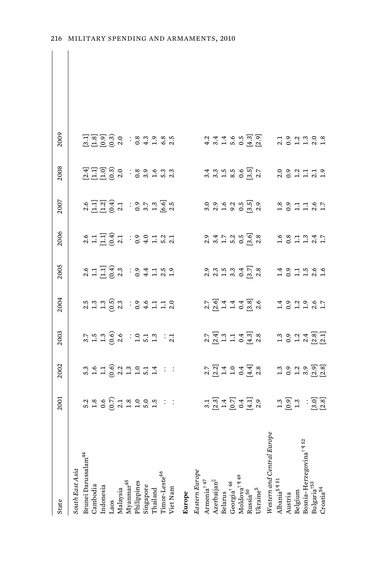| State                                | 2001                                                  | 2002                           | 2003                                  | 2004                                      | 2005                            | 2006                                        | 2007                                                 | 2008                                  | 2009                                                                                                                                                                                                                          |  |
|--------------------------------------|-------------------------------------------------------|--------------------------------|---------------------------------------|-------------------------------------------|---------------------------------|---------------------------------------------|------------------------------------------------------|---------------------------------------|-------------------------------------------------------------------------------------------------------------------------------------------------------------------------------------------------------------------------------|--|
| South East Asia                      |                                                       |                                |                                       |                                           |                                 |                                             |                                                      |                                       |                                                                                                                                                                                                                               |  |
| Brunei Darussalam <sup>44</sup>      |                                                       |                                |                                       |                                           |                                 |                                             |                                                      |                                       |                                                                                                                                                                                                                               |  |
| Cambodia                             |                                                       |                                | 3.75996737373777                      |                                           | 211423 : 94159<br>241592 : 9412 |                                             | るに以ずま・9 r x i g i g<br>2 i g i g i g i g i g i g i g |                                       | යු වූ පු ම<br>යු පු වූ ම                                                                                                                                                                                                      |  |
| Indonesia                            |                                                       |                                |                                       |                                           |                                 |                                             |                                                      |                                       |                                                                                                                                                                                                                               |  |
| Laos                                 |                                                       |                                |                                       |                                           |                                 |                                             |                                                      |                                       |                                                                                                                                                                                                                               |  |
| Malaysia                             |                                                       |                                |                                       |                                           |                                 |                                             |                                                      |                                       |                                                                                                                                                                                                                               |  |
| Myanmar <sup>45</sup>                |                                                       |                                |                                       |                                           |                                 |                                             |                                                      |                                       |                                                                                                                                                                                                                               |  |
| Philippines                          |                                                       |                                |                                       |                                           |                                 |                                             |                                                      |                                       |                                                                                                                                                                                                                               |  |
| Singapore                            |                                                       |                                |                                       |                                           |                                 |                                             |                                                      |                                       |                                                                                                                                                                                                                               |  |
| Thailand                             |                                                       |                                |                                       |                                           |                                 |                                             |                                                      |                                       |                                                                                                                                                                                                                               |  |
| Timor-Leste <sup>46</sup>            |                                                       |                                |                                       |                                           |                                 |                                             |                                                      |                                       | 3.89980                                                                                                                                                                                                                       |  |
| Viet Nam                             |                                                       |                                |                                       |                                           |                                 |                                             |                                                      |                                       |                                                                                                                                                                                                                               |  |
| Europe                               |                                                       |                                |                                       |                                           |                                 |                                             |                                                      |                                       |                                                                                                                                                                                                                               |  |
| Eastern Europe                       |                                                       |                                |                                       |                                           |                                 |                                             |                                                      |                                       |                                                                                                                                                                                                                               |  |
| Armenia <sup>†47</sup>               |                                                       |                                |                                       |                                           |                                 |                                             |                                                      |                                       |                                                                                                                                                                                                                               |  |
| Azerbaijan <sup>  </sup>             |                                                       |                                |                                       |                                           |                                 | 0. 4 1 2 3 4 5 6 70<br>0. 4 1 2 3 4 6 70 70 | 0.0.0.10.10.0.<br>0.0.10.0.10.10                     | 3<br>3 3 4 5 6 7 7<br>3 4 9 5 9 5 6 7 |                                                                                                                                                                                                                               |  |
| Belarus                              |                                                       |                                |                                       |                                           |                                 |                                             |                                                      |                                       |                                                                                                                                                                                                                               |  |
| Georgia<br>† $^{48}$                 |                                                       |                                |                                       |                                           |                                 |                                             |                                                      |                                       |                                                                                                                                                                                                                               |  |
| Moldova <sup>† ¶ 49</sup>            |                                                       |                                |                                       |                                           |                                 |                                             |                                                      |                                       |                                                                                                                                                                                                                               |  |
| Russia <sup>50</sup>                 |                                                       |                                |                                       |                                           |                                 |                                             |                                                      |                                       |                                                                                                                                                                                                                               |  |
| $Ukraine^{\S}$                       | 1. 8. 4. 5. 4. 5. 6.<br>2. 4. 5. 4. 5. 6.             | ਨ ਕ 4 0 4 4 %<br>ਨ ਕ 4 0 4 4 % | ਨ ਚ ਂ ਹ – 4 ਲਾ ਲ<br>ਪ ਯੂ – 1 – 0 ਜੂ ਅ | てんしょう 8.6<br>2.7.4.4.8.6.4.               |                                 |                                             |                                                      |                                       | ねょうちょう 20<br>ムネルト 0 日の                                                                                                                                                                                                        |  |
| Western and Central Europ            |                                                       |                                |                                       |                                           |                                 |                                             |                                                      |                                       |                                                                                                                                                                                                                               |  |
| Albania <sup>§</sup> ¶ <sup>51</sup> |                                                       |                                |                                       |                                           |                                 |                                             |                                                      |                                       |                                                                                                                                                                                                                               |  |
| Austria                              |                                                       |                                |                                       |                                           |                                 |                                             |                                                      |                                       |                                                                                                                                                                                                                               |  |
| Belgium                              |                                                       |                                |                                       |                                           |                                 |                                             |                                                      |                                       |                                                                                                                                                                                                                               |  |
| Bosnia-Herzegovina <sup>† ¶ 52</sup> | $1.9$ $3.3$ $1.9$ $3.3$ $3.4$ $3.4$ $3.4$ $3.4$ $3.4$ | 1.0.1.9.0.1<br>1.0.1.9.10.1    | 101481<br>101481                      | $1.9$ $1.9$ $0.9$ $0.9$ $0.5$ $0.7$ $0.7$ | 1.011000                        | $1.8$ $3.7$ $3.7$ $3.7$ $3.7$               | 3.31187                                              | 3 3 3 4 4 5 6<br>3 9 4 4 5 6          | $7.9$ $2.9$ $3.9$ $3.9$ $3.9$ $3.9$ $3.9$ $3.9$ $3.9$ $3.9$ $3.9$ $3.9$ $3.9$ $3.9$ $3.9$ $3.9$ $3.9$ $3.9$ $3.9$ $3.9$ $3.9$ $3.9$ $3.9$ $3.9$ $3.9$ $3.9$ $3.9$ $3.9$ $3.9$ $3.9$ $3.9$ $3.9$ $3.9$ $3.9$ $3.9$ $3.9$ $3.9$ |  |
| Bulgaria <sup>+53</sup>              |                                                       |                                |                                       |                                           |                                 |                                             |                                                      |                                       |                                                                                                                                                                                                                               |  |
| Croatia <sup>54</sup>                |                                                       |                                |                                       |                                           |                                 |                                             |                                                      |                                       |                                                                                                                                                                                                                               |  |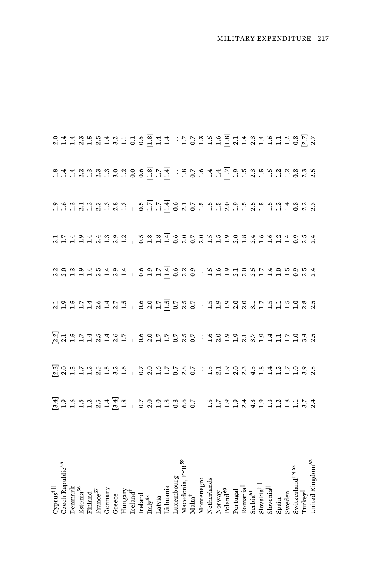| $\mbox{Cyprus}^\dagger$ ll                                                                                                                                                                                                                            |                                                   |  |                                                       |  |                                                                                     |
|-------------------------------------------------------------------------------------------------------------------------------------------------------------------------------------------------------------------------------------------------------|---------------------------------------------------|--|-------------------------------------------------------|--|-------------------------------------------------------------------------------------|
| Czech Republic <sup>55</sup>                                                                                                                                                                                                                          |                                                   |  |                                                       |  |                                                                                     |
| Denmark                                                                                                                                                                                                                                               |                                                   |  |                                                       |  |                                                                                     |
| Estonia $^{56}\,$                                                                                                                                                                                                                                     |                                                   |  |                                                       |  |                                                                                     |
| Finland                                                                                                                                                                                                                                               |                                                   |  |                                                       |  |                                                                                     |
| $\rm France^{57}$                                                                                                                                                                                                                                     |                                                   |  |                                                       |  |                                                                                     |
|                                                                                                                                                                                                                                                       |                                                   |  |                                                       |  |                                                                                     |
|                                                                                                                                                                                                                                                       |                                                   |  |                                                       |  |                                                                                     |
|                                                                                                                                                                                                                                                       |                                                   |  |                                                       |  |                                                                                     |
|                                                                                                                                                                                                                                                       |                                                   |  |                                                       |  |                                                                                     |
|                                                                                                                                                                                                                                                       |                                                   |  |                                                       |  |                                                                                     |
| $\begin{array}{l} \text{Germany} \\ \text{Greece} \\ \text{Hungary} \\ \text{Icland}^{\dagger} \\ \text{Icland} \\ \text{Icland} \\ \text{Irlay}^{\text{58}} \\ \text{Iratya} \\ \text{Latvia} \\ \text{Liftuania} \\ \text{Lithuania} \\ \text{Lutw$ | えるエエエスエミューの211020.にたい22年111118212111218110211020. |  | 203945494 6974620.5521057405954223111111111111 1011にの |  | 2 4 4 3 5 5 4 5 4 5 6 5 4 4 : 1 5 6 4 4 5 5 5 4 4 5 6 7 5 6 7 6 7 6 7 6 7 6 7 6 7 7 |
|                                                                                                                                                                                                                                                       |                                                   |  |                                                       |  |                                                                                     |
|                                                                                                                                                                                                                                                       |                                                   |  |                                                       |  |                                                                                     |
|                                                                                                                                                                                                                                                       |                                                   |  |                                                       |  |                                                                                     |
| Macedonia, FYR <sup>59</sup><br>Malta <sup>†   </sup>                                                                                                                                                                                                 |                                                   |  |                                                       |  |                                                                                     |
|                                                                                                                                                                                                                                                       |                                                   |  |                                                       |  |                                                                                     |
|                                                                                                                                                                                                                                                       |                                                   |  |                                                       |  |                                                                                     |
|                                                                                                                                                                                                                                                       |                                                   |  |                                                       |  |                                                                                     |
|                                                                                                                                                                                                                                                       |                                                   |  |                                                       |  |                                                                                     |
| $\begin{array}{l} \text{Montenegro} \\ \text{Netherlands} \\ \text{Notway} \\ \text{Poland}^{\text{60}} \\ \text{Poland} \\ \text{Portugal} \\ \text{Romanial}^{\text{all}} \\ \text{Storia}^{\text{d}} \\ \text{Serbia}^{\text{G}} \\ \end{array}$   |                                                   |  |                                                       |  |                                                                                     |
|                                                                                                                                                                                                                                                       |                                                   |  |                                                       |  |                                                                                     |
|                                                                                                                                                                                                                                                       |                                                   |  |                                                       |  |                                                                                     |
|                                                                                                                                                                                                                                                       |                                                   |  |                                                       |  |                                                                                     |
|                                                                                                                                                                                                                                                       |                                                   |  |                                                       |  |                                                                                     |
| Slovakia <sup>†   </sup><br>Slovenia <sup>  </sup><br>Spain                                                                                                                                                                                           |                                                   |  |                                                       |  |                                                                                     |
|                                                                                                                                                                                                                                                       |                                                   |  |                                                       |  |                                                                                     |
| Sweden<br>Switzerland <sup>† ¶ 62</sup><br>Turkey <sup>  </sup>                                                                                                                                                                                       |                                                   |  |                                                       |  |                                                                                     |
|                                                                                                                                                                                                                                                       |                                                   |  |                                                       |  |                                                                                     |
|                                                                                                                                                                                                                                                       |                                                   |  |                                                       |  |                                                                                     |
| United Kingdom <sup>63</sup>                                                                                                                                                                                                                          |                                                   |  |                                                       |  |                                                                                     |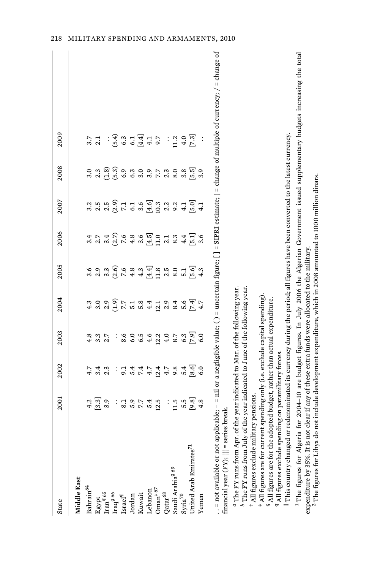| State                                                                                                                                                                                                               | 2001                                                                                                     | 2002           | 2003          | 2004              | 2005            | 2006                                             | 2007                              | 2008                 | 2009                                                                                                                                                              |
|---------------------------------------------------------------------------------------------------------------------------------------------------------------------------------------------------------------------|----------------------------------------------------------------------------------------------------------|----------------|---------------|-------------------|-----------------|--------------------------------------------------|-----------------------------------|----------------------|-------------------------------------------------------------------------------------------------------------------------------------------------------------------|
| Middle East                                                                                                                                                                                                         |                                                                                                          |                |               |                   |                 |                                                  |                                   |                      |                                                                                                                                                                   |
| Bahrain <sup>64</sup>                                                                                                                                                                                               | 4.2                                                                                                      |                | 4.8           |                   |                 |                                                  |                                   |                      |                                                                                                                                                                   |
|                                                                                                                                                                                                                     | [3.3]                                                                                                    | 3.4            | 3.3           |                   |                 | 2.7                                              | 2.5                               | 2.3                  |                                                                                                                                                                   |
| ${\rm Egypt}$ Iran $^{\P\,65}$                                                                                                                                                                                      | 3.9                                                                                                      | 2.3            | 2.7           |                   | 3.3             |                                                  |                                   | $\widetilde{S}(1,8)$ |                                                                                                                                                                   |
| ${\rm Iraq}^{\S\,66}\atop{\rm Israel}^{\P}$                                                                                                                                                                         | $\vdots$                                                                                                 | $\vdots$       | $\vdots$      | $\widetilde{c}$ . | (2.6)           | $\begin{array}{c} 3,4 \\ 2,6 \\ 2,7 \end{array}$ | $2.5$<br>$2.5$<br>$7.1$           |                      | (5.4)                                                                                                                                                             |
|                                                                                                                                                                                                                     | 8.1                                                                                                      |                | 8.6           | 7.7               | 7.6             |                                                  |                                   | (5.3)                | 6.3                                                                                                                                                               |
|                                                                                                                                                                                                                     |                                                                                                          |                |               |                   |                 |                                                  |                                   |                      |                                                                                                                                                                   |
| Kuwait                                                                                                                                                                                                              | 5.7                                                                                                      | 5.447<br>9.447 | 6.5           | $5.\overline{3}$  | $4.3$<br>$4.3$  | $4.8$<br>3.6                                     | $6.1$<br>$6.6$<br>$6.3$<br>$10.3$ | $6.3$<br>3.0         | $\begin{array}{c} 6.1 \\[-4pt] 4.1 \end{array}$                                                                                                                   |
|                                                                                                                                                                                                                     | 5.4                                                                                                      |                | 4.6           | 4.4               | $[4.4]$<br>11.8 |                                                  |                                   | 3.7                  |                                                                                                                                                                   |
| Lebanon Oman<br>† $67$                                                                                                                                                                                              | 12.5                                                                                                     |                |               |                   |                 | $\begin{bmatrix} 4.5 \\ 1.1 \end{bmatrix}$       |                                   |                      | 5.7                                                                                                                                                               |
| $Qatar^{68}$                                                                                                                                                                                                        | $\vdots$                                                                                                 | $12.4$<br>4.7  | $12.2$<br>4.0 | $12.1$<br>$2.9$   | 2.5             |                                                  |                                   | $2.\overline{3}$     |                                                                                                                                                                   |
| Saudi Arabia <sup>§ 69</sup>                                                                                                                                                                                        | 11.5                                                                                                     | 9.8            | $\sim 8$      | 8.4               | 8.0             | 8.3                                              | $2.2$<br>9.2                      | 8.0                  | 11.2                                                                                                                                                              |
| Syria <sup>70</sup>                                                                                                                                                                                                 | 5.5                                                                                                      | 5.4            | 6.3           | 5.6               | 5.1             | 4.4                                              | 4.1                               | 3.8                  | 4.0                                                                                                                                                               |
| Jnited Arab Emirates <sup>71</sup>                                                                                                                                                                                  | $[9.8]$                                                                                                  | [8.6]          | [2.5]         | [7.4]             | [5.6]           | 도.a]                                             | $\overline{5.0}$                  | $\left[5.5\right]$   | [7.3]                                                                                                                                                             |
| Yemen                                                                                                                                                                                                               | 4.8                                                                                                      | 6.0            | 6.0           |                   | 4.3             | 3.6                                              | 4.1                               | 3.9                  |                                                                                                                                                                   |
|                                                                                                                                                                                                                     |                                                                                                          |                |               |                   |                 |                                                  |                                   |                      | . = not available or not applicable; - = nil or a negligible value; () = uncertain figure; [] = SIPRI estimate;   = change of multiple of currency; / = change of |
| financial year (FY);     = series break.                                                                                                                                                                            |                                                                                                          |                |               |                   |                 |                                                  |                                   |                      |                                                                                                                                                                   |
| $^a$ The FY runs from Apr. of the year indicated to Mar. of the following year. $^b$ The FY runs from July of the year indicated to June of the following year. $^{\dagger}$ All figures exclude military pensions. |                                                                                                          |                |               |                   |                 |                                                  |                                   |                      |                                                                                                                                                                   |
|                                                                                                                                                                                                                     |                                                                                                          |                |               |                   |                 |                                                  |                                   |                      |                                                                                                                                                                   |
| $\frac{1}{2}$ All figures are for current spending only (i.e. exclude capital spending).                                                                                                                            |                                                                                                          |                |               |                   |                 |                                                  |                                   |                      |                                                                                                                                                                   |
| <sup>§</sup> All figures are for the adopted budget, rather than actual expenditure.                                                                                                                                |                                                                                                          |                |               |                   |                 |                                                  |                                   |                      |                                                                                                                                                                   |
| $\P$ All figures exclude spending on paramilitary forces.<br>This country changed                                                                                                                                   | or redenominated its currency during the period; all figures have been converted to the latest currency. |                |               |                   |                 |                                                  |                                   |                      |                                                                                                                                                                   |
|                                                                                                                                                                                                                     |                                                                                                          |                |               |                   |                 |                                                  |                                   |                      |                                                                                                                                                                   |

<sup>1</sup> The figures for Algeria for 2004-10 are budget figures. In July 2006 the Algerian Government issued supplementary budgets increasing the total 1 The figures for Algeria for 2004–10 are budget figures. In July 2006 the Algerian Government issued supplementary budgets increasing the total

expenditure by 35%. It is not clear if any of these extra funds were allocated to the military.<br><sup>2</sup> The figures for Libya do not include development expenditure, which in 2008 amounted to 1000 million dinars. expenditure by 35%. It is not clear if any of these extra funds were allocated to the military.<br><sup>2</sup> The figures for Libya do not include development expenditure, which in 2008 amounted to 1000 million dinars.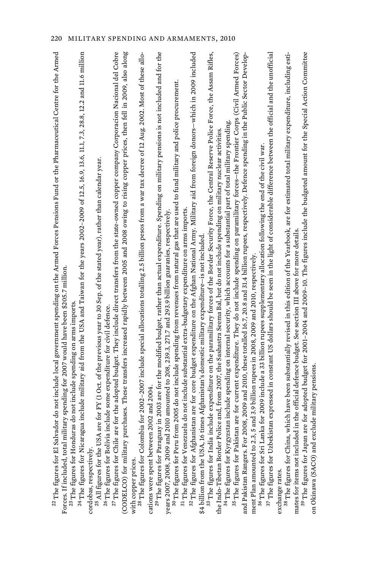| $^{22}$ The figures for El Salvador do not include local government spending on the Armed Forces Pensions Fund or the Pharmaceutical Centre for the Armed<br>Forces. If included, total military spending for 2007 would have been \$205.7 million.                                                                           |  |
|-------------------------------------------------------------------------------------------------------------------------------------------------------------------------------------------------------------------------------------------------------------------------------------------------------------------------------|--|
| <sup>24</sup> The figures for Nicaragua include military aid from the USA and Taiwan for the years 2002-2009 of 12.5, 16.9, 13.6, 11.1, 7.3, 28.8, 12.2 and 11.6 million<br><sup>23</sup> The figures for Honduras do not include spending on arms imports                                                                    |  |
| cordobas, respectively.                                                                                                                                                                                                                                                                                                       |  |
| $^{25}$ All figures for the USA are for FY (1 Oct. of the previous year to 30 Sep. of the stated year), rather than calendar year.                                                                                                                                                                                            |  |
| $^{26}$ The figures for Bolivia include some expenditure for civil defence.                                                                                                                                                                                                                                                   |  |
| are for the adopted budget. They include direct transfers from the state-owned copper company Corporacion Nacional del Cobre<br>(CODELCO) for military purchases. These transfers increased rapidly between 2005 and 2008 owing to rising copper prices, then fell in 2009, also along<br><sup>27</sup> The figures for Chile |  |
| with copper prices.                                                                                                                                                                                                                                                                                                           |  |
| <sup>28</sup> The figures for Colombia for 2002–2007 include special allocations totalling 2.5 billion pesos from a war tax decree of 12 Aug. 2002. Most of these allo-                                                                                                                                                       |  |
| cations were spent between 2002 and 2004                                                                                                                                                                                                                                                                                      |  |
| <sup>29</sup> The figures for Paraguay in 2003 are for the modified budget, rather than actual expenditure. Spending on military pensions is not included and for the                                                                                                                                                         |  |
| years 2007, 2008, 2009 and 2010 amounted to 208, 239.3, 271.7 and 293.9 billion guaranies, respectively.                                                                                                                                                                                                                      |  |
| <sup>30</sup> The figures for Peru from 2005 do not include spending from revenues from natural gas that are used to fund military and police procurement.                                                                                                                                                                    |  |
| 31 The figures for Venezuela do not include substantial extra-budgetary expenditure on arms imports.                                                                                                                                                                                                                          |  |
| <sup>32</sup> The figures for Afghanistan are for core budget expenditure on the Afghan National Army. Military aid from foreign donors—which in 2009 included                                                                                                                                                                |  |
| \$4 billion from the USA, 16 times Afghanistan's domestic military expenditure-is not included                                                                                                                                                                                                                                |  |
| include expenditure on the paramilitary forces of the Border Security Force, the Central Reserve Police Force, the Assam Rifles,<br><sup>33</sup> The figures for India                                                                                                                                                       |  |
| olice and, from 2007, the Sashastra Seema Bal, but do not include spending on military nuclear activities.<br>the Indo-Tibetan Border F                                                                                                                                                                                       |  |
| <sup>34</sup> The figures for Kyrgyzstan include spending on internal security, which accounts for a substantial part of total military spending.                                                                                                                                                                             |  |
| <sup>35</sup> The figures for Pakistan are for current expenditure. They do not include spending on paramilitary forces-the Frontier Corps (Civil Armed Forces)                                                                                                                                                               |  |
| 2008, 2009 and 2010, these totalled 16.7, 20.8 and 31.4 billion rupees, respectively. Defence spending in the Public Sector Develop-<br>and Pakistan Rangers. For                                                                                                                                                             |  |
| ment Plan amounted to 2.3, 5 and 3.9 billion rupees in 2008, 2009 and 2010, respectively.                                                                                                                                                                                                                                     |  |
| <sup>56</sup> The figures for Sri Lanka for 2009 include a 33 billion rupees supplementary allocation following the end of the civil war.                                                                                                                                                                                     |  |
| $^{37}$ The figures for Uzbekistan expressed in constant US dollars should be seen in the light of considerable difference between the official and the unofficial<br>exchange rates.                                                                                                                                         |  |
|                                                                                                                                                                                                                                                                                                                               |  |
| , which have been substantially revised in this edition of the Yearbook, are for estimated total military expenditure, including esti-<br><sup>38</sup> The figures for China                                                                                                                                                 |  |
| mates for items not included in the official defence budget. See section III above for more details                                                                                                                                                                                                                           |  |
| <sup>39</sup> The figures for Japan are for adopted budget for 2001-2004 and 2009-10. The figures include the budgeted amount for the Special Action Committee                                                                                                                                                                |  |
| on Okinawa (SACO) and exclude military pensions.                                                                                                                                                                                                                                                                              |  |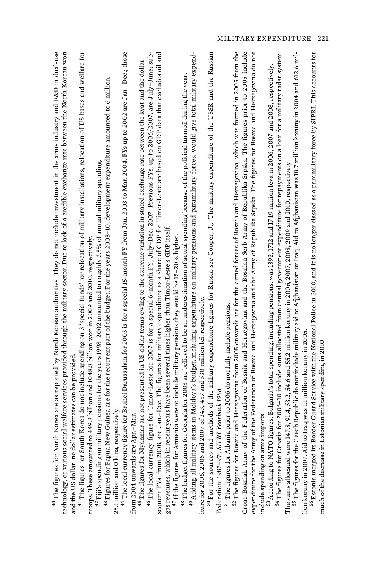| technology, or various social welfare services provided through the military sector. Due to lack of a credible exchange rate between the North Korean won                                                                                                                                                                       |
|---------------------------------------------------------------------------------------------------------------------------------------------------------------------------------------------------------------------------------------------------------------------------------------------------------------------------------|
| $^{41}$ The figures for South Korea do not include spending on 3 'special funds' for relocation of military installations, relocation of US bases and welfare for<br>troops. These amounted to 449.3 billion and 1048.8 billion won in 2009 and 2010, respectively<br>estimates can be provided<br>and the US dollar, no dollar |
| $^{42}$ Fiji's spending on military pensions for the years 1998–2002 amounted to roughly 3.5% of annual military spending                                                                                                                                                                                                       |
| $^{43}$ Figures for Papua New Guinea are for the recurrent part of the budget. For the years 2008–10, development expenditure amounted to 6 million,<br>25.1 million and 0 kina, respectively.                                                                                                                                  |
| <sup>44</sup> The local currency figure for Brunei Darussalam for 2003 is for a special 15-month FY from Jan. 2003 to Mar. 2004. FYs up to 2002 are Jan.-Dec., those                                                                                                                                                            |
| .-Mar.<br>from 2004 onwards are Apr                                                                                                                                                                                                                                                                                             |
| 46 The local currency figure for Timor-Leste for 2007 is for a special 6-month FY, July-Dec. 2007. Previous FYs, up to 2006/2007, are July-June; sub-<br>$^{45}$ The figures for Myanmar are not presented in US dollar terms owing to the extreme variation in stated exchange rate between the kyat and the dollar.           |
| sequent FYs, from 2008, are Jan.-Dec. The figures for military expenditure as a share of GDP for Timor-Leste are based on GDP data that excludes oil and                                                                                                                                                                        |
| gas revenues, which in recent years have been several times higher than Timor-Leste's GDP itself.                                                                                                                                                                                                                               |
| $^{47}$ If the figures for Armenia were to include military pensions they would be 15–20% higher.                                                                                                                                                                                                                               |
| 49 Adding all military items in Moldova's budget, including expenditure on military pensions and paramilitary forces, would give total military expend-<br>Georgia for 2003 are believed to be an underestimation of actual spending because of the political turmoil during the year.<br><sup>48</sup> The budget figures for  |
| iture for 2005, 2006 and 2007 of 343, 457 and 530 million lei, respectively                                                                                                                                                                                                                                                     |
| 50 For the sources and methods of the military expenditure figures for Russia see Cooper, J., 'The military expenditure of the USSR and the Russian                                                                                                                                                                             |
| Yearbook 1998<br>Federation, 1987-97', SIPRI                                                                                                                                                                                                                                                                                    |
| a prior to 2006 do not fully include pensions.<br><sup>51</sup> The figures for Albania                                                                                                                                                                                                                                         |
| and Herzegovina from 2005 onwards are for the armed forces of Bosnia and Herzegovina, which was formed in 2005 from the<br>$^{52}$ The figures for Bosnia                                                                                                                                                                       |
| Croat-Bosniak Army of the Federation of Bosnia and Herzegovina and the Bosnian Serb Army of Republika Srpska. The figures prior to 2005 include<br>expenditure for the Army of the Federation of Bosnia and Herzegovina and the Army of Republika Srpska. The figures for Bosnia and Herzegovina do not                         |
| include spending on arms imports                                                                                                                                                                                                                                                                                                |
| 53 According to NATO figures, Bulgaria's total spending, including pensions, was 1393, 1712 and 1749 million leva in 2006, 2007 and 2008, respectively.                                                                                                                                                                         |
| <sup>54</sup> The figures for Croatia for 2006–10 include sums allocated from central government expenditure for repayments on a loan for a military radar system.                                                                                                                                                              |
| The sums allocated were 147.8, 91.4, 53.2, 54.6 and 55.2 million koruny in 2006, 2007, 2008, 2009 and 2010, respectively,                                                                                                                                                                                                       |
| <sup>55</sup> The figures for the Czech Republic do not include military aid to Afghanistan or Iraq. Aid to Afghanistan was 18.7 million koruny in 2004 and 612.6 mil-                                                                                                                                                          |
| <sup>56</sup> Estonia merged its Border Guard Service with the National Police in 2010, and it is no longer classed as a paramilitary force by SIPRI. This accounts for<br>Iraq was 1.1 million koruny in 2005<br>lion koruny in 2007. Aid to 1                                                                                 |
| much of the decrease in Estonian military spending in 2010.                                                                                                                                                                                                                                                                     |